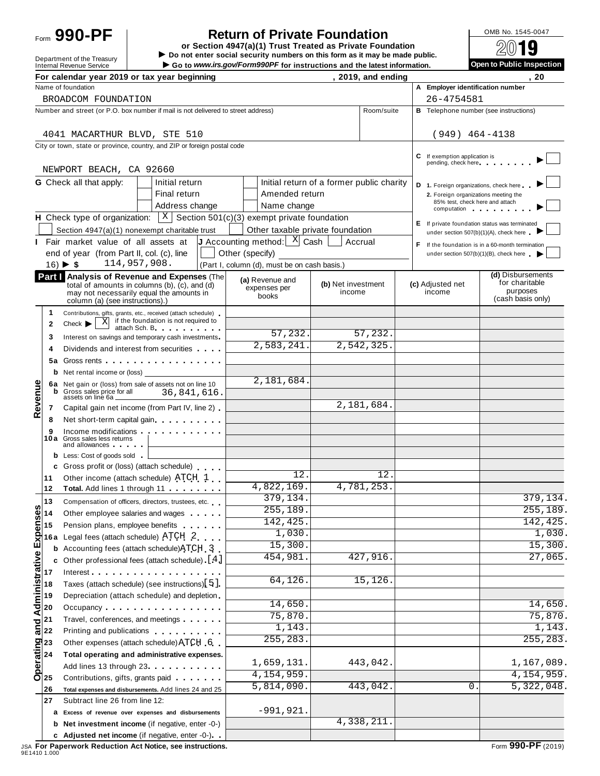# Form **990-PF**  $\begin{bmatrix} 1 & 0 \end{bmatrix}$  **Return of Private Foundation**  $\begin{bmatrix} 0 \end{bmatrix}$   $\begin{bmatrix} 0 \end{bmatrix}$   $\begin{bmatrix} 0 \end{bmatrix}$

**or Section 4947(a)(1) Trust Treated as Private Foundation** Form 990-PF<br> **Do not enter social security numbers on this form as it may be made public.<br>
Internal Revenue Service<br>
Internal Revenue Service<br>
internal Revenue Service<br>
internal Revenue Service** 

Go to www.irs.gov/Form990PF for instructions and the latest information.

|                                                                                   |                                                                          | For calendar year 2019 or tax year beginning                                                                                                                                                                                                                   |                 |  |                                                                         |                                           | , 2019, and ending       |            |                                                                      | 20                                                                                      |
|-----------------------------------------------------------------------------------|--------------------------------------------------------------------------|----------------------------------------------------------------------------------------------------------------------------------------------------------------------------------------------------------------------------------------------------------------|-----------------|--|-------------------------------------------------------------------------|-------------------------------------------|--------------------------|------------|----------------------------------------------------------------------|-----------------------------------------------------------------------------------------|
|                                                                                   |                                                                          | Name of foundation                                                                                                                                                                                                                                             |                 |  |                                                                         |                                           |                          |            | A Employer identification number                                     |                                                                                         |
|                                                                                   |                                                                          | BROADCOM FOUNDATION                                                                                                                                                                                                                                            |                 |  |                                                                         |                                           |                          | 26-4754581 |                                                                      |                                                                                         |
| Number and street (or P.O. box number if mail is not delivered to street address) |                                                                          |                                                                                                                                                                                                                                                                |                 |  |                                                                         | Room/suite                                |                          |            | <b>B</b> Telephone number (see instructions)                         |                                                                                         |
|                                                                                   |                                                                          | 4041 MACARTHUR BLVD, STE 510                                                                                                                                                                                                                                   |                 |  |                                                                         |                                           |                          |            | $(949)$ 464-4138                                                     |                                                                                         |
|                                                                                   |                                                                          | City or town, state or province, country, and ZIP or foreign postal code                                                                                                                                                                                       |                 |  |                                                                         |                                           |                          |            |                                                                      |                                                                                         |
|                                                                                   |                                                                          | NEWPORT BEACH, CA 92660                                                                                                                                                                                                                                        |                 |  |                                                                         |                                           |                          |            | <b>C</b> If exemption application is<br>pending, check here          |                                                                                         |
|                                                                                   |                                                                          | <b>G</b> Check all that apply:<br>Initial return                                                                                                                                                                                                               |                 |  |                                                                         | Initial return of a former public charity |                          |            | D 1. Foreign organizations, check here                               |                                                                                         |
|                                                                                   |                                                                          | Final return                                                                                                                                                                                                                                                   |                 |  | Amended return                                                          |                                           |                          |            | 2. Foreign organizations meeting the                                 |                                                                                         |
|                                                                                   |                                                                          | Address change                                                                                                                                                                                                                                                 |                 |  | Name change                                                             |                                           |                          |            | 85% test, check here and attach<br>computation products and products |                                                                                         |
|                                                                                   |                                                                          | <b>H</b> Check type of organization: $X \mid X$ Section 501(c)(3) exempt private foundation                                                                                                                                                                    |                 |  |                                                                         |                                           |                          |            |                                                                      |                                                                                         |
|                                                                                   |                                                                          | Section 4947(a)(1) nonexempt charitable trust                                                                                                                                                                                                                  |                 |  | Other taxable private foundation                                        |                                           |                          |            |                                                                      | E If private foundation status was terminated<br>under section 507(b)(1)(A), check here |
|                                                                                   |                                                                          | I Fair market value of all assets at                                                                                                                                                                                                                           |                 |  | <b>J</b> Accounting method: $\begin{bmatrix} X \\ Y \end{bmatrix}$ Cash |                                           | Accrual                  | F.         |                                                                      | If the foundation is in a 60-month termination                                          |
|                                                                                   |                                                                          | end of year (from Part II, col. (c), line                                                                                                                                                                                                                      | Other (specify) |  |                                                                         |                                           |                          |            |                                                                      | under section $507(b)(1)(B)$ , check here $\triangleright$                              |
|                                                                                   |                                                                          | 114,957,908.<br>$16) \triangleright 5$                                                                                                                                                                                                                         |                 |  | (Part I, column (d), must be on cash basis.)                            |                                           |                          |            |                                                                      |                                                                                         |
|                                                                                   |                                                                          | Part   Analysis of Revenue and Expenses (The<br>total of amounts in columns (b), $(c)$ , and $(d)$<br>may not necessarily equal the amounts in                                                                                                                 |                 |  | (a) Revenue and<br>expenses per<br>books                                | (b) Net investment<br>income              |                          |            | (c) Adjusted net<br>income                                           | (d) Disbursements<br>for charitable<br>purposes                                         |
|                                                                                   |                                                                          | column (a) (see instructions).)                                                                                                                                                                                                                                |                 |  |                                                                         |                                           |                          |            |                                                                      | (cash basis only)                                                                       |
|                                                                                   | 1                                                                        | Contributions, gifts, grants, etc., received (attach schedule)<br>$\overline{X}$ if the foundation is not required to                                                                                                                                          |                 |  |                                                                         |                                           |                          |            |                                                                      |                                                                                         |
|                                                                                   | $\mathbf{2}$                                                             | $Check$ $\blacktriangleright$<br>attach Sch. B. Party in the set                                                                                                                                                                                               |                 |  | 57,232.                                                                 |                                           | 57,232.                  |            |                                                                      |                                                                                         |
|                                                                                   | 3                                                                        | Interest on savings and temporary cash investments                                                                                                                                                                                                             |                 |  | 2,583,241.                                                              |                                           | 2,542,325.               |            |                                                                      |                                                                                         |
|                                                                                   | 4                                                                        | Dividends and interest from securities                                                                                                                                                                                                                         |                 |  |                                                                         |                                           |                          |            |                                                                      |                                                                                         |
|                                                                                   | 5а                                                                       | Gross rents <b>contract and contract and contract and contract and contract and contract and contract and contract and contract and contract and contract and contract and contract and contract and contract and contract and c</b>                           |                 |  |                                                                         |                                           |                          |            |                                                                      |                                                                                         |
|                                                                                   | b                                                                        | Net rental income or (loss) ___<br>6a Net gain or (loss) from sale of assets not on line 10                                                                                                                                                                    |                 |  | $\overline{2,181,684}$ .                                                |                                           |                          |            |                                                                      |                                                                                         |
| Revenue                                                                           | b                                                                        | Gross sales price for all<br>assets on line 6a<br>36,841,616.                                                                                                                                                                                                  |                 |  |                                                                         |                                           |                          |            |                                                                      |                                                                                         |
|                                                                                   | 7                                                                        | Capital gain net income (from Part IV, line 2).                                                                                                                                                                                                                |                 |  |                                                                         |                                           | $\overline{2,181,684}$ . |            |                                                                      |                                                                                         |
|                                                                                   | 8                                                                        | Net short-term capital gain                                                                                                                                                                                                                                    |                 |  |                                                                         |                                           |                          |            |                                                                      |                                                                                         |
|                                                                                   | 9                                                                        | Income modifications                                                                                                                                                                                                                                           |                 |  |                                                                         |                                           |                          |            |                                                                      |                                                                                         |
|                                                                                   |                                                                          | 10a Gross sales less returns<br>and allowances and the state of the state of the state of the state of the state of the state of the state of the state of the state of the state of the state of the state of the state of the state of the state of the stat |                 |  |                                                                         |                                           |                          |            |                                                                      |                                                                                         |
|                                                                                   |                                                                          | <b>b</b> Less: Cost of goods sold                                                                                                                                                                                                                              |                 |  |                                                                         |                                           |                          |            |                                                                      |                                                                                         |
|                                                                                   |                                                                          | c Gross profit or (loss) (attach schedule)                                                                                                                                                                                                                     |                 |  | 12.                                                                     |                                           | 12.                      |            |                                                                      |                                                                                         |
|                                                                                   | 11<br>12                                                                 | Other income (attach schedule) ATCH 1<br>Total. Add lines 1 through 11                                                                                                                                                                                         |                 |  | 4,822,169.                                                              |                                           | 4,781,253.               |            |                                                                      |                                                                                         |
|                                                                                   | 13                                                                       | Compensation of officers, directors, trustees, etc.                                                                                                                                                                                                            |                 |  | 379,134.                                                                |                                           |                          |            |                                                                      | 379, 134.                                                                               |
|                                                                                   |                                                                          | Other employee salaries and wages                                                                                                                                                                                                                              |                 |  | 255,189.                                                                |                                           |                          |            |                                                                      | 255,189.                                                                                |
|                                                                                   |                                                                          | Pension plans, employee benefits                                                                                                                                                                                                                               |                 |  | 142,425.                                                                |                                           |                          |            |                                                                      | 142, 425.                                                                               |
|                                                                                   | 16 a                                                                     | Legal fees (attach schedule) ATCH 2                                                                                                                                                                                                                            |                 |  | 1,030.                                                                  |                                           |                          |            |                                                                      | 1,030.                                                                                  |
|                                                                                   |                                                                          | Accounting fees (attach schedule) ATCH 3                                                                                                                                                                                                                       |                 |  | 15,300.                                                                 |                                           |                          |            |                                                                      | 15,300.                                                                                 |
|                                                                                   | Administrative Expenses<br>c                                             | Other professional fees (attach schedule) [4]                                                                                                                                                                                                                  |                 |  | 454,981.                                                                |                                           | 427,916.                 |            |                                                                      | 27,065.                                                                                 |
|                                                                                   |                                                                          | Interest                                                                                                                                                                                                                                                       |                 |  |                                                                         |                                           |                          |            |                                                                      |                                                                                         |
|                                                                                   |                                                                          | Taxes (attach schedule) (see instructions) [5]                                                                                                                                                                                                                 |                 |  | 64,126.                                                                 |                                           | 15,126.                  |            |                                                                      |                                                                                         |
|                                                                                   |                                                                          | Depreciation (attach schedule) and depletion                                                                                                                                                                                                                   |                 |  |                                                                         |                                           |                          |            |                                                                      |                                                                                         |
|                                                                                   |                                                                          | Occupancy experience and the control of the control of the control of the control of the control of the control of the control of the control of the control of the control of the control of the control of the control of th                                 |                 |  | 14,650.                                                                 |                                           |                          |            |                                                                      | 14,650.                                                                                 |
|                                                                                   | $\frac{1}{\overline{\mathbf{a}}} \begin{vmatrix} 21 \\ 22 \end{vmatrix}$ | Travel, conferences, and meetings                                                                                                                                                                                                                              |                 |  | 75,870.                                                                 |                                           |                          |            |                                                                      | $\overline{75,870}$ .                                                                   |
|                                                                                   |                                                                          | Printing and publications <b>Community</b> Printing and publications                                                                                                                                                                                           |                 |  | 1,143.                                                                  |                                           |                          |            |                                                                      | 1,143.                                                                                  |
|                                                                                   | Operating<br>Operating                                                   | Other expenses (attach schedule) ATCH 6                                                                                                                                                                                                                        |                 |  | 255,283.                                                                |                                           |                          |            |                                                                      | 255, 283.                                                                               |
|                                                                                   |                                                                          | Total operating and administrative expenses.                                                                                                                                                                                                                   |                 |  | 1,659,131.                                                              |                                           | 443,042.                 |            |                                                                      | 1,167,089.                                                                              |
|                                                                                   |                                                                          | Add lines 13 through 23 <b>Add lines</b> 13 through 23                                                                                                                                                                                                         |                 |  | 4,154,959.                                                              |                                           |                          |            |                                                                      | 4,154,959.                                                                              |
|                                                                                   |                                                                          | Contributions, gifts, grants paid                                                                                                                                                                                                                              |                 |  | 5,814,090.                                                              |                                           | 443,042.                 |            | 0                                                                    | 5,322,048.                                                                              |
|                                                                                   | 26                                                                       | Total expenses and disbursements. Add lines 24 and 25                                                                                                                                                                                                          |                 |  |                                                                         |                                           |                          |            |                                                                      |                                                                                         |
|                                                                                   | 27                                                                       | Subtract line 26 from line 12:                                                                                                                                                                                                                                 |                 |  | $-991,921.$                                                             |                                           |                          |            |                                                                      |                                                                                         |
|                                                                                   | a                                                                        | Excess of revenue over expenses and disbursements<br>Net investment income (if negative, enter -0-)                                                                                                                                                            |                 |  |                                                                         |                                           | 4,338,211.               |            |                                                                      |                                                                                         |
|                                                                                   | b                                                                        | c Adjusted net income (if negative, enter -0-)                                                                                                                                                                                                                 |                 |  |                                                                         |                                           |                          |            |                                                                      |                                                                                         |
|                                                                                   |                                                                          |                                                                                                                                                                                                                                                                |                 |  |                                                                         |                                           |                          |            |                                                                      |                                                                                         |

JSA **For Paperwork Reduction Act Notice, see instructions.** Form **990-PF** (2019) 9E1410 1.000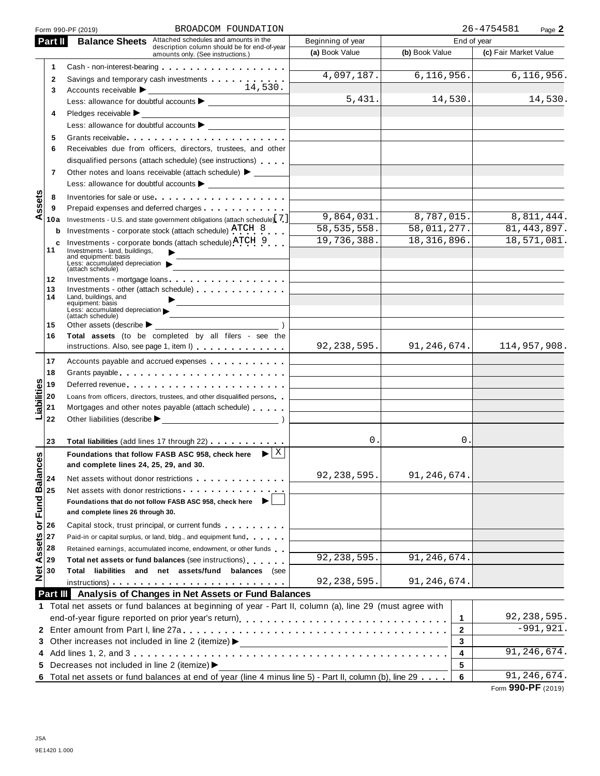|                         | BROADCOM FOUNDATION<br>Form 990-PF (2019)                                                                                                                                                                                      |                   |                | 26-4754581<br>Page 2        |
|-------------------------|--------------------------------------------------------------------------------------------------------------------------------------------------------------------------------------------------------------------------------|-------------------|----------------|-----------------------------|
| Part II                 | <b>Balance Sheets</b> Attached schedules and amounts in the                                                                                                                                                                    | Beginning of year |                | End of year                 |
|                         | description column should be for end-of-year<br>amounts only. (See instructions.)                                                                                                                                              | (a) Book Value    | (b) Book Value | (c) Fair Market Value       |
| 1                       | Cash - non-interest-bearing example and the cash - non-interest-bearing                                                                                                                                                        |                   |                |                             |
| 2                       | Savings and temporary cash investments                                                                                                                                                                                         | 4,097,187.        | 6, 116, 956.   | 6,116,956.                  |
| 3                       |                                                                                                                                                                                                                                |                   |                |                             |
|                         |                                                                                                                                                                                                                                | 5,431.            | 14,530.        | 14,530.                     |
| 4                       | Pledges receivable $\blacktriangleright$                                                                                                                                                                                       |                   |                |                             |
|                         |                                                                                                                                                                                                                                |                   |                |                             |
| 5                       | Grants receivable entering the state of the state of the state of the state of the state of the state of the state of the state of the state of the state of the state of the state of the state of the state of the state of  |                   |                |                             |
| 6                       | Receivables due from officers, directors, trustees, and other                                                                                                                                                                  |                   |                |                             |
|                         | disqualified persons (attach schedule) (see instructions)                                                                                                                                                                      |                   |                |                             |
| 7                       | Other notes and loans receivable (attach schedule) > ______                                                                                                                                                                    |                   |                |                             |
|                         | Less: allowance for doubtful accounts                                                                                                                                                                                          |                   |                |                             |
| 8                       | Inventories for sale or use                                                                                                                                                                                                    |                   |                |                             |
| ssets<br>9              |                                                                                                                                                                                                                                |                   |                |                             |
| ⋖<br>10a                | Investments - U.S. and state government obligations (attach schedule) [7]                                                                                                                                                      | 9,864,031.        | 8,787,015.     | 8,811,444.                  |
| b                       | Investments - corporate stock (attach schedule) ATCH 8                                                                                                                                                                         | 58, 535, 558.     | 58,011,277.    | 81, 443, 897.               |
| c                       | Investments - corporate bonds (attach schedule) ATCH 9                                                                                                                                                                         | 19,736,388.       | 18,316,896.    | 18,571,081.                 |
| 11                      | Investments - land, buildings,<br>and equipment: basis                                                                                                                                                                         |                   |                |                             |
|                         | Less: accumulated depreciation<br>(attach schedule)                                                                                                                                                                            |                   |                |                             |
| 12                      | Investments - mortgage loans                                                                                                                                                                                                   |                   |                |                             |
| 13                      | Investments - other (attach schedule)                                                                                                                                                                                          |                   |                |                             |
| 14                      | Land, buildings, and<br>equipment: basis                                                                                                                                                                                       |                   |                |                             |
|                         | Less: accumulated depreciation $\blacktriangleright$<br><u> 1980 - Johann Barbara, martxa a</u><br>(attach schedule)                                                                                                           |                   |                |                             |
| 15                      | Other assets (describe $\blacktriangleright$                                                                                                                                                                                   |                   |                |                             |
| 16                      | Total assets (to be completed by all filers - see the                                                                                                                                                                          |                   |                |                             |
|                         | instructions. Also, see page 1, item I)                                                                                                                                                                                        | 92, 238, 595.     | 91, 246, 674.  | 114,957,908.                |
| 17                      | Accounts payable and accrued expenses                                                                                                                                                                                          |                   |                |                             |
| 18                      |                                                                                                                                                                                                                                |                   |                |                             |
| 19                      | Deferred revenue experience and the set of the set of the set of the set of the set of the set of the set of the set of the set of the set of the set of the set of the set of the set of the set of the set of the set of the |                   |                |                             |
| 20                      | Loans from officers, directors, trustees, and other disqualified persons                                                                                                                                                       |                   |                |                             |
| Liabilities<br>21       | Mortgages and other notes payable (attach schedule)                                                                                                                                                                            |                   |                |                             |
| 22                      | Other liabilities (describe $\blacktriangleright$ )                                                                                                                                                                            |                   |                |                             |
|                         |                                                                                                                                                                                                                                |                   |                |                             |
| 23                      | Total liabilities (add lines 17 through 22) [10] Total liabilities (add lines 17 through 22)                                                                                                                                   | 0.                |                | 0.                          |
| δĝ                      | Foundations that follow FASB ASC 958, check here $\blacktriangleright$ $\mid$ X                                                                                                                                                |                   |                |                             |
|                         | and complete lines 24, 25, 29, and 30.                                                                                                                                                                                         |                   |                |                             |
| 24                      | Net assets without donor restrictions example assets without donor restrictions                                                                                                                                                | 92, 238, 595.     | 91,246,674.    |                             |
| 25                      | Net assets with donor restrictions experience of the set of the set of the set of the set of the set of the set of the set of the set of the set of the set of the set of the set of the set of the set of the set of the set  |                   |                |                             |
|                         | Foundations that do not follow FASB ASC 958, check here                                                                                                                                                                        |                   |                |                             |
| or Fund Balanc          | and complete lines 26 through 30.                                                                                                                                                                                              |                   |                |                             |
| 26                      | Capital stock, trust principal, or current funds                                                                                                                                                                               |                   |                |                             |
| 27                      | Paid-in or capital surplus, or land, bldg., and equipment fund                                                                                                                                                                 |                   |                |                             |
| 28                      | Retained earnings, accumulated income, endowment, or other funds                                                                                                                                                               |                   |                |                             |
| 29                      | Total net assets or fund balances (see instructions)                                                                                                                                                                           | 92, 238, 595.     | 91, 246, 674.  |                             |
| <b>Net Assets</b><br>30 | Total liabilities and net assets/fund balances (see                                                                                                                                                                            |                   |                |                             |
|                         | $instructions)$                                                                                                                                                                                                                | 92, 238, 595.     | 91,246,674.    |                             |
|                         | Part III Analysis of Changes in Net Assets or Fund Balances                                                                                                                                                                    |                   |                |                             |
|                         | 1 Total net assets or fund balances at beginning of year - Part II, column (a), line 29 (must agree with                                                                                                                       |                   |                |                             |
|                         |                                                                                                                                                                                                                                |                   |                | 92, 238, 595.<br>1          |
|                         |                                                                                                                                                                                                                                |                   |                | $-991,921.$<br>$\mathbf{2}$ |
|                         | 3 Other increases not included in line 2 (itemize) >                                                                                                                                                                           |                   |                | 3                           |
|                         |                                                                                                                                                                                                                                |                   |                | 91, 246, 674.<br>4          |
|                         | 5 Decreases not included in line 2 (itemize) >                                                                                                                                                                                 |                   |                | 5                           |
|                         | 6 Total net assets or fund balances at end of year (line 4 minus line 5) - Part II, column (b), line 29                                                                                                                        |                   |                | 91, 246, 674.<br>6          |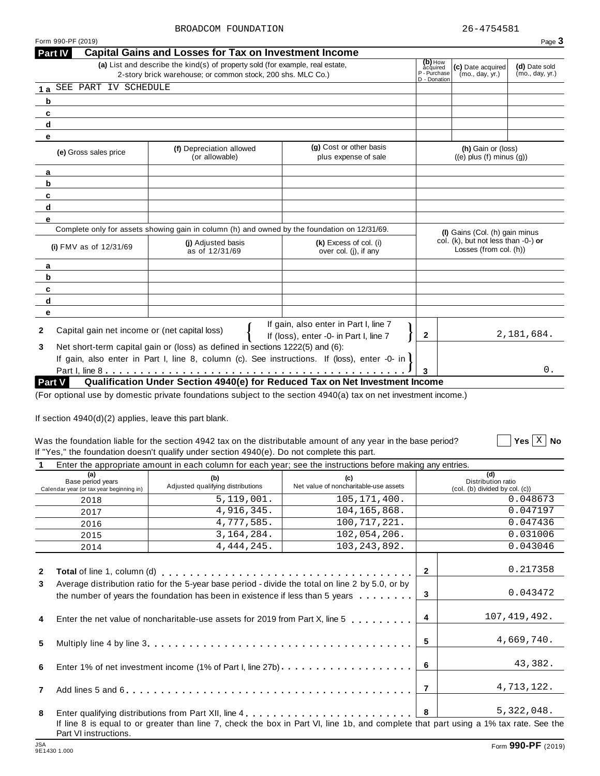$\boxed{\phantom{1}}$  Yes  $\boxed{\mathrm{X}}$  No

|                                                               | (a) List and describe the kind(s) of property sold (for example, real estate,                |                                                                                 | (b) How<br>acquired                                              |                                                       |                                  |
|---------------------------------------------------------------|----------------------------------------------------------------------------------------------|---------------------------------------------------------------------------------|------------------------------------------------------------------|-------------------------------------------------------|----------------------------------|
|                                                               | 2-story brick warehouse; or common stock, 200 shs. MLC Co.)                                  |                                                                                 | P - Purchase                                                     | (c) Date acquired<br>(mo., day, yr.)                  | (d) Date sold<br>(mo., day, yr.) |
| SEE PART IV SCHEDULE<br>1a                                    |                                                                                              |                                                                                 | D - Donation                                                     |                                                       |                                  |
| b                                                             |                                                                                              |                                                                                 |                                                                  |                                                       |                                  |
| c                                                             |                                                                                              |                                                                                 |                                                                  |                                                       |                                  |
| d                                                             |                                                                                              |                                                                                 |                                                                  |                                                       |                                  |
| е                                                             |                                                                                              |                                                                                 |                                                                  |                                                       |                                  |
| (e) Gross sales price                                         | (f) Depreciation allowed<br>(or allowable)                                                   | (g) Cost or other basis<br>plus expense of sale                                 |                                                                  | (h) Gain or (loss)<br>$((e)$ plus $(f)$ minus $(g)$ ) |                                  |
| a                                                             |                                                                                              |                                                                                 |                                                                  |                                                       |                                  |
| b                                                             |                                                                                              |                                                                                 |                                                                  |                                                       |                                  |
| c                                                             |                                                                                              |                                                                                 |                                                                  |                                                       |                                  |
| d                                                             |                                                                                              |                                                                                 |                                                                  |                                                       |                                  |
| е                                                             |                                                                                              |                                                                                 |                                                                  |                                                       |                                  |
|                                                               | Complete only for assets showing gain in column (h) and owned by the foundation on 12/31/69. |                                                                                 |                                                                  | (I) Gains (Col. (h) gain minus                        |                                  |
| (i) $FMV$ as of $12/31/69$                                    | (i) Adjusted basis<br>as of 12/31/69                                                         | (k) Excess of col. (i)<br>over col. (i), if any                                 | col. (k), but not less than $-0$ -) or<br>Losses (from col. (h)) |                                                       |                                  |
| a                                                             |                                                                                              |                                                                                 |                                                                  |                                                       |                                  |
| b                                                             |                                                                                              |                                                                                 |                                                                  |                                                       |                                  |
| c                                                             |                                                                                              |                                                                                 |                                                                  |                                                       |                                  |
| d                                                             |                                                                                              |                                                                                 |                                                                  |                                                       |                                  |
| е                                                             |                                                                                              |                                                                                 |                                                                  |                                                       |                                  |
| Capital gain net income or (net capital loss)<br>$\mathbf{2}$ |                                                                                              | If gain, also enter in Part I, line 7<br>If (loss), enter -0- in Part I, line 7 | $\mathbf{2}$                                                     |                                                       | 2,181,684.                       |
| 3                                                             | Net short-term capital gain or (loss) as defined in sections 1222(5) and (6):                |                                                                                 |                                                                  |                                                       |                                  |
|                                                               | If gain, also enter in Part I, line 8, column (c). See instructions. If (loss), enter -0- in |                                                                                 |                                                                  |                                                       |                                  |
|                                                               |                                                                                              |                                                                                 |                                                                  |                                                       | $0$ .                            |
| Part V                                                        |                                                                                              | Qualification Under Section 4940(e) for Reduced Tax on Net Investment Income    |                                                                  |                                                       |                                  |

If section 4940(d)(2) applies, leave this part blank.

## Was the foundation liable for the section 4942 tax on the distributable amount of any year in the base period? If "Yes," the foundation doesn't qualify under section 4940(e). Do not complete this part.

|  | $\blacksquare$ . The set of the set of the set of the set of the set of the set of the set of the set of the set of the set of the set of the set of the set of the set of the set of the set of the set of the set of the set of the |  |
|--|---------------------------------------------------------------------------------------------------------------------------------------------------------------------------------------------------------------------------------------|--|
|  | Enter the appropriate amount in each column for each year; see the instructions before making any entries.                                                                                                                            |  |

| (a)<br>Base period years<br>Calendar year (or tax year beginning in) | Liker the appropriate amount in each column for each year, see the instructions before making any entries.<br>(b)<br>Adjusted qualifying distributions                                                                         | Net value of noncharitable-use assets |                | (d)<br>Distribution ratio<br>(col. (b) divided by col. (c)) |  |
|----------------------------------------------------------------------|--------------------------------------------------------------------------------------------------------------------------------------------------------------------------------------------------------------------------------|---------------------------------------|----------------|-------------------------------------------------------------|--|
| 2018                                                                 | 5,119,001.                                                                                                                                                                                                                     | 105, 171, 400.                        |                | 0.048673                                                    |  |
| 2017                                                                 | 4,916,345.                                                                                                                                                                                                                     | 104, 165, 868.                        |                | 0.047197                                                    |  |
| 2016                                                                 | 4,777,585.                                                                                                                                                                                                                     | 100,717,221.                          |                | 0.047436                                                    |  |
| 2015                                                                 | 3, 164, 284.                                                                                                                                                                                                                   | 102,054,206.                          |                | 0.031006                                                    |  |
| 2014                                                                 | 4, 444, 245.                                                                                                                                                                                                                   | 103, 243, 892.                        |                | 0.043046                                                    |  |
| $\mathbf{2}$                                                         | Total of line 1, column (d) enterpreteration of the set of the set of the set of the set of the set of the set of the set of the set of the set of the set of the set of the set of the set of the set of the set of the set o |                                       | $\mathbf{2}$   | 0.217358                                                    |  |
| 3                                                                    | Average distribution ratio for the 5-year base period - divide the total on line 2 by 5.0, or by<br>the number of years the foundation has been in existence if less than 5 years                                              |                                       |                |                                                             |  |
| 4                                                                    | Enter the net value of noncharitable-use assets for 2019 from Part X, line 5 $\dots$ ,,,,,,,                                                                                                                                   |                                       | $\overline{4}$ | 107, 419, 492.                                              |  |
| 5                                                                    |                                                                                                                                                                                                                                |                                       | 5              | 4,669,740.                                                  |  |
| 6                                                                    | Enter 1% of net investment income (1% of Part I, line 27b)                                                                                                                                                                     |                                       | -6             | 43,382.                                                     |  |
| $\mathbf{7}$                                                         |                                                                                                                                                                                                                                |                                       | $\overline{7}$ | 4,713,122.                                                  |  |
| 8                                                                    |                                                                                                                                                                                                                                |                                       | 8              | 5,322,048.                                                  |  |
| Part VI instructions.                                                | If line 8 is equal to or greater than line 7, check the box in Part VI, line 1b, and complete that part using a 1% tax rate. See the                                                                                           |                                       |                |                                                             |  |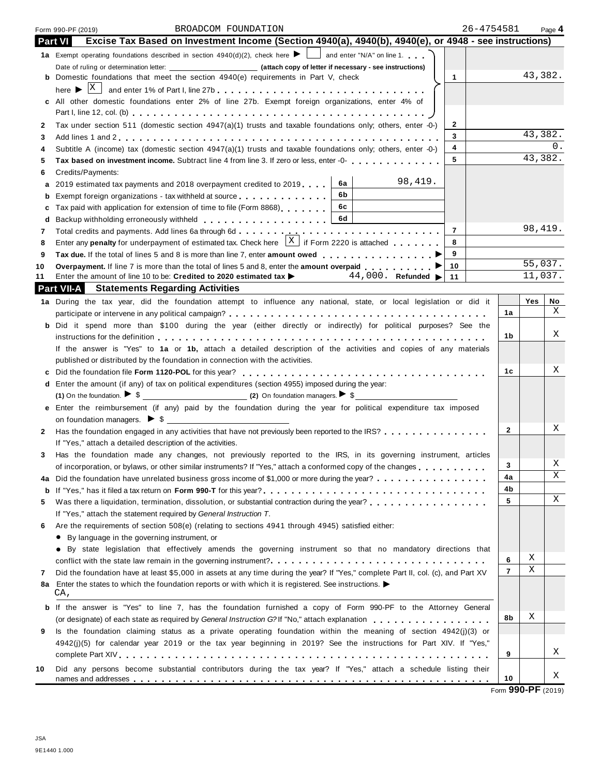|              | 26-4754581<br>BROADCOM FOUNDATION<br>Form 990-PF (2019)                                                                           |                |         | Page 4 |
|--------------|-----------------------------------------------------------------------------------------------------------------------------------|----------------|---------|--------|
|              | Excise Tax Based on Investment Income (Section 4940(a), 4940(b), 4940(e), or 4948 - see instructions)<br>Part VI                  |                |         |        |
|              | 1a Exempt operating foundations described in section $4940(d)(2)$ , check here $\blacktriangleright$ and enter "N/A" on line 1.   |                |         |        |
|              |                                                                                                                                   |                |         |        |
|              | <b>b</b> Domestic foundations that meet the section $4940(e)$ requirements in Part V, check<br>$\mathbf{1}$                       |                | 43,382. |        |
|              |                                                                                                                                   |                |         |        |
|              | c All other domestic foundations enter 2% of line 27b. Exempt foreign organizations, enter 4% of                                  |                |         |        |
|              |                                                                                                                                   |                |         |        |
| $\mathbf{2}$ | Tax under section 511 (domestic section 4947(a)(1) trusts and taxable foundations only; others, enter -0-)<br>$\mathbf{2}$        |                |         |        |
| 3            | 3                                                                                                                                 |                | 43,382. |        |
| 4            | 4<br>Subtitle A (income) tax (domestic section $4947(a)(1)$ trusts and taxable foundations only; others, enter -0-)               |                |         | 0.     |
| 5            | 5<br>Tax based on investment income. Subtract line 4 from line 3. If zero or less, enter -0-                                      |                | 43,382. |        |
| 6            | Credits/Payments:                                                                                                                 |                |         |        |
| а            | 98,419.<br>6a<br>2019 estimated tax payments and 2018 overpayment credited to 2019                                                |                |         |        |
| b            | 6b<br>Exempt foreign organizations - tax withheld at source                                                                       |                |         |        |
| c            | 6c<br>Tax paid with application for extension of time to file (Form 8868)                                                         |                |         |        |
| d            | 6d                                                                                                                                |                |         |        |
| 7            | $\overline{7}$                                                                                                                    |                | 98,419. |        |
| 8            | Enter any <b>penalty</b> for underpayment of estimated tax. Check here $\frac{X}{x}$ if Form 2220 is attached<br>8                |                |         |        |
| 9            | 9                                                                                                                                 |                |         |        |
| 10           | 10<br>Overpayment. If line 7 is more than the total of lines 5 and 8, enter the amount overpaid ▶                                 |                | 55,037. |        |
| 11           | 44,000. Refunded $\blacktriangleright$<br>Enter the amount of line 10 to be: Credited to 2020 estimated tax ><br>11               |                | 11,037. |        |
|              | <b>Part VII-A</b> Statements Regarding Activities                                                                                 |                |         |        |
|              | 1a During the tax year, did the foundation attempt to influence any national, state, or local legislation or did it               |                | Yes     | No     |
|              |                                                                                                                                   | 1a             |         | X      |
|              | b Did it spend more than \$100 during the year (either directly or indirectly) for political purposes? See the                    |                |         |        |
|              |                                                                                                                                   | 1b             |         | Χ      |
|              | If the answer is "Yes" to 1a or 1b, attach a detailed description of the activities and copies of any materials                   |                |         |        |
|              | published or distributed by the foundation in connection with the activities.                                                     |                |         |        |
| c            |                                                                                                                                   | 1c             |         | Χ      |
| d            | Enter the amount (if any) of tax on political expenditures (section 4955) imposed during the year:                                |                |         |        |
|              |                                                                                                                                   |                |         |        |
|              | e Enter the reimbursement (if any) paid by the foundation during the year for political expenditure tax imposed                   |                |         |        |
|              |                                                                                                                                   |                |         | Χ      |
| $\mathbf{2}$ | Has the foundation engaged in any activities that have not previously been reported to the IRS?                                   | $\mathbf{2}$   |         |        |
|              | If "Yes," attach a detailed description of the activities.                                                                        |                |         |        |
| 3            | Has the foundation made any changes, not previously reported to the IRS, in its governing instrument, articles                    |                |         | Χ      |
|              | of incorporation, or bylaws, or other similar instruments? If "Yes," attach a conformed copy of the changes                       | 3              |         | Χ      |
| 4a           | Did the foundation have unrelated business gross income of \$1,000 or more during the year?                                       | 4a             |         |        |
| b            |                                                                                                                                   | 4b             |         | Χ      |
| 5            | Was there a liquidation, termination, dissolution, or substantial contraction during the year?<br>                                | 5              |         |        |
|              | If "Yes," attach the statement required by General Instruction T.                                                                 |                |         |        |
| 6            | Are the requirements of section 508(e) (relating to sections 4941 through 4945) satisfied either:                                 |                |         |        |
|              | • By language in the governing instrument, or                                                                                     |                |         |        |
|              | • By state legislation that effectively amends the governing instrument so that no mandatory directions that                      |                | X       |        |
|              |                                                                                                                                   | 6              | Χ       |        |
| 7            | Did the foundation have at least \$5,000 in assets at any time during the year? If "Yes," complete Part II, col. (c), and Part XV | $\overline{7}$ |         |        |
| 8а           | Enter the states to which the foundation reports or with which it is registered. See instructions. $\blacktriangleright$<br>CA,   |                |         |        |
| b            | If the answer is "Yes" to line 7, has the foundation furnished a copy of Form 990-PF to the Attorney General                      |                |         |        |
|              |                                                                                                                                   | 8b             | X       |        |
| 9            | Is the foundation claiming status as a private operating foundation within the meaning of section $4942(j)(3)$ or                 |                |         |        |
|              | 4942(j)(5) for calendar year 2019 or the tax year beginning in 2019? See the instructions for Part XIV. If "Yes,"                 |                |         |        |
|              |                                                                                                                                   | 9              |         | Χ      |
| 10           | Did any persons become substantial contributors during the tax year? If "Yes," attach a schedule listing their                    |                |         |        |
|              |                                                                                                                                   | 10             |         | Χ      |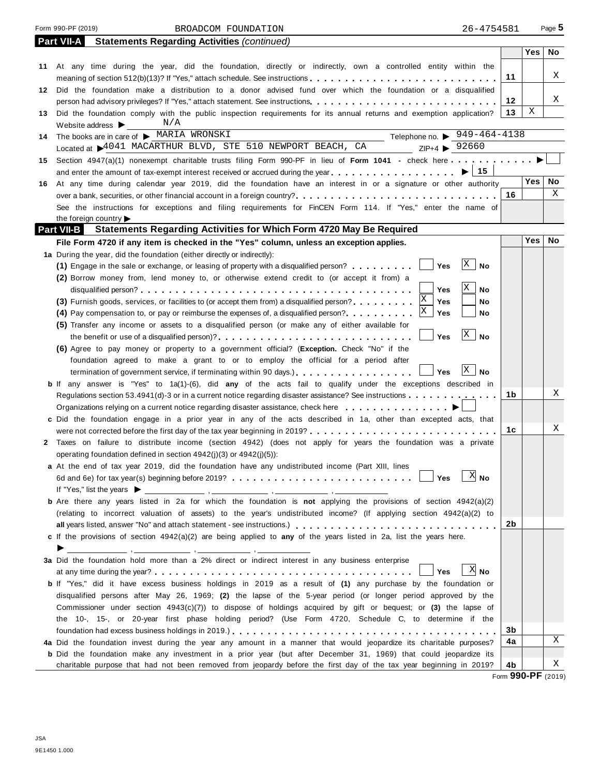Form 990-PF (2019) BROADCOM FOUNDATION 26-4754581 Page **5** 

|    | Part VII-A<br><b>Statements Regarding Activities (continued)</b>                                                                        |                            |            |    |
|----|-----------------------------------------------------------------------------------------------------------------------------------------|----------------------------|------------|----|
|    |                                                                                                                                         |                            | Yes        | No |
|    | 11 At any time during the year, did the foundation, directly or indirectly, own a controlled entity within the                          |                            |            |    |
|    | meaning of section 512(b)(13)? If "Yes," attach schedule. See instructions                                                              | 11                         |            | Χ  |
| 12 | Did the foundation make a distribution to a donor advised fund over which the foundation or a disqualified                              |                            |            |    |
|    |                                                                                                                                         | 12                         |            | Χ  |
| 13 | Did the foundation comply with the public inspection requirements for its annual returns and exemption application?                     | 13                         | Χ          |    |
|    | N/A<br>Website address $\blacktriangleright$                                                                                            |                            |            |    |
| 14 | Telephone no. $\triangleright$ 949-464-4138<br>The books are in care of MARIA WRONSKI                                                   |                            |            |    |
|    | Located at $\blacktriangleright$ 4041 MACARTHUR BLVD, STE 510 NEWPORT BEACH, CA $\blacktriangleright$ 2 P+4 $\blacktriangleright$ 92660 |                            |            |    |
| 15 |                                                                                                                                         |                            |            |    |
|    |                                                                                                                                         | $\blacktriangleright$   15 |            |    |
| 16 | At any time during calendar year 2019, did the foundation have an interest in or a signature or other authority                         |                            | Yes        | No |
|    |                                                                                                                                         | 16                         |            | Χ  |
|    | See the instructions for exceptions and filing requirements for FinCEN Form 114. If "Yes," enter the name of                            |                            |            |    |
|    | the foreign country                                                                                                                     |                            |            |    |
|    | <b>Part VII-B</b><br>Statements Regarding Activities for Which Form 4720 May Be Required                                                |                            |            |    |
|    | File Form 4720 if any item is checked in the "Yes" column, unless an exception applies.                                                 |                            | <b>Yes</b> | No |
|    | 1a During the year, did the foundation (either directly or indirectly):                                                                 |                            |            |    |
|    | Yes<br>(1) Engage in the sale or exchange, or leasing of property with a disqualified person?                                           | $\mathbf X$<br><b>No</b>   |            |    |
|    | (2) Borrow money from, lend money to, or otherwise extend credit to (or accept it from) a                                               |                            |            |    |
|    | Yes                                                                                                                                     | Χ<br>No                    |            |    |
|    | ΙX<br>(3) Furnish goods, services, or facilities to (or accept them from) a disqualified person?<br>Yes                                 | No                         |            |    |
|    | Χ<br>(4) Pay compensation to, or pay or reimburse the expenses of, a disqualified person?<br>Yes                                        | No                         |            |    |
|    | (5) Transfer any income or assets to a disqualified person (or make any of either available for                                         |                            |            |    |
|    | Yes<br>the benefit or use of a disqualified person)?                                                                                    | $\mathbf{X}$<br><b>No</b>  |            |    |
|    | (6) Agree to pay money or property to a government official? (Exception. Check "No" if the                                              |                            |            |    |
|    | foundation agreed to make a grant to or to employ the official for a period after                                                       |                            |            |    |
|    | Yes<br>termination of government service, if terminating within 90 days.)                                                               | X<br>No                    |            |    |
|    | <b>b</b> If any answer is "Yes" to 1a(1)-(6), did any of the acts fail to qualify under the exceptions described in                     |                            |            |    |
|    | Regulations section 53.4941(d)-3 or in a current notice regarding disaster assistance? See instructions                                 | 1b                         |            | Χ  |
|    | Organizations relying on a current notice regarding disaster assistance, check here $\dots \dots \dots \dots$                           |                            |            |    |
|    | c Did the foundation engage in a prior year in any of the acts described in 1a, other than excepted acts, that                          |                            |            |    |
|    | were not corrected before the first day of the tax year beginning in 2019?                                                              | 1с                         |            | Χ  |
|    | 2 Taxes on failure to distribute income (section 4942) (does not apply for years the foundation was a private                           |                            |            |    |
|    | operating foundation defined in section 4942(i)(3) or 4942(i)(5)):                                                                      |                            |            |    |
|    | a At the end of tax year 2019, did the foundation have any undistributed income (Part XIII, lines                                       |                            |            |    |
|    | Yes                                                                                                                                     | - 77<br>∆ No               |            |    |
|    |                                                                                                                                         |                            |            |    |
|    | <b>b</b> Are there any years listed in 2a for which the foundation is not applying the provisions of section 4942(a)(2)                 |                            |            |    |
|    | (relating to incorrect valuation of assets) to the year's undistributed income? (If applying section 4942(a)(2) to                      |                            |            |    |
|    |                                                                                                                                         | 2b                         |            |    |
|    | c If the provisions of section 4942(a)(2) are being applied to any of the years listed in 2a, list the years here.                      |                            |            |    |
|    | ▶                                                                                                                                       |                            |            |    |
|    | 3a Did the foundation hold more than a 2% direct or indirect interest in any business enterprise                                        |                            |            |    |
|    | Yes                                                                                                                                     | $X$ No                     |            |    |
|    | b If "Yes," did it have excess business holdings in 2019 as a result of (1) any purchase by the foundation or                           |                            |            |    |
|    | disqualified persons after May 26, 1969; (2) the lapse of the 5-year period (or longer period approved by the                           |                            |            |    |
|    | Commissioner under section $4943(c)(7)$ to dispose of holdings acquired by gift or bequest; or (3) the lapse of                         |                            |            |    |
|    | the 10-, 15-, or 20-year first phase holding period? (Use Form 4720, Schedule C, to determine if the                                    |                            |            |    |
|    |                                                                                                                                         | 3b                         |            |    |
|    | 4a Did the foundation invest during the year any amount in a manner that would jeopardize its charitable purposes?                      | 4a                         |            | Χ  |
|    | <b>b</b> Did the foundation make any investment in a prior year (but after December 31, 1969) that could jeopardize its                 |                            |            |    |
|    | charitable purpose that had not been removed from jeopardy before the first day of the tax year beginning in 2019?                      | 4b                         |            | X  |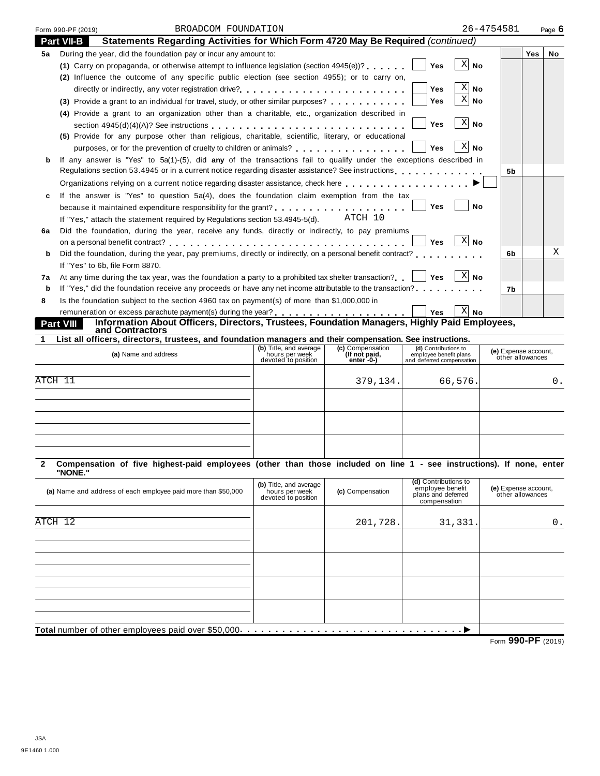|             | BROADCOM FOUNDATION<br>Form 990-PF (2019)                                                                                                                                  | 26-4754581         |            | Page $6$  |
|-------------|----------------------------------------------------------------------------------------------------------------------------------------------------------------------------|--------------------|------------|-----------|
|             | Statements Regarding Activities for Which Form 4720 May Be Required (continued)<br><b>Part VII-B</b>                                                                       |                    |            |           |
| 5а          | During the year, did the foundation pay or incur any amount to:                                                                                                            |                    | <b>Yes</b> | <b>No</b> |
|             | (1) Carry on propaganda, or otherwise attempt to influence legislation (section $4945(e)$ )?<br>Yes                                                                        | -XI<br><b>No</b>   |            |           |
|             | (2) Influence the outcome of any specific public election (see section 4955); or to carry on,                                                                              |                    |            |           |
|             | <b>Yes</b>                                                                                                                                                                 | $X $ No            |            |           |
|             | Yes<br>(3) Provide a grant to an individual for travel, study, or other similar purposes?                                                                                  | $X $ No            |            |           |
|             | (4) Provide a grant to an organization other than a charitable, etc., organization described in                                                                            |                    |            |           |
|             | <b>Yes</b>                                                                                                                                                                 | X<br><b>No</b>     |            |           |
|             | (5) Provide for any purpose other than religious, charitable, scientific, literary, or educational                                                                         |                    |            |           |
|             | Yes                                                                                                                                                                        | X<br>No            |            |           |
| b           | If any answer is "Yes" to 5a(1)-(5), did any of the transactions fail to qualify under the exceptions described in                                                         |                    |            |           |
|             | Regulations section 53.4945 or in a current notice regarding disaster assistance? See instructions entercated by example and a current of the sequence of See instructions | 5b                 |            |           |
|             |                                                                                                                                                                            |                    |            |           |
|             | If the answer is "Yes" to question 5a(4), does the foundation claim exemption from the tax                                                                                 |                    |            |           |
|             | because it maintained expenditure responsibility for the grant?<br><br>Yes                                                                                                 | No                 |            |           |
|             | ATCH 10<br>If "Yes," attach the statement required by Regulations section 53.4945-5(d).                                                                                    |                    |            |           |
| 6a          | Did the foundation, during the year, receive any funds, directly or indirectly, to pay premiums                                                                            |                    |            |           |
|             | <b>Yes</b>                                                                                                                                                                 | X <br>No           |            |           |
| b           | Did the foundation, during the year, pay premiums, directly or indirectly, on a personal benefit contract?                                                                 | 6b                 |            | Χ         |
|             | If "Yes" to 6b. file Form 8870.                                                                                                                                            |                    |            |           |
| 7a          | At any time during the tax year, was the foundation a party to a prohibited tax shelter transaction?<br>Yes                                                                | ∣ <sup>X∣</sup> No |            |           |
| b           | If "Yes," did the foundation receive any proceeds or have any net income attributable to the transaction?                                                                  | 7b                 |            |           |
| 8           | Is the foundation subject to the section 4960 tax on payment(s) of more than \$1,000,000 in                                                                                |                    |            |           |
|             | <b>Yes</b>                                                                                                                                                                 | $X$ No             |            |           |
|             | Information About Officers, Directors, Trustees, Foundation Managers, Highly Paid Employees,<br><b>Part VIII</b><br>and Contractors                                        |                    |            |           |
| $\mathbf 1$ | List all officers, directors, trustees, and foundation managers and their compensation. See instructions.                                                                  |                    |            |           |

# **(b)** Title, and average hours per week devoted to position **(c)** Compensation **(If not paid, enter -0-) (d)** Contributions to employee benefit plans and deferred compensation **(e)** Expense account, other allowances **(a)** Name and address [ATCH 11](#page-30-0) 379,134. 66,576. 0.

### 2 Compensation of five highest-paid employees (other than those included on line 1 - see instructions). If none, enter **"NONE."**

| (a) Name and address of each employee paid more than \$50,000 | (b) Title, and average<br>hours per week<br>devoted to position | (c) Compensation | (d) Contributions to<br>employee benefit<br>plans and deferred<br>compensation | (e) Expense account,<br>other allowances                               |
|---------------------------------------------------------------|-----------------------------------------------------------------|------------------|--------------------------------------------------------------------------------|------------------------------------------------------------------------|
|                                                               |                                                                 |                  |                                                                                |                                                                        |
| ATCH 12                                                       |                                                                 | 201,728.         | 31,331.                                                                        | 0.                                                                     |
|                                                               |                                                                 |                  |                                                                                |                                                                        |
|                                                               |                                                                 |                  |                                                                                |                                                                        |
|                                                               |                                                                 |                  |                                                                                |                                                                        |
|                                                               |                                                                 |                  |                                                                                |                                                                        |
|                                                               |                                                                 |                  |                                                                                |                                                                        |
|                                                               |                                                                 |                  |                                                                                |                                                                        |
|                                                               |                                                                 |                  |                                                                                |                                                                        |
|                                                               |                                                                 |                  |                                                                                |                                                                        |
| Total number of other employees paid over \$50,000.           |                                                                 |                  |                                                                                |                                                                        |
|                                                               |                                                                 |                  |                                                                                | $0.00 \text{ } \text{D} \text{ } \text{C}$<br>$\overline{\phantom{a}}$ |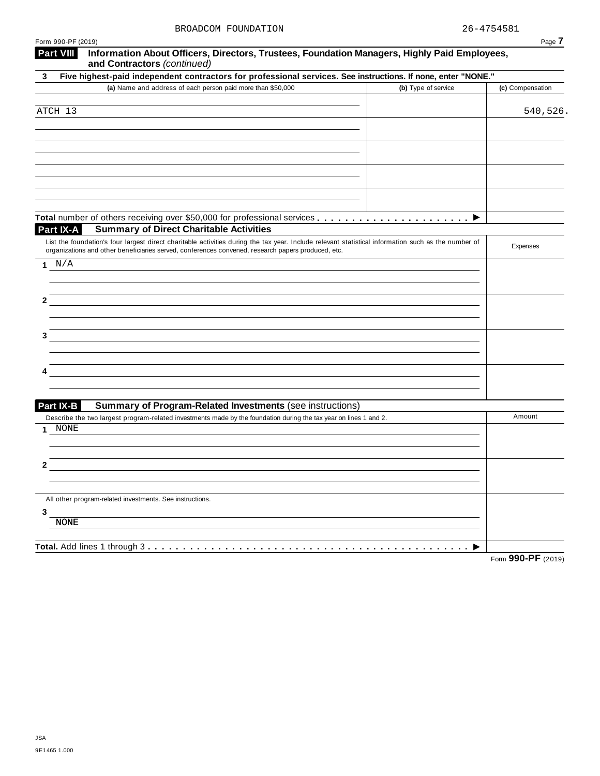| Form 990-PF (2019)                                                                                                                                  |                     | Page 7           |
|-----------------------------------------------------------------------------------------------------------------------------------------------------|---------------------|------------------|
| <b>Part VIII</b><br>Information About Officers, Directors, Trustees, Foundation Managers, Highly Paid Employees,<br>and Contractors (continued)     |                     |                  |
| Five highest-paid independent contractors for professional services. See instructions. If none, enter "NONE."<br>3                                  |                     |                  |
| (a) Name and address of each person paid more than \$50,000                                                                                         | (b) Type of service | (c) Compensation |
|                                                                                                                                                     |                     |                  |
| ATCH 13                                                                                                                                             |                     | 540,526.         |
|                                                                                                                                                     |                     |                  |
|                                                                                                                                                     |                     |                  |
|                                                                                                                                                     |                     |                  |
|                                                                                                                                                     |                     |                  |
|                                                                                                                                                     |                     |                  |
|                                                                                                                                                     |                     |                  |
|                                                                                                                                                     |                     |                  |
| Part IX-A<br><b>Summary of Direct Charitable Activities</b>                                                                                         |                     |                  |
| List the foundation's four largest direct charitable activities during the tax year. Include relevant statistical information such as the number of |                     |                  |
| organizations and other beneficiaries served, conferences convened, research papers produced, etc.                                                  |                     | Expenses         |
| $\,$ N $/$ A<br>1.                                                                                                                                  |                     |                  |
|                                                                                                                                                     |                     |                  |
|                                                                                                                                                     |                     |                  |
| 2                                                                                                                                                   |                     |                  |
|                                                                                                                                                     |                     |                  |
| 3                                                                                                                                                   |                     |                  |
|                                                                                                                                                     |                     |                  |
|                                                                                                                                                     |                     |                  |
|                                                                                                                                                     |                     |                  |
|                                                                                                                                                     |                     |                  |
| <b>Part IX-B</b><br><b>Summary of Program-Related Investments (see instructions)</b>                                                                |                     |                  |
| Describe the two largest program-related investments made by the foundation during the tax year on lines 1 and 2.                                   |                     | Amount           |
| NONE<br>1                                                                                                                                           |                     |                  |
|                                                                                                                                                     |                     |                  |
|                                                                                                                                                     |                     |                  |
| 2                                                                                                                                                   |                     |                  |
|                                                                                                                                                     |                     |                  |
| All other program-related investments. See instructions.                                                                                            |                     |                  |
| 3                                                                                                                                                   |                     |                  |
| <b>NONE</b>                                                                                                                                         |                     |                  |
|                                                                                                                                                     |                     |                  |
| Total. Add lines 1 through 3                                                                                                                        |                     |                  |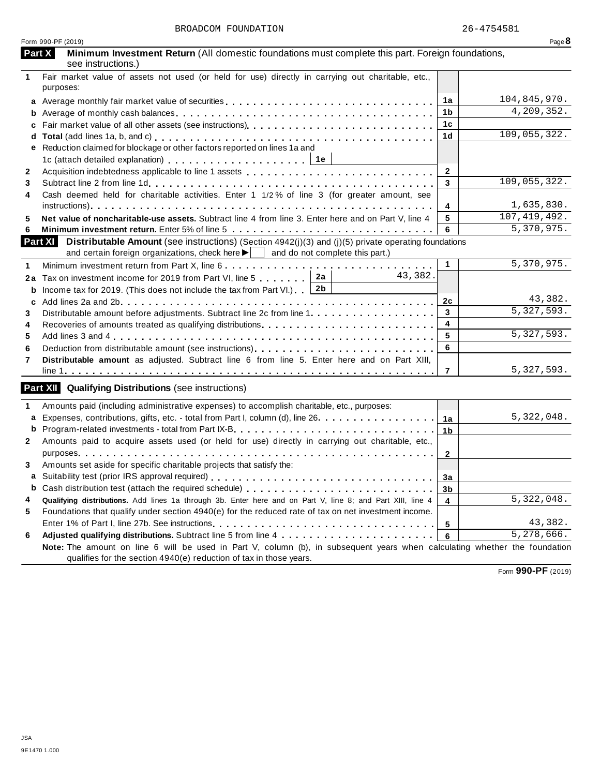|              | Form 990-PF (2019)                                                                                                                                                                                                                     |                | Page 8         |
|--------------|----------------------------------------------------------------------------------------------------------------------------------------------------------------------------------------------------------------------------------------|----------------|----------------|
|              | Part X<br>Minimum Investment Return (All domestic foundations must complete this part. Foreign foundations,<br>see instructions.)                                                                                                      |                |                |
| 1            | Fair market value of assets not used (or held for use) directly in carrying out charitable, etc.,<br>purposes:                                                                                                                         |                |                |
| a            |                                                                                                                                                                                                                                        | 1a             | 104,845,970.   |
|              |                                                                                                                                                                                                                                        | 1b             | 4,209,352.     |
| c            |                                                                                                                                                                                                                                        | 1c             |                |
|              |                                                                                                                                                                                                                                        | 1 <sub>d</sub> | 109,055,322.   |
|              | Reduction claimed for blockage or other factors reported on lines 1a and                                                                                                                                                               |                |                |
|              | 1c (attach detailed explanation) $\ldots \ldots \ldots \ldots \ldots \ldots$                                                                                                                                                           |                |                |
| $\mathbf{2}$ |                                                                                                                                                                                                                                        | $\mathbf{2}$   |                |
| 3            |                                                                                                                                                                                                                                        | 3              | 109,055,322.   |
| 4            | Cash deemed held for charitable activities. Enter 1 1/2% of line 3 (for greater amount, see                                                                                                                                            |                |                |
|              |                                                                                                                                                                                                                                        | 4              | 1,635,830.     |
| 5            | Net value of noncharitable-use assets. Subtract line 4 from line 3. Enter here and on Part V, line 4                                                                                                                                   | 5              | 107, 419, 492. |
| 6            |                                                                                                                                                                                                                                        | 6              | 5,370,975.     |
|              | <b>Part XI</b><br><b>Distributable Amount</b> (see instructions) (Section 4942(j)(3) and (j)(5) private operating foundations<br>and certain foreign organizations, check here $\blacktriangleright$   and do not complete this part.) |                |                |
| 1            | Minimum investment return from Part X, line 6                                                                                                                                                                                          | $\mathbf{1}$   | 5,370,975.     |
| 2a           | 43,382.<br>Tax on investment income for 2019 from Part VI, line 5 $\ldots \ldots$   2a                                                                                                                                                 |                |                |
| b            | Income tax for 2019. (This does not include the tax from Part VI.) $2b$                                                                                                                                                                |                |                |
| C            |                                                                                                                                                                                                                                        | 2c             | 43,382.        |
| 3            | Distributable amount before adjustments. Subtract line 2c from line 1.                                                                                                                                                                 | 3              | 5,327,593.     |
| 4            | Recoveries of amounts treated as qualifying distributions                                                                                                                                                                              | 4              |                |
| 5            |                                                                                                                                                                                                                                        | 5              | 5,327,593.     |
| 6            |                                                                                                                                                                                                                                        | 6              |                |
| 7            | Distributable amount as adjusted. Subtract line 6 from line 5. Enter here and on Part XIII,                                                                                                                                            |                |                |
|              |                                                                                                                                                                                                                                        | $\overline{7}$ | 5, 327, 593.   |
|              | <b>Part XII Qualifying Distributions (see instructions)</b>                                                                                                                                                                            |                |                |
| 1            | Amounts paid (including administrative expenses) to accomplish charitable, etc., purposes:                                                                                                                                             |                |                |
| a            | Expenses, contributions, gifts, etc. - total from Part I, column (d), line 26.                                                                                                                                                         | 1a             | 5,322,048.     |
| b            |                                                                                                                                                                                                                                        | 1 <sub>b</sub> |                |
| $\mathbf{2}$ | Amounts paid to acquire assets used (or held for use) directly in carrying out charitable, etc.,                                                                                                                                       |                |                |
|              | purposes pure and a series are a series of the series of the series of the series of the series of the series<br>na na nanana na manana na manana na manana                                                                            | $\mathbf{2}$   |                |
| 3.           | Amounts set aside for specific charitable projects that satisfy the:                                                                                                                                                                   |                |                |
|              |                                                                                                                                                                                                                                        | За             |                |
| b            |                                                                                                                                                                                                                                        | 3 <sub>b</sub> |                |
| 4            | Qualifying distributions. Add lines 1a through 3b. Enter here and on Part V, line 8; and Part XIII, line 4                                                                                                                             | 4              | 5,322,048.     |
| 5            | Foundations that qualify under section 4940(e) for the reduced rate of tax on net investment income.                                                                                                                                   |                |                |
|              |                                                                                                                                                                                                                                        | 5              | 43,382.        |
| 6            |                                                                                                                                                                                                                                        | 6              | 5, 278, 666.   |
|              | Note: The amount on line 6 will be used in Part V, column (b), in subsequent years when calculating whether the foundation<br>qualifies for the section 4940(e) reduction of tax in those years.                                       |                |                |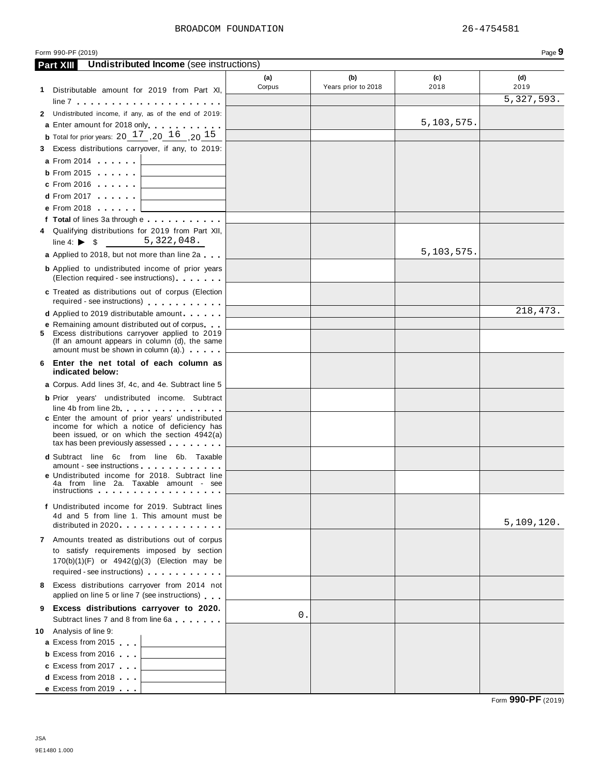|   | Form 990-PF (2019)                                                                                                                                                                                                                                                                        |               |                            |              | Page 9                   |
|---|-------------------------------------------------------------------------------------------------------------------------------------------------------------------------------------------------------------------------------------------------------------------------------------------|---------------|----------------------------|--------------|--------------------------|
|   | <b>Undistributed Income</b> (see instructions)<br><b>Part XIII</b>                                                                                                                                                                                                                        |               |                            |              |                          |
|   | 1 Distributable amount for 2019 from Part XI,                                                                                                                                                                                                                                             | (a)<br>Corpus | (b)<br>Years prior to 2018 | (c)<br>2018  | (d)<br>2019              |
|   | $line 7 +  +  +  +  +  + $                                                                                                                                                                                                                                                                |               |                            |              | $\overline{5,327,593}$ . |
|   | 2 Undistributed income, if any, as of the end of 2019:                                                                                                                                                                                                                                    |               |                            |              |                          |
|   | a Enter amount for 2018 only.                                                                                                                                                                                                                                                             |               |                            | 5, 103, 575. |                          |
|   | <b>b</b> Total for prior years: $20^{17}$ , $20^{16}$ , $20^{15}$                                                                                                                                                                                                                         |               |                            |              |                          |
|   | 3 Excess distributions carryover, if any, to 2019:                                                                                                                                                                                                                                        |               |                            |              |                          |
|   | <b>a</b> From 2014 <b>a</b>                                                                                                                                                                                                                                                               |               |                            |              |                          |
|   | $b$ From 2015<br>and the control of the control of                                                                                                                                                                                                                                        |               |                            |              |                          |
|   | <b>c</b> From 2016                                                                                                                                                                                                                                                                        |               |                            |              |                          |
|   | <b>d</b> From 2017 <b>and Street Street Street Street Street Street Street Street Street Street Street Street Street Street Street Street Street Street Street Street Street Street Street Street Street Street Street Street Street </b><br>the control of the control of the control of |               |                            |              |                          |
|   | e From 2018                                                                                                                                                                                                                                                                               |               |                            |              |                          |
|   | f Total of lines 3a through e                                                                                                                                                                                                                                                             |               |                            |              |                          |
|   | 4 Qualifying distributions for 2019 from Part XII,                                                                                                                                                                                                                                        |               |                            |              |                          |
|   | 5,322,048.<br>line 4: $\triangleright$ \$                                                                                                                                                                                                                                                 |               |                            |              |                          |
|   | a Applied to 2018, but not more than line 2a                                                                                                                                                                                                                                              |               |                            | 5, 103, 575. |                          |
|   | <b>b</b> Applied to undistributed income of prior years<br>(Election required - see instructions) [1994]                                                                                                                                                                                  |               |                            |              |                          |
|   | c Treated as distributions out of corpus (Election<br>required - see instructions)                                                                                                                                                                                                        |               |                            |              |                          |
|   | <b>d</b> Applied to 2019 distributable amount                                                                                                                                                                                                                                             |               |                            |              | 218,473.                 |
|   | <b>e</b> Remaining amount distributed out of corpus<br>5 Excess distributions carryover applied to 2019<br>(If an amount appears in column (d), the same                                                                                                                                  |               |                            |              |                          |
|   | amount must be shown in column (a).)<br>6 Enter the net total of each column as                                                                                                                                                                                                           |               |                            |              |                          |
|   | indicated below:                                                                                                                                                                                                                                                                          |               |                            |              |                          |
|   | a Corpus. Add lines 3f, 4c, and 4e. Subtract line 5                                                                                                                                                                                                                                       |               |                            |              |                          |
|   | <b>b</b> Prior years' undistributed income. Subtract                                                                                                                                                                                                                                      |               |                            |              |                          |
|   | line 4b from line 2b.<br>c Enter the amount of prior years' undistributed<br>income for which a notice of deficiency has<br>been issued, or on which the section 4942(a)<br>tax has been previously assessed                                                                              |               |                            |              |                          |
|   | <b>d</b> Subtract line 6c from line 6b. Taxable                                                                                                                                                                                                                                           |               |                            |              |                          |
|   | amount - see instructions<br>e Undistributed income for 2018. Subtract line<br>4a from line 2a. Taxable amount - see<br><i>instructions</i>                                                                                                                                               |               |                            |              |                          |
|   | f Undistributed income for 2019. Subtract lines<br>4d and 5 from line 1. This amount must be                                                                                                                                                                                              |               |                            |              | 5,109,120.               |
|   | distributed in 2020.                                                                                                                                                                                                                                                                      |               |                            |              |                          |
|   | 7 Amounts treated as distributions out of corpus<br>to satisfy requirements imposed by section<br>$170(b)(1)(F)$ or $4942(g)(3)$ (Election may be<br>required - see instructions)                                                                                                         |               |                            |              |                          |
| 8 | Excess distributions carryover from 2014 not                                                                                                                                                                                                                                              |               |                            |              |                          |
|   | applied on line 5 or line 7 (see instructions)                                                                                                                                                                                                                                            |               |                            |              |                          |
|   | 9 Excess distributions carryover to 2020.                                                                                                                                                                                                                                                 |               |                            |              |                          |
|   | Subtract lines 7 and 8 from line 6a                                                                                                                                                                                                                                                       | $0$ .         |                            |              |                          |
|   | 10 Analysis of line 9:                                                                                                                                                                                                                                                                    |               |                            |              |                          |
|   | a Excess from 2015                                                                                                                                                                                                                                                                        |               |                            |              |                          |
|   | <b>b</b> Excess from 2016                                                                                                                                                                                                                                                                 |               |                            |              |                          |
|   | c Excess from 2017                                                                                                                                                                                                                                                                        |               |                            |              |                          |
|   | <b>d</b> Excess from 2018                                                                                                                                                                                                                                                                 |               |                            |              |                          |
|   | e Excess from 2019                                                                                                                                                                                                                                                                        |               |                            |              |                          |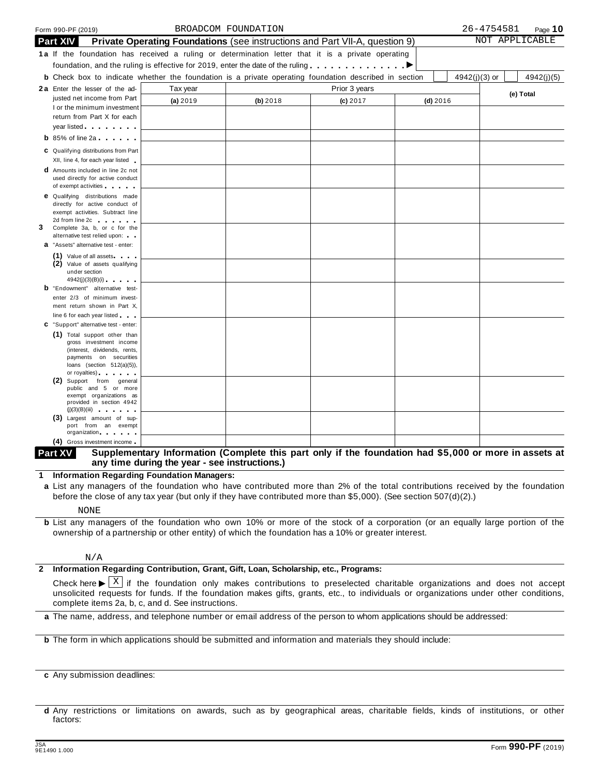|   | Form 990-PF (2019)                                                                                                                                                                                                                   |                                                                             | BROADCOM FOUNDATION |               |            |               | 26-4754581 | Page $10$      |
|---|--------------------------------------------------------------------------------------------------------------------------------------------------------------------------------------------------------------------------------------|-----------------------------------------------------------------------------|---------------------|---------------|------------|---------------|------------|----------------|
|   | <b>Part XIV</b>                                                                                                                                                                                                                      | Private Operating Foundations (see instructions and Part VII-A, question 9) |                     |               |            |               |            | NOT APPLICABLE |
|   | 1a If the foundation has received a ruling or determination letter that it is a private operating                                                                                                                                    |                                                                             |                     |               |            |               |            |                |
|   | foundation, and the ruling is effective for 2019, enter the date of the ruling $\dots \dots \dots$                                                                                                                                   |                                                                             |                     |               |            |               |            |                |
|   | <b>b</b> Check box to indicate whether the foundation is a private operating foundation described in section                                                                                                                         |                                                                             |                     |               |            | 4942(j)(3) or |            | 4942(j)(5)     |
|   | 2a Enter the lesser of the ad-                                                                                                                                                                                                       | Tax year                                                                    |                     | Prior 3 years |            |               |            |                |
|   | justed net income from Part                                                                                                                                                                                                          |                                                                             |                     |               |            |               |            | (e) Total      |
|   | I or the minimum investment                                                                                                                                                                                                          | (a) 2019                                                                    | (b) 2018            | $(c)$ 2017    | $(d)$ 2016 |               |            |                |
|   | return from Part X for each                                                                                                                                                                                                          |                                                                             |                     |               |            |               |            |                |
|   | year listed <b>with the set of the set of the set of the set of the set of the set of the set of the set of the set of the set of the set of the set of the set of the set of the set of the set of the set of the set of the se</b> |                                                                             |                     |               |            |               |            |                |
|   | $\mathbf b$ 85% of line 2a                                                                                                                                                                                                           |                                                                             |                     |               |            |               |            |                |
|   | C Qualifying distributions from Part                                                                                                                                                                                                 |                                                                             |                     |               |            |               |            |                |
|   | XII, line 4, for each year listed                                                                                                                                                                                                    |                                                                             |                     |               |            |               |            |                |
|   | <b>d</b> Amounts included in line 2c not                                                                                                                                                                                             |                                                                             |                     |               |            |               |            |                |
|   | used directly for active conduct<br>of exempt activities                                                                                                                                                                             |                                                                             |                     |               |            |               |            |                |
|   | <b>e</b> Qualifying distributions made                                                                                                                                                                                               |                                                                             |                     |               |            |               |            |                |
|   | directly for active conduct of                                                                                                                                                                                                       |                                                                             |                     |               |            |               |            |                |
|   | exempt activities. Subtract line                                                                                                                                                                                                     |                                                                             |                     |               |            |               |            |                |
|   | 2d from line 2c and the state of the state of                                                                                                                                                                                        |                                                                             |                     |               |            |               |            |                |
| 3 | Complete 3a, b, or c for the<br>alternative test relied upon:                                                                                                                                                                        |                                                                             |                     |               |            |               |            |                |
|   | <b>a</b> "Assets" alternative test - enter:                                                                                                                                                                                          |                                                                             |                     |               |            |               |            |                |
|   | (1) Value of all assets                                                                                                                                                                                                              |                                                                             |                     |               |            |               |            |                |
|   | (2) Value of assets qualifying                                                                                                                                                                                                       |                                                                             |                     |               |            |               |            |                |
|   | under section                                                                                                                                                                                                                        |                                                                             |                     |               |            |               |            |                |
|   | 4942(j)(3)(B)(i)<br><b>b</b> "Endowment" alternative test-                                                                                                                                                                           |                                                                             |                     |               |            |               |            |                |
|   | enter 2/3 of minimum invest-                                                                                                                                                                                                         |                                                                             |                     |               |            |               |            |                |
|   | ment return shown in Part X,                                                                                                                                                                                                         |                                                                             |                     |               |            |               |            |                |
|   | line 6 for each year listed                                                                                                                                                                                                          |                                                                             |                     |               |            |               |            |                |
|   | C "Support" alternative test - enter:                                                                                                                                                                                                |                                                                             |                     |               |            |               |            |                |
|   | (1) Total support other than                                                                                                                                                                                                         |                                                                             |                     |               |            |               |            |                |
|   | gross investment income<br>(interest, dividends, rents,                                                                                                                                                                              |                                                                             |                     |               |            |               |            |                |
|   | payments on securities                                                                                                                                                                                                               |                                                                             |                     |               |            |               |            |                |
|   | loans (section $512(a)(5)$ ),                                                                                                                                                                                                        |                                                                             |                     |               |            |               |            |                |
|   | or royalties) and the control of the control of                                                                                                                                                                                      |                                                                             |                     |               |            |               |            |                |
|   | (2) Support from general<br>public and 5 or more                                                                                                                                                                                     |                                                                             |                     |               |            |               |            |                |
|   | exempt organizations as                                                                                                                                                                                                              |                                                                             |                     |               |            |               |            |                |
|   | provided in section 4942                                                                                                                                                                                                             |                                                                             |                     |               |            |               |            |                |
|   | (j)(3)(B)(iii)<br>(3) Largest amount of sup-                                                                                                                                                                                         |                                                                             |                     |               |            |               |            |                |
|   | port from an exempt                                                                                                                                                                                                                  |                                                                             |                     |               |            |               |            |                |
|   | organization.                                                                                                                                                                                                                        |                                                                             |                     |               |            |               |            |                |
|   | (4) Gross investment income                                                                                                                                                                                                          |                                                                             |                     |               |            |               |            |                |

### Part XV Supplementary Information (Complete this part only if the foundation had \$5,000 or more in assets at **any time during the year - see instructions.)**

**1 Information Regarding Foundation Managers:**

**a** List any managers of the foundation who have contributed more than 2% of the total contributions received by the foundation before the close of any tax year (but only if they have contributed more than \$5,000). (See section 507(d)(2).)

NONE

**b** List any managers of the foundation who own 10% or more of the stock of a corporation (or an equally large portion of the ownership of a partnership or other entity) of which the foundation has a 10% or greater interest.

### N/A

## **2 Information Regarding Contribution, Grant, Gift, Loan, Scholarship, etc., Programs:**

Check here  $\blacktriangleright \overline{X}$  if the foundation only makes contributions to preselected charitable organizations and does not accept<br>unsolicited requests for funds. If the foundation makes gifts, grants, etc., to individuals o complete items 2a, b, c, and d. See instructions. X

**a** The name, address, and telephone number or email address of the person to whom applications should be addressed:

**b** The form in which applications should be submitted and information and materials they should include:

**c** Any submission deadlines:

**d** Any restrictions or limitations on awards, such as by geographical areas, charitable fields, kinds of institutions, or other factors: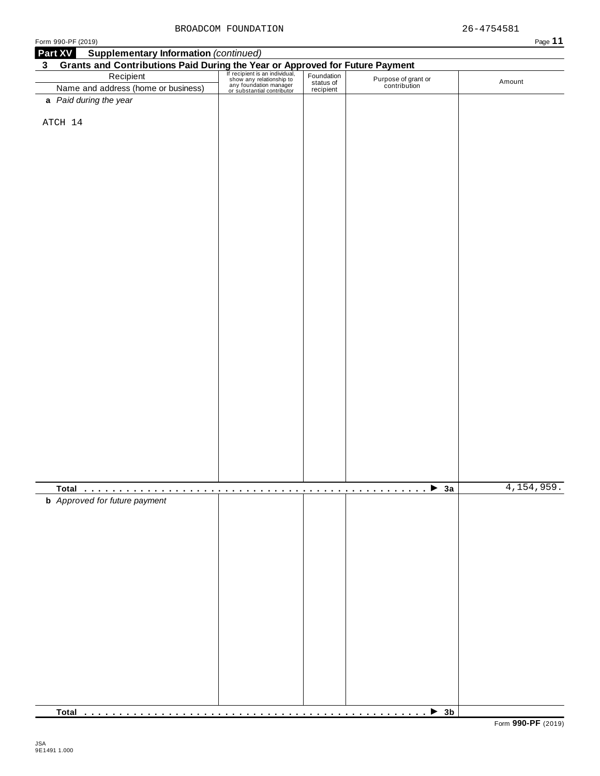|                | Form 990-PF (2019)                                                                                                                                                                                                                   |  |                                     | Page 11      |
|----------------|--------------------------------------------------------------------------------------------------------------------------------------------------------------------------------------------------------------------------------------|--|-------------------------------------|--------------|
|                | <b>Supplementary Information (continued)</b><br>Part XV                                                                                                                                                                              |  |                                     |              |
| 3 <sup>1</sup> | Grants and Contributions Paid During the Year or Approved for Future Payment<br>Recipient Recipient Recipient San individual, Foundation<br>Name and address (home or business) and Contributions of the Contribution<br>Mame and ad |  |                                     |              |
|                |                                                                                                                                                                                                                                      |  |                                     | Amount       |
|                | Name and address (home or business)                                                                                                                                                                                                  |  | Purpose of grant or<br>contribution |              |
|                | a Paid during the year                                                                                                                                                                                                               |  |                                     |              |
|                |                                                                                                                                                                                                                                      |  |                                     |              |
|                | ATCH 14                                                                                                                                                                                                                              |  |                                     |              |
|                |                                                                                                                                                                                                                                      |  |                                     |              |
|                |                                                                                                                                                                                                                                      |  |                                     |              |
|                |                                                                                                                                                                                                                                      |  |                                     |              |
|                |                                                                                                                                                                                                                                      |  |                                     |              |
|                |                                                                                                                                                                                                                                      |  |                                     |              |
|                |                                                                                                                                                                                                                                      |  |                                     |              |
|                |                                                                                                                                                                                                                                      |  |                                     |              |
|                |                                                                                                                                                                                                                                      |  |                                     |              |
|                |                                                                                                                                                                                                                                      |  |                                     |              |
|                |                                                                                                                                                                                                                                      |  |                                     |              |
|                |                                                                                                                                                                                                                                      |  |                                     |              |
|                |                                                                                                                                                                                                                                      |  |                                     |              |
|                |                                                                                                                                                                                                                                      |  |                                     |              |
|                |                                                                                                                                                                                                                                      |  |                                     |              |
|                |                                                                                                                                                                                                                                      |  |                                     |              |
|                |                                                                                                                                                                                                                                      |  |                                     |              |
|                |                                                                                                                                                                                                                                      |  |                                     |              |
|                |                                                                                                                                                                                                                                      |  |                                     |              |
|                |                                                                                                                                                                                                                                      |  |                                     |              |
|                |                                                                                                                                                                                                                                      |  |                                     |              |
|                |                                                                                                                                                                                                                                      |  |                                     |              |
|                |                                                                                                                                                                                                                                      |  |                                     |              |
|                |                                                                                                                                                                                                                                      |  |                                     |              |
|                |                                                                                                                                                                                                                                      |  |                                     |              |
|                |                                                                                                                                                                                                                                      |  |                                     |              |
|                |                                                                                                                                                                                                                                      |  |                                     |              |
|                |                                                                                                                                                                                                                                      |  |                                     |              |
|                |                                                                                                                                                                                                                                      |  |                                     |              |
|                |                                                                                                                                                                                                                                      |  |                                     |              |
|                |                                                                                                                                                                                                                                      |  |                                     |              |
|                |                                                                                                                                                                                                                                      |  |                                     |              |
|                |                                                                                                                                                                                                                                      |  |                                     |              |
|                |                                                                                                                                                                                                                                      |  |                                     | 4, 154, 959. |
|                | <b>b</b> Approved for future payment                                                                                                                                                                                                 |  |                                     |              |
|                |                                                                                                                                                                                                                                      |  |                                     |              |
|                |                                                                                                                                                                                                                                      |  |                                     |              |
|                |                                                                                                                                                                                                                                      |  |                                     |              |
|                |                                                                                                                                                                                                                                      |  |                                     |              |
|                |                                                                                                                                                                                                                                      |  |                                     |              |
|                |                                                                                                                                                                                                                                      |  |                                     |              |
|                |                                                                                                                                                                                                                                      |  |                                     |              |
|                |                                                                                                                                                                                                                                      |  |                                     |              |
|                |                                                                                                                                                                                                                                      |  |                                     |              |
|                |                                                                                                                                                                                                                                      |  |                                     |              |
|                |                                                                                                                                                                                                                                      |  |                                     |              |
|                |                                                                                                                                                                                                                                      |  |                                     |              |
|                |                                                                                                                                                                                                                                      |  |                                     |              |
|                |                                                                                                                                                                                                                                      |  |                                     |              |
|                |                                                                                                                                                                                                                                      |  |                                     |              |
|                |                                                                                                                                                                                                                                      |  |                                     |              |
|                |                                                                                                                                                                                                                                      |  |                                     |              |
|                |                                                                                                                                                                                                                                      |  |                                     |              |
|                |                                                                                                                                                                                                                                      |  |                                     |              |

**Total** m m m m m m m m m m m m m m m m m m m m m m m m m m m m m m m m m m m m m m m m m m m m m m m m m I **3b**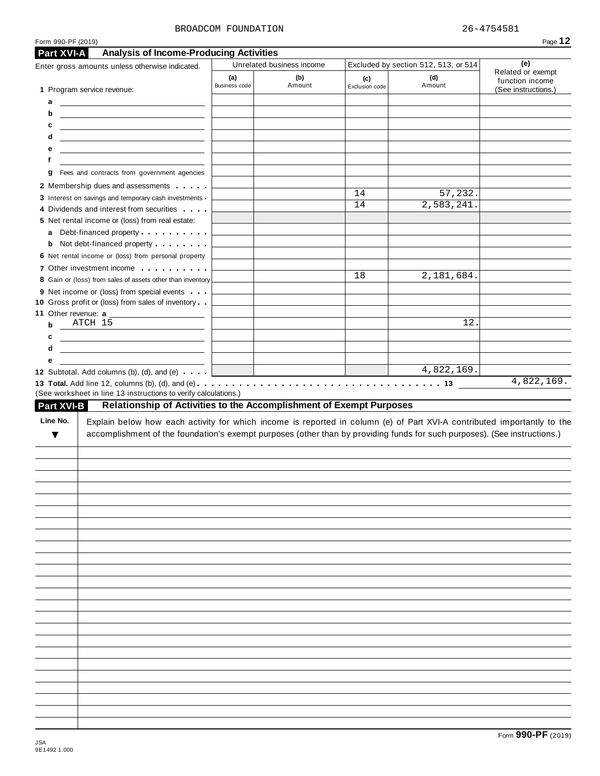### BROADCOM FOUNDATION  $26-4754581$

**(a)** Business code

Enter gross amounts unless otherwise indicated. Unrelated business income Excluded by section 512, 513, or 514

**(b)** Amount **(c)**

**Part XVI-A Analysis of Income-Producing Activities**

1 Program service revenue:

| а                                                                                                                                                                                                                                                                                                                                |                                                    |    |            |  |
|----------------------------------------------------------------------------------------------------------------------------------------------------------------------------------------------------------------------------------------------------------------------------------------------------------------------------------|----------------------------------------------------|----|------------|--|
| b<br><u> 1989 - Johann Barn, mars ann an t-Amhain ann an t-Amhain an t-Amhain an t-Amhain an t-Amhain ann an t-Amhain </u>                                                                                                                                                                                                       |                                                    |    |            |  |
| c                                                                                                                                                                                                                                                                                                                                |                                                    |    |            |  |
| d<br><u> 1989 - Johann Stein, mars an deus Amerikaansk kommunister (</u>                                                                                                                                                                                                                                                         |                                                    |    |            |  |
| е<br>the control of the control of the control of the control of the control of the control of                                                                                                                                                                                                                                   |                                                    |    |            |  |
| f                                                                                                                                                                                                                                                                                                                                |                                                    |    |            |  |
| Fees and contracts from government agencies<br>g                                                                                                                                                                                                                                                                                 |                                                    |    |            |  |
| 2 Membership dues and assessments                                                                                                                                                                                                                                                                                                |                                                    | 14 | 57,232.    |  |
| 3 Interest on savings and temporary cash investments -                                                                                                                                                                                                                                                                           |                                                    | 14 | 2,583,241. |  |
| 4 Dividends and interest from securities                                                                                                                                                                                                                                                                                         |                                                    |    |            |  |
| 5 Net rental income or (loss) from real estate:                                                                                                                                                                                                                                                                                  |                                                    |    |            |  |
| a Debt-financed property                                                                                                                                                                                                                                                                                                         |                                                    |    |            |  |
| <b>b</b> Not debt-financed property <b>contains the State of State Inc.</b>                                                                                                                                                                                                                                                      |                                                    |    |            |  |
| 6 Net rental income or (loss) from personal property                                                                                                                                                                                                                                                                             |                                                    |    |            |  |
| 7 Other investment income                                                                                                                                                                                                                                                                                                        |                                                    | 18 | 2,181,684. |  |
| 8 Gain or (loss) from sales of assets other than inventory                                                                                                                                                                                                                                                                       |                                                    |    |            |  |
| 9 Net income or (loss) from special events                                                                                                                                                                                                                                                                                       |                                                    |    |            |  |
| 10 Gross profit or (loss) from sales of inventory<br>11 Other revenue: a                                                                                                                                                                                                                                                         |                                                    |    |            |  |
| ATCH 15<br>b                                                                                                                                                                                                                                                                                                                     |                                                    |    | 12.        |  |
| c                                                                                                                                                                                                                                                                                                                                |                                                    |    |            |  |
| d<br><u> 1989 - Johann Stein, mars an deus an deus Amerikaansk kommunister (</u>                                                                                                                                                                                                                                                 |                                                    |    |            |  |
| е                                                                                                                                                                                                                                                                                                                                |                                                    |    |            |  |
|                                                                                                                                                                                                                                                                                                                                  | <u> 1989 - Johann Stoff, fransk politik (d. 19</u> |    | 4,822,169. |  |
| Relationship of Activities to the Accomplishment of Exempt Purposes<br>Explain below how each activity for which income is reported in column (e) of Part XVI-A contributed importantly to the<br>accomplishment of the foundation's exempt purposes (other than by providing funds for such purposes). (See instructions.)<br>▼ |                                                    |    |            |  |
| 12 Subtotal. Add columns (b), (d), and (e) $\cdots$<br>(See worksheet in line 13 instructions to verify calculations.)<br>Part XVI-B<br>Line No.                                                                                                                                                                                 |                                                    |    |            |  |
|                                                                                                                                                                                                                                                                                                                                  |                                                    |    |            |  |
|                                                                                                                                                                                                                                                                                                                                  |                                                    |    |            |  |
|                                                                                                                                                                                                                                                                                                                                  |                                                    |    |            |  |
|                                                                                                                                                                                                                                                                                                                                  |                                                    |    |            |  |
|                                                                                                                                                                                                                                                                                                                                  |                                                    |    |            |  |
|                                                                                                                                                                                                                                                                                                                                  |                                                    |    |            |  |
|                                                                                                                                                                                                                                                                                                                                  |                                                    |    |            |  |
|                                                                                                                                                                                                                                                                                                                                  |                                                    |    |            |  |
|                                                                                                                                                                                                                                                                                                                                  |                                                    |    |            |  |
|                                                                                                                                                                                                                                                                                                                                  |                                                    |    |            |  |
|                                                                                                                                                                                                                                                                                                                                  |                                                    |    |            |  |
|                                                                                                                                                                                                                                                                                                                                  |                                                    |    |            |  |
|                                                                                                                                                                                                                                                                                                                                  |                                                    |    |            |  |
|                                                                                                                                                                                                                                                                                                                                  |                                                    |    |            |  |
|                                                                                                                                                                                                                                                                                                                                  |                                                    |    |            |  |
|                                                                                                                                                                                                                                                                                                                                  |                                                    |    |            |  |
|                                                                                                                                                                                                                                                                                                                                  |                                                    |    |            |  |
|                                                                                                                                                                                                                                                                                                                                  |                                                    |    |            |  |
|                                                                                                                                                                                                                                                                                                                                  |                                                    |    |            |  |
|                                                                                                                                                                                                                                                                                                                                  |                                                    |    |            |  |
|                                                                                                                                                                                                                                                                                                                                  |                                                    |    |            |  |

**(d)** Amount

**(e)** Related or exempt function income (See instructions.)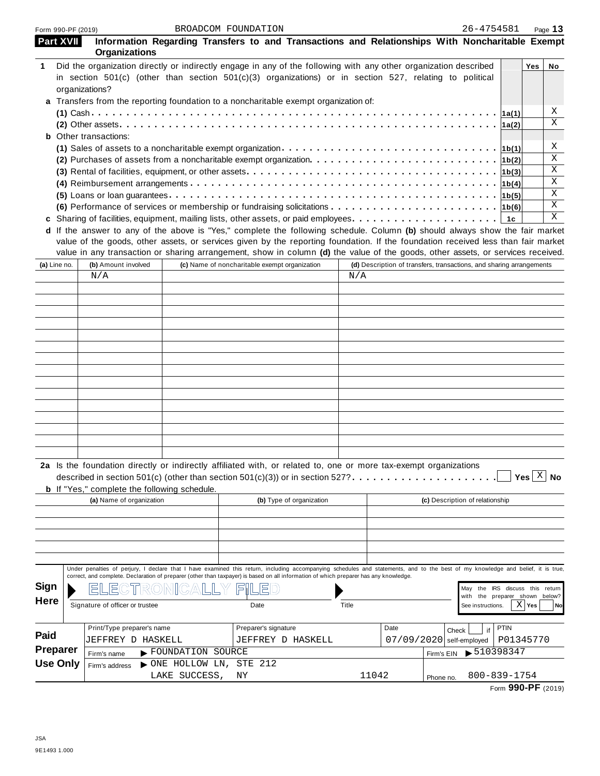| <b>Part XVII</b> | <b>Organizations</b>                                |                   | Information Regarding Transfers to and Transactions and Relationships With Noncharitable Exempt                                                                                                                                                                                                                                                                                                      |       |                                                                      |            |                                                        |             |                                                |              |
|------------------|-----------------------------------------------------|-------------------|------------------------------------------------------------------------------------------------------------------------------------------------------------------------------------------------------------------------------------------------------------------------------------------------------------------------------------------------------------------------------------------------------|-------|----------------------------------------------------------------------|------------|--------------------------------------------------------|-------------|------------------------------------------------|--------------|
| 1                | organizations?                                      |                   | Did the organization directly or indirectly engage in any of the following with any other organization described<br>in section 501(c) (other than section 501(c)(3) organizations) or in section 527, relating to political<br>a Transfers from the reporting foundation to a noncharitable exempt organization of:                                                                                  |       |                                                                      |            |                                                        |             | Yes                                            | No           |
|                  |                                                     |                   |                                                                                                                                                                                                                                                                                                                                                                                                      |       |                                                                      |            |                                                        |             |                                                | Χ            |
|                  |                                                     |                   |                                                                                                                                                                                                                                                                                                                                                                                                      |       |                                                                      |            |                                                        | 1a(2)       |                                                | $\mathbf{x}$ |
|                  | <b>b</b> Other transactions:                        |                   |                                                                                                                                                                                                                                                                                                                                                                                                      |       |                                                                      |            |                                                        |             |                                                |              |
|                  |                                                     |                   | (1) Sales of assets to a noncharitable exempt organization $\cdots \cdots \cdots \cdots \cdots \cdots \cdots \cdots \cdots \cdots \cdot  16(1) $                                                                                                                                                                                                                                                     |       |                                                                      |            |                                                        |             |                                                | Χ            |
|                  |                                                     |                   |                                                                                                                                                                                                                                                                                                                                                                                                      |       |                                                                      |            |                                                        | 1b(2)       |                                                | $\mathbf x$  |
|                  |                                                     |                   |                                                                                                                                                                                                                                                                                                                                                                                                      |       |                                                                      |            |                                                        | 1b(3)       |                                                | X            |
|                  |                                                     |                   |                                                                                                                                                                                                                                                                                                                                                                                                      |       |                                                                      |            |                                                        | 1b(4)       |                                                | X            |
|                  |                                                     |                   |                                                                                                                                                                                                                                                                                                                                                                                                      |       |                                                                      |            |                                                        | 1b(5)       |                                                | X            |
|                  |                                                     |                   | (6) Performance of services or membership or fundraising solicitations $\ldots \ldots \ldots \ldots \ldots \ldots \ldots \ldots$                                                                                                                                                                                                                                                                     |       |                                                                      |            |                                                        |             |                                                | X            |
|                  |                                                     |                   | c Sharing of facilities, equipment, mailing lists, other assets, or paid employees                                                                                                                                                                                                                                                                                                                   |       |                                                                      |            |                                                        | 1c          |                                                | X            |
|                  |                                                     |                   | d If the answer to any of the above is "Yes," complete the following schedule. Column (b) should always show the fair market<br>value of the goods, other assets, or services given by the reporting foundation. If the foundation received less than fair market<br>value in any transaction or sharing arrangement, show in column (d) the value of the goods, other assets, or services received. |       |                                                                      |            |                                                        |             |                                                |              |
| (a) Line no.     | (b) Amount involved                                 |                   | (c) Name of noncharitable exempt organization                                                                                                                                                                                                                                                                                                                                                        | N/A   | (d) Description of transfers, transactions, and sharing arrangements |            |                                                        |             |                                                |              |
|                  | N/A                                                 |                   |                                                                                                                                                                                                                                                                                                                                                                                                      |       |                                                                      |            |                                                        |             |                                                |              |
|                  |                                                     |                   |                                                                                                                                                                                                                                                                                                                                                                                                      |       |                                                                      |            |                                                        |             |                                                |              |
|                  |                                                     |                   |                                                                                                                                                                                                                                                                                                                                                                                                      |       |                                                                      |            |                                                        |             |                                                |              |
|                  |                                                     |                   |                                                                                                                                                                                                                                                                                                                                                                                                      |       |                                                                      |            |                                                        |             |                                                |              |
|                  |                                                     |                   |                                                                                                                                                                                                                                                                                                                                                                                                      |       |                                                                      |            |                                                        |             |                                                |              |
|                  |                                                     |                   |                                                                                                                                                                                                                                                                                                                                                                                                      |       |                                                                      |            |                                                        |             |                                                |              |
|                  |                                                     |                   |                                                                                                                                                                                                                                                                                                                                                                                                      |       |                                                                      |            |                                                        |             |                                                |              |
|                  |                                                     |                   |                                                                                                                                                                                                                                                                                                                                                                                                      |       |                                                                      |            |                                                        |             |                                                |              |
|                  |                                                     |                   |                                                                                                                                                                                                                                                                                                                                                                                                      |       |                                                                      |            |                                                        |             |                                                |              |
|                  |                                                     |                   |                                                                                                                                                                                                                                                                                                                                                                                                      |       |                                                                      |            |                                                        |             |                                                |              |
|                  |                                                     |                   |                                                                                                                                                                                                                                                                                                                                                                                                      |       |                                                                      |            |                                                        |             |                                                |              |
|                  |                                                     |                   |                                                                                                                                                                                                                                                                                                                                                                                                      |       |                                                                      |            |                                                        |             |                                                |              |
|                  |                                                     |                   |                                                                                                                                                                                                                                                                                                                                                                                                      |       |                                                                      |            |                                                        |             |                                                |              |
|                  |                                                     |                   |                                                                                                                                                                                                                                                                                                                                                                                                      |       |                                                                      |            |                                                        |             |                                                |              |
|                  |                                                     |                   |                                                                                                                                                                                                                                                                                                                                                                                                      |       |                                                                      |            |                                                        |             |                                                |              |
|                  | <b>b</b> If "Yes," complete the following schedule. |                   | 2a Is the foundation directly or indirectly affiliated with, or related to, one or more tax-exempt organizations<br>described in section 501(c) (other than section 501(c)(3)) or in section 527?                                                                                                                                                                                                    |       |                                                                      |            |                                                        |             | $\rfloor$ Yes $\lfloor \frac{X}{2} \rfloor$ No |              |
|                  | (a) Name of organization                            |                   | (b) Type of organization                                                                                                                                                                                                                                                                                                                                                                             |       |                                                                      |            | (c) Description of relationship                        |             |                                                |              |
|                  |                                                     |                   |                                                                                                                                                                                                                                                                                                                                                                                                      |       |                                                                      |            |                                                        |             |                                                |              |
|                  |                                                     |                   |                                                                                                                                                                                                                                                                                                                                                                                                      |       |                                                                      |            |                                                        |             |                                                |              |
|                  |                                                     |                   |                                                                                                                                                                                                                                                                                                                                                                                                      |       |                                                                      |            |                                                        |             |                                                |              |
|                  |                                                     |                   |                                                                                                                                                                                                                                                                                                                                                                                                      |       |                                                                      |            |                                                        |             |                                                |              |
|                  |                                                     |                   | Under penalties of perjury, I declare that I have examined this return, including accompanying schedules and statements, and to the best of my knowledge and belief, it is true,<br>correct, and complete. Declaration of preparer (other than taxpayer) is based on all information of which preparer has any knowledge.                                                                            |       |                                                                      |            |                                                        |             |                                                |              |
| Sign             |                                                     |                   |                                                                                                                                                                                                                                                                                                                                                                                                      |       |                                                                      |            | the IRS discuss this return<br>May                     |             |                                                |              |
| <b>Here</b>      | Signature of officer or trustee                     |                   | Date                                                                                                                                                                                                                                                                                                                                                                                                 | Title |                                                                      |            | the preparer shown below?<br>with<br>See instructions. |             | $X$ Yes                                        | No           |
|                  | Print/Type preparer's name                          |                   | Preparer's signature                                                                                                                                                                                                                                                                                                                                                                                 |       | Date                                                                 |            |                                                        | <b>PTIN</b> |                                                |              |
| Paid             |                                                     |                   |                                                                                                                                                                                                                                                                                                                                                                                                      |       |                                                                      | Check      | if                                                     |             |                                                |              |
| <b>Preparer</b>  | JEFFREY D HASKELL                                   |                   | JEFFREY D HASKELL                                                                                                                                                                                                                                                                                                                                                                                    |       | 07/09/2020                                                           |            | self-employed                                          | P01345770   |                                                |              |
| <b>Use Only</b>  | Firm's name                                         | FOUNDATION SOURCE |                                                                                                                                                                                                                                                                                                                                                                                                      |       |                                                                      | Firm's EIN | $\blacktriangleright$ 510398347                        |             |                                                |              |
|                  | Firm's address                                      | NONE HOLLOW LN,   | STE 212                                                                                                                                                                                                                                                                                                                                                                                              |       |                                                                      |            |                                                        |             |                                                |              |
|                  |                                                     | LAKE SUCCESS,     | ΝY                                                                                                                                                                                                                                                                                                                                                                                                   | 11042 |                                                                      | Phone no.  | 800-839-1754                                           |             |                                                |              |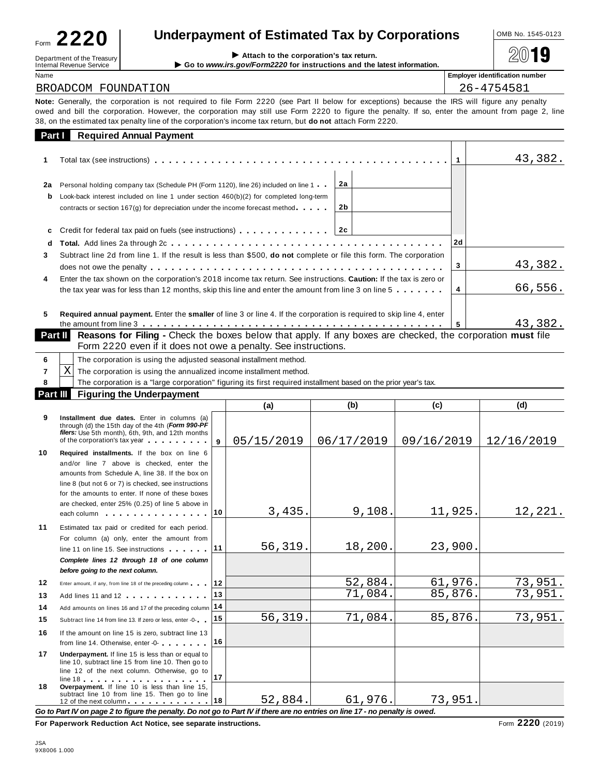| Form | 2220                       |  |
|------|----------------------------|--|
|      | Denartment of the Treasury |  |

| Underpayment of Estimated Tax by Corporations | OMB No. 1545-0123 |
|-----------------------------------------------|-------------------|
|                                               |                   |

| Name<br>$\sim$ |  |
|----------------|--|
|                |  |

 $Department of the Treasury  
International Revenue Service  
Meanal Review Service$ 

**Employer identification number** BROADCOM FOUNDATION 26-4754581

**Note:** Generally, the corporation is not required to file Form 2220 (see Part II below for exceptions) because the IRS will figure any penalty owed and bill the corporation. However, the corporation may still use Form 2220 to figure the penalty. If so, enter the amount from page 2, line 38, on the estimated tax penalty line of the corporation's income tax return, but **do not** attach Form 2220.

|                | <b>Part Required Annual Payment</b>                                                                                                                                                                                                                              |          |         |         |
|----------------|------------------------------------------------------------------------------------------------------------------------------------------------------------------------------------------------------------------------------------------------------------------|----------|---------|---------|
|                |                                                                                                                                                                                                                                                                  |          |         | 43,382. |
| 2a<br>b        | Personal holding company tax (Schedule PH (Form 1120), line 26) included on line 1<br>Look-back interest included on line 1 under section $460(b)(2)$ for completed long-term<br>contracts or section $167(g)$ for depreciation under the income forecast method | 2a<br>2b |         |         |
| C<br>d         | Total. Add lines 2a through $2c_1, \ldots, c_n, \ldots, c_1, \ldots, c_n, \ldots, c_1, \ldots, c_n, \ldots, c_n$                                                                                                                                                 |          | 2d      |         |
| 3              | Subtract line 2d from line 1. If the result is less than \$500, <b>do not</b> complete or file this form. The corporation                                                                                                                                        |          | 3       | 43,382. |
| 4              | Enter the tax shown on the corporation's 2018 income tax return. See instructions. Caution: If the tax is zero or<br>the tax year was for less than 12 months, skip this line and enter the amount from line 3 on line 5 $\dots \dots$                           | 4        | 66,556. |         |
| 5              | Required annual payment. Enter the smaller of line 3 or line 4. If the corporation is required to skip line 4, enter                                                                                                                                             | 5        | 43,382. |         |
| <b>Part II</b> | <b>Reasons for Filing -</b> Check the boxes below that apply. If any boxes are checked, the corporation must file                                                                                                                                                |          |         |         |

|  | <b>PartII</b> Reasons for Filing - Check the boxes below that apply. If any boxes are ch |
|--|------------------------------------------------------------------------------------------|
|  | Form 2220 even if it does not owe a penalty. See instructions.                           |
|  |                                                                                          |

|    |                                                                                                                 | (a |  |  | (d) |  |  |  |  |  |
|----|-----------------------------------------------------------------------------------------------------------------|----|--|--|-----|--|--|--|--|--|
|    | <b>Part III</b> Figuring the Underpayment                                                                       |    |  |  |     |  |  |  |  |  |
|    | The corporation is a "large corporation" figuring its first required installment based on the prior year's tax. |    |  |  |     |  |  |  |  |  |
| ΧI | The corporation is using the annualized income installment method.                                              |    |  |  |     |  |  |  |  |  |
|    | The corporation is using the adjusted seasonal installment method.                                              |    |  |  |     |  |  |  |  |  |

|    |                                                                                                                                                                                                                                                                                                             |     | w          | $\ddot{\phantom{0}}$ | $\ddot{\phantom{0}}$ | $\sim$     |
|----|-------------------------------------------------------------------------------------------------------------------------------------------------------------------------------------------------------------------------------------------------------------------------------------------------------------|-----|------------|----------------------|----------------------|------------|
| 9  | Installment due dates. Enter in columns (a)<br>through (d) the 15th day of the 4th (Form 990-PF<br>filers: Use 5th month), 6th, 9th, and 12th months<br>of the corporation's tax year                                                                                                                       | 9   | 05/15/2019 | 06/17/2019           | 09/16/2019           | 12/16/2019 |
| 10 | Required installments. If the box on line 6<br>and/or line 7 above is checked, enter the<br>amounts from Schedule A, line 38. If the box on<br>line 8 (but not 6 or 7) is checked, see instructions<br>for the amounts to enter. If none of these boxes<br>are checked, enter 25% (0.25) of line 5 above in |     |            |                      |                      |            |
|    | each column experience and the set of the set of the set of the set of the set of the set of the set of the set of the set of the set of the set of the set of the set of the set of the set of the set of the set of the set                                                                               | 10. | 3,435.     | 9,108.               | 11,925.              | 12,221.    |
| 11 | Estimated tax paid or credited for each period.<br>For column (a) only, enter the amount from<br>line 11 on line 15. See instructions                                                                                                                                                                       | 111 | 56,319.    | 18,200.              | 23,900.              |            |
|    | Complete lines 12 through 18 of one column<br>before going to the next column.                                                                                                                                                                                                                              |     |            |                      |                      |            |
| 12 | Enter amount, if any, from line 18 of the preceding column                                                                                                                                                                                                                                                  | 12  |            | 52,884.              | 61,976.              | 73,951.    |
| 13 | Add lines 11 and 12                                                                                                                                                                                                                                                                                         | 13  |            | 71,084.              | 85,876.              | 73,951.    |
| 14 | Add amounts on lines 16 and 17 of the preceding column 14                                                                                                                                                                                                                                                   |     |            |                      |                      |            |
| 15 | Subtract line 14 from line 13. If zero or less, enter -0-                                                                                                                                                                                                                                                   | 15  | 56,319.    | 71,084.              | 85,876.              | 73,951.    |
| 16 | If the amount on line 15 is zero, subtract line 13<br>from line 14. Otherwise, enter -0-                                                                                                                                                                                                                    | 16  |            |                      |                      |            |
| 17 | Underpayment. If line 15 is less than or equal to<br>line 10, subtract line 15 from line 10. Then go to<br>line 12 of the next column. Otherwise, go to                                                                                                                                                     | 17  |            |                      |                      |            |
| 18 | Overpayment. If line 10 is less than line 15,<br>subtract line 10 from line 15. Then go to line<br>12 of the next column 12 of the next column                                                                                                                                                              |     | 52,884.    | 61,976.              | 73,951.              |            |

Go to Part IV on page 2 to figure the penalty. Do not go to Part IV if there are no entries on line 17 - no penalty is owed.

**For Paperwork Reduction Act Notice, see separate instructions.** Form **2220** (2019)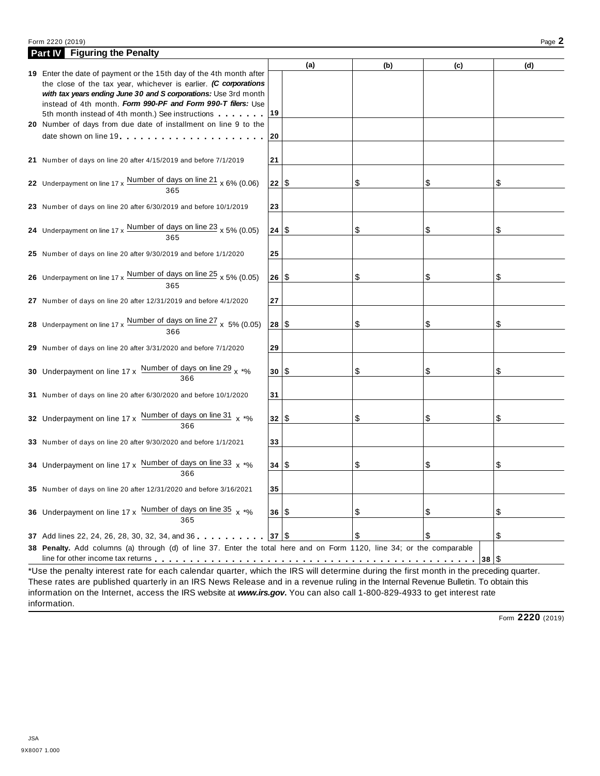### Form <sup>2220</sup> (2019) Page **2**

| <b>Part IV</b> Figuring the Penalty                                                                                                     |      |     |     |     |      |     |
|-----------------------------------------------------------------------------------------------------------------------------------------|------|-----|-----|-----|------|-----|
|                                                                                                                                         |      | (a) | (b) | (c) |      | (d) |
| 19 Enter the date of payment or the 15th day of the 4th month after                                                                     |      |     |     |     |      |     |
| the close of the tax year, whichever is earlier. (C corporations<br>with tax years ending June 30 and S corporations: Use 3rd month     |      |     |     |     |      |     |
| instead of 4th month. Form 990-PF and Form 990-T filers: Use                                                                            |      |     |     |     |      |     |
| 5th month instead of 4th month.) See instructions                                                                                       | 19   |     |     |     |      |     |
| 20 Number of days from due date of installment on line 9 to the                                                                         |      |     |     |     |      |     |
|                                                                                                                                         | 20   |     |     |     |      |     |
|                                                                                                                                         |      |     |     |     |      |     |
| 21 Number of days on line 20 after 4/15/2019 and before 7/1/2019                                                                        | 21   |     |     |     |      |     |
|                                                                                                                                         |      |     |     |     |      |     |
| 22 Underpayment on line 17 x $\frac{\text{Number of days on line 21}}{365}$ x 6% (0.06)                                                 | 22 S |     | \$  | \$  | \$   |     |
|                                                                                                                                         |      |     |     |     |      |     |
| 23 Number of days on line 20 after 6/30/2019 and before 10/1/2019                                                                       | 23   |     |     |     |      |     |
|                                                                                                                                         |      |     |     |     |      |     |
| 24 Underpayment on line $17 \times \frac{\text{Number of days on line 23}}{365} \times 5\% (0.05)$                                      | 24   | \$  | \$  | \$  | \$   |     |
|                                                                                                                                         |      |     |     |     |      |     |
| 25 Number of days on line 20 after 9/30/2019 and before 1/1/2020                                                                        | 25   |     |     |     |      |     |
|                                                                                                                                         |      |     |     |     |      |     |
| 26 Underpayment on line $17 \times$ Number of days on line $25 \times 5\%$ (0.05)<br>365                                                | 26 S |     | \$  | \$  | \$   |     |
|                                                                                                                                         |      |     |     |     |      |     |
| 27 Number of days on line 20 after 12/31/2019 and before 4/1/2020                                                                       | 27   |     |     |     |      |     |
|                                                                                                                                         | 28   | \$  | \$  | \$  | \$   |     |
| 28 Underpayment on line $17 \times \frac{\text{Number of days on line } 27}{366} \times 5\% (0.05)$                                     |      |     |     |     |      |     |
| 29 Number of days on line 20 after 3/31/2020 and before 7/1/2020                                                                        | 29   |     |     |     |      |     |
|                                                                                                                                         |      |     |     |     |      |     |
| 30 Underpayment on line $17 \times \frac{\text{Number of days on line 29}}{366} \times \frac{1}{100}$                                   | 30   | S   | \$  | \$  | \$   |     |
|                                                                                                                                         |      |     |     |     |      |     |
| 31 Number of days on line 20 after 6/30/2020 and before 10/1/2020                                                                       | 31   |     |     |     |      |     |
|                                                                                                                                         |      |     |     |     |      |     |
| 32 Underpayment on line 17 x Number of days on line 31 x *%                                                                             | 32 S |     | \$  | \$  | \$   |     |
| 366                                                                                                                                     |      |     |     |     |      |     |
| 33 Number of days on line 20 after 9/30/2020 and before 1/1/2021                                                                        | 33   |     |     |     |      |     |
|                                                                                                                                         |      |     |     |     |      |     |
| 34 Underpayment on line 17 x Number of days on line 33 x *%                                                                             | 34   | \$  | \$  | \$  | \$   |     |
| 366                                                                                                                                     |      |     |     |     |      |     |
| Number of days on line 20 after 12/31/2020 and before 3/16/2021                                                                         | 35   |     |     |     |      |     |
|                                                                                                                                         |      |     |     |     |      |     |
| 36 Underpayment on line 17 x Number of days on line 35 x *%                                                                             | 36 S |     | \$  | \$  | \$   |     |
|                                                                                                                                         |      |     |     |     |      |     |
| 37 Add lines 22, 24, 26, 28, 30, 32, 34, and 36                                                                                         | 37   | \$  | \$  | \$  | \$   |     |
| 38 Penalty. Add columns (a) through (d) of line 37. Enter the total here and on Form 1120, line 34; or the comparable                   |      |     |     |     |      |     |
|                                                                                                                                         |      |     |     |     | 38 S |     |
| *Use the penalty interest rate for each calendar quarter, which the IRS will determine during the first month in the preceding quarter. |      |     |     |     |      |     |

These rates are published quarterly in an IRS News Release and in a revenue ruling in the Internal Revenue Bulletin. To obtain this information on the Internet, access the IRS website at *www.irs.gov***.** You can also call 1-800-829-4933 to get interest rate information.

Form **2220** (2019)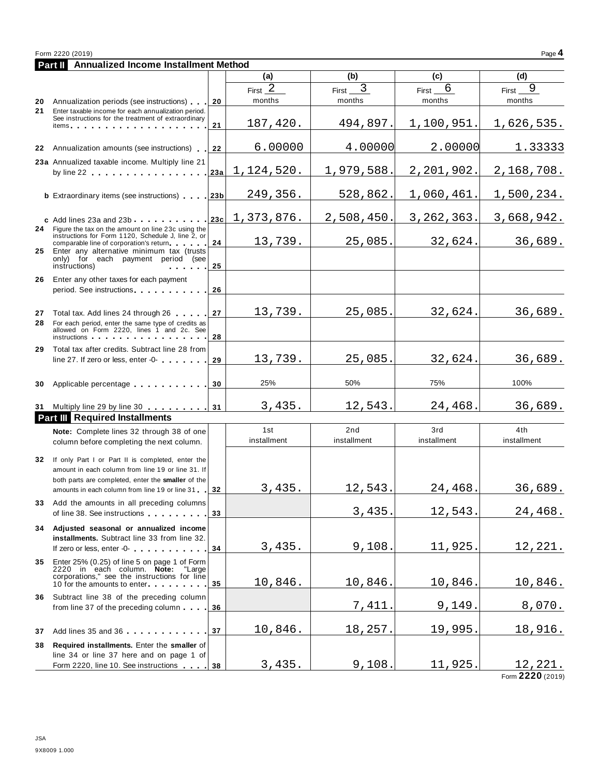|    | <b>Part II</b> Annualized Income Installment Method                                                                                                                                                                                                                                         |     |                    |             |              |                |
|----|---------------------------------------------------------------------------------------------------------------------------------------------------------------------------------------------------------------------------------------------------------------------------------------------|-----|--------------------|-------------|--------------|----------------|
|    |                                                                                                                                                                                                                                                                                             |     | (a)                | (b)         | (c)          | (d)            |
|    |                                                                                                                                                                                                                                                                                             |     | First $2$          | 3<br>First  | 6<br>First_  | 9<br>First     |
| 20 | Annualization periods (see instructions)                                                                                                                                                                                                                                                    | 20  | months             | months      | months       | months         |
| 21 | Enter taxable income for each annualization period.                                                                                                                                                                                                                                         |     |                    |             |              |                |
|    | See instructions for the treatment of extraordinary<br>items <b>the contract of the contract of the contract of the contract of the contract of the contract of the contract of the contract of the contract of the contract of the contract of the contract of the contract of the con</b> | 21  | 187,420.           | 494,897.    | 1,100,951.   | 1,626,535.     |
|    |                                                                                                                                                                                                                                                                                             |     |                    |             |              |                |
|    | 22 Annualization amounts (see instructions)                                                                                                                                                                                                                                                 | 22  | 6.00000            | 4.00000     | 2.00000      | 1.33333        |
|    | 23a Annualized taxable income. Multiply line 21                                                                                                                                                                                                                                             |     |                    |             |              |                |
|    |                                                                                                                                                                                                                                                                                             | 23a | 1,124,520.         | 1,979,588.  | 2,201,902.   | 2,168,708.     |
|    |                                                                                                                                                                                                                                                                                             |     |                    |             |              |                |
|    | <b>b</b> Extraordinary items (see instructions) 23b                                                                                                                                                                                                                                         |     | 249,356.           | 528,862.    | 1,060,461.   | 1,500,234.     |
|    |                                                                                                                                                                                                                                                                                             |     |                    |             |              |                |
|    | $\text{c}$ Add lines 23a and 23b                                                                                                                                                                                                                                                            |     | $ 23c $ 1,373,876. | 2,508,450.  | 3, 262, 363. | 3,668,942.     |
|    | 24 Figure the tax on the amount on line 23c using the<br>instructions for Form 1120, Schedule J, line 2, or                                                                                                                                                                                 |     |                    |             |              |                |
| 25 | comparable line of corporation's return<br>Enter any alternative minimum tax (trusts                                                                                                                                                                                                        | 24  | 13,739.            | 25,085.     | 32,624.      | 36,689.        |
|    | only) for each payment period (see                                                                                                                                                                                                                                                          |     |                    |             |              |                |
|    | instructions)                                                                                                                                                                                                                                                                               | 25  |                    |             |              |                |
| 26 | Enter any other taxes for each payment                                                                                                                                                                                                                                                      |     |                    |             |              |                |
|    | period. See instructions entitled and the set of the set of the set of the set of the set of the set of the set                                                                                                                                                                             | 26  |                    |             |              |                |
| 27 | Total tax. Add lines 24 through 26                                                                                                                                                                                                                                                          | 27  | 13,739.            | 25,085.     | 32,624.      | 36,689.        |
| 28 | For each period, enter the same type of credits as                                                                                                                                                                                                                                          |     |                    |             |              |                |
|    | allowed on Form 2220, lines 1 and 2c. See<br>instructions and the state of the state of the state of the state of the state of the state of the state of the                                                                                                                                | 28  |                    |             |              |                |
| 29 | Total tax after credits. Subtract line 28 from                                                                                                                                                                                                                                              |     |                    |             |              |                |
|    | line 27. If zero or less, enter -0-                                                                                                                                                                                                                                                         | 29  | 13,739.            | 25,085.     | 32,624.      | 36,689.        |
|    |                                                                                                                                                                                                                                                                                             |     |                    |             |              |                |
| 30 | Applicable percentage                                                                                                                                                                                                                                                                       | 30  | 25%                | 50%         | 75%          | 100%           |
|    |                                                                                                                                                                                                                                                                                             |     |                    |             |              |                |
|    | 31 Multiply line 29 by line 30 31                                                                                                                                                                                                                                                           |     | 3,435.             | 12,543.     | 24,468.      | 36,689.        |
|    | <b>Part III</b> Required Installments                                                                                                                                                                                                                                                       |     |                    |             |              |                |
|    | Note: Complete lines 32 through 38 of one                                                                                                                                                                                                                                                   |     | 1st                | 2nd         | 3rd          | 4th            |
|    | column before completing the next column.                                                                                                                                                                                                                                                   |     | installment        | installment | installment  | installment    |
| 32 | If only Part I or Part II is completed, enter the                                                                                                                                                                                                                                           |     |                    |             |              |                |
|    | amount in each column from line 19 or line 31. If                                                                                                                                                                                                                                           |     |                    |             |              |                |
|    | both parts are completed, enter the smaller of the                                                                                                                                                                                                                                          |     | 3,435.             | 12,543.     | 24,468.      | 36,689.        |
|    | amounts in each column from line 19 or line 31 32                                                                                                                                                                                                                                           |     |                    |             |              |                |
| 33 | Add the amounts in all preceding columns<br>of line 38. See instructions                                                                                                                                                                                                                    | 33  |                    | 3,435.      | 12,543       | 24,468.        |
|    |                                                                                                                                                                                                                                                                                             |     |                    |             |              |                |
|    | 34 Adjusted seasonal or annualized income<br>installments. Subtract line 33 from line 32.                                                                                                                                                                                                   |     |                    |             |              |                |
|    | If zero or less, enter -0-                                                                                                                                                                                                                                                                  | 34  | 3,435.             | 9,108.      | 11,925.      | 12,221.        |
| 35 | Enter 25% (0.25) of line 5 on page 1 of Form                                                                                                                                                                                                                                                |     |                    |             |              |                |
|    | 2220 in each column. Note: "Large                                                                                                                                                                                                                                                           |     |                    |             |              |                |
|    | corporations," see the instructions for line<br>10 for the amounts to enter                                                                                                                                                                                                                 | 35  | 10,846.            | 10,846.     | 10,846.      | 10,846.        |
| 36 | Subtract line 38 of the preceding column                                                                                                                                                                                                                                                    |     |                    |             |              |                |
|    | from line 37 of the preceding column                                                                                                                                                                                                                                                        | 36  |                    | 7,411       | 9,149        | 8,070.         |
|    |                                                                                                                                                                                                                                                                                             |     |                    |             |              |                |
| 37 | Add lines 35 and 36                                                                                                                                                                                                                                                                         | 37  | 10,846.            | 18,257.     | 19,995       | 18,916.        |
| 38 | Required installments. Enter the smaller of                                                                                                                                                                                                                                                 |     |                    |             |              |                |
|    | line 34 or line 37 here and on page 1 of                                                                                                                                                                                                                                                    |     |                    |             |              |                |
|    | Form 2220, line 10. See instructions 38                                                                                                                                                                                                                                                     |     | 3,435.             | 9,108.      | 11,925.      | <u>12,221.</u> |

Form **2220** (2019)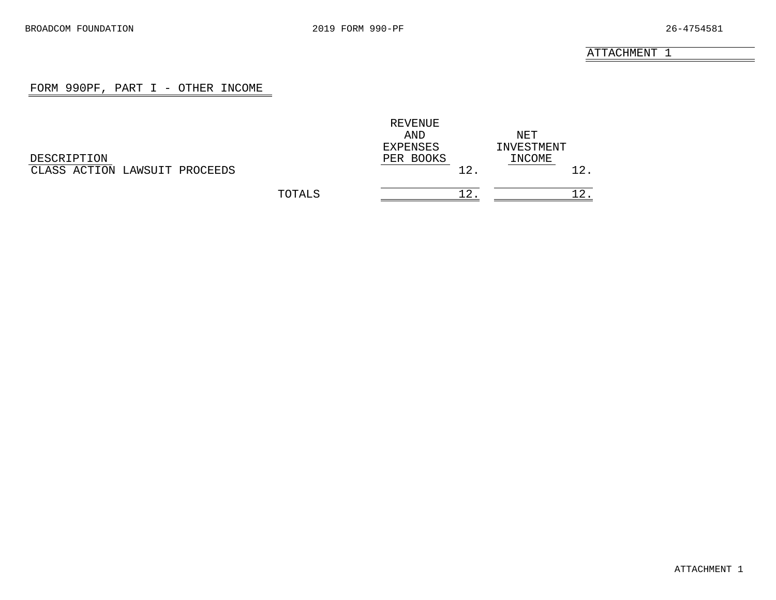# FORM 990PF, PART I - OTHER INCOME

<span id="page-16-0"></span>

|                               |        | REVENUE   |            |
|-------------------------------|--------|-----------|------------|
|                               |        | AND       | NET        |
|                               |        | EXPENSES  | INVESTMENT |
| DESCRIPTION                   |        | PER BOOKS | INCOME     |
| CLASS ACTION LAWSUIT PROCEEDS |        | 12.       |            |
|                               | TOTALS |           |            |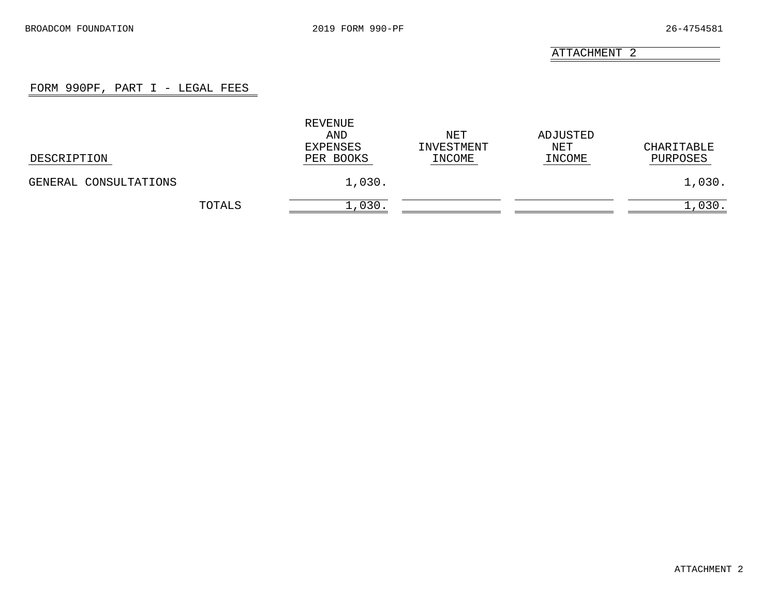# FORM 990PF, PART I - LEGAL FEES

<span id="page-17-0"></span>

| DESCRIPTION           |        | REVENUE<br>AND<br>EXPENSES<br>PER BOOKS | NET<br>INVESTMENT<br>INCOME | ADJUSTED<br>NET<br>INCOME | CHARITABLE<br>PURPOSES |
|-----------------------|--------|-----------------------------------------|-----------------------------|---------------------------|------------------------|
| GENERAL CONSULTATIONS |        | 1,030.                                  |                             |                           | 1,030.                 |
|                       | TOTALS | 1,030.                                  |                             |                           | 030.                   |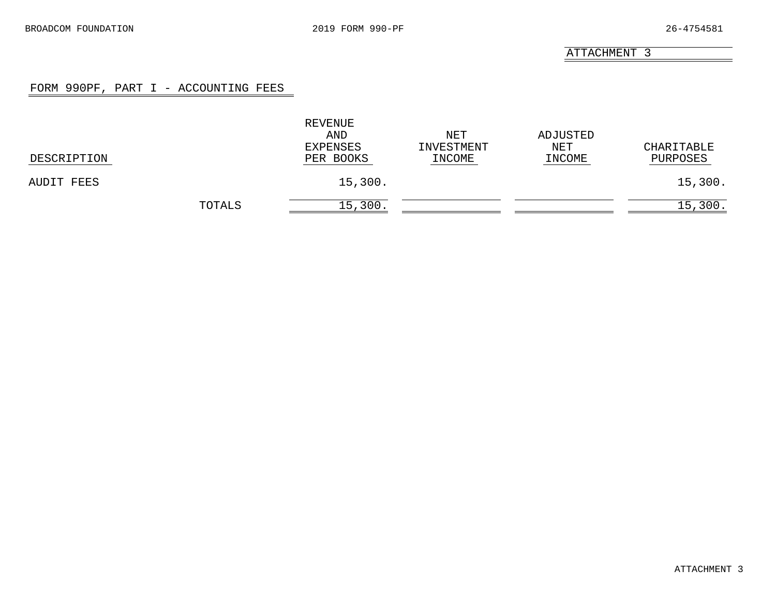# FORM 990PF, PART I - ACCOUNTING FEES

<span id="page-18-0"></span>

| DESCRIPTION |        | REVENUE<br>AND<br>EXPENSES<br>PER BOOKS | NET<br>INVESTMENT<br>INCOME | ADJUSTED<br>NET<br>INCOME | CHARITABLE<br>PURPOSES |
|-------------|--------|-----------------------------------------|-----------------------------|---------------------------|------------------------|
| AUDIT FEES  |        | 15,300.                                 |                             |                           | 15,300.                |
|             | TOTALS | 15,300.                                 |                             |                           | 15,300.                |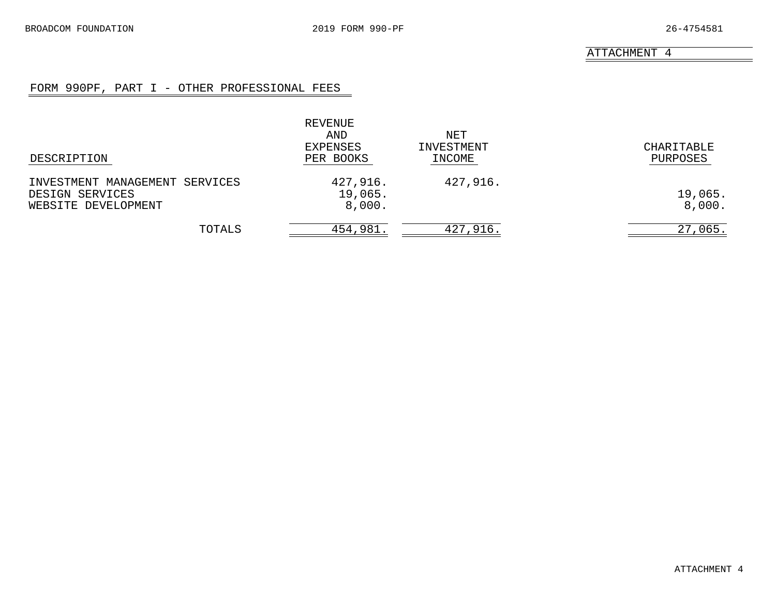# FORM 990PF, PART I - OTHER PROFESSIONAL FEES

<span id="page-19-0"></span>

| DESCRIPTION                                                              | REVENUE<br>AND<br>EXPENSES<br>PER BOOKS | NET<br>INVESTMENT<br>INCOME | CHARITABLE<br>PURPOSES |
|--------------------------------------------------------------------------|-----------------------------------------|-----------------------------|------------------------|
| INVESTMENT MANAGEMENT SERVICES<br>DESIGN SERVICES<br>WEBSITE DEVELOPMENT | 427,916.<br>19,065.<br>8,000.           | 427,916.                    | 19,065.<br>8,000.      |
| TOTALS                                                                   | 454,981.                                | 427,916.                    | 27,065.                |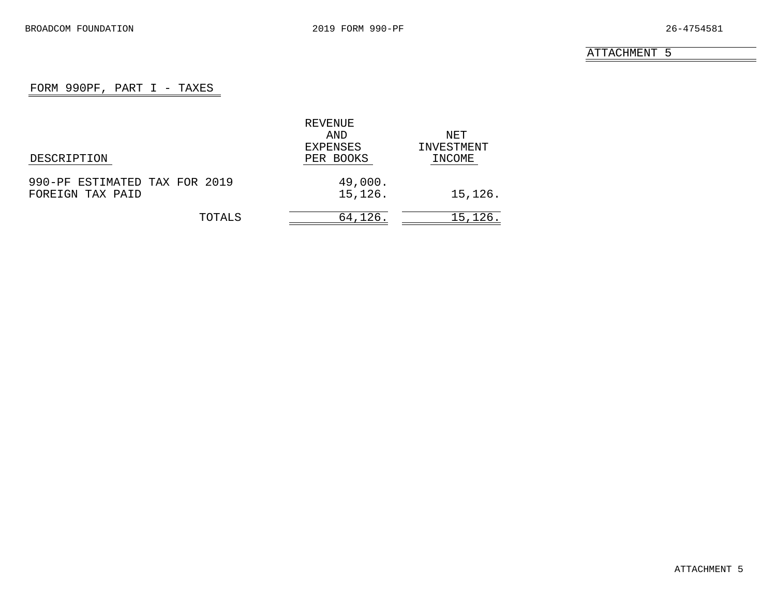# FORM 990PF, PART  $I$  - TAXES

<span id="page-20-0"></span>

|                               | REVENUE   |            |
|-------------------------------|-----------|------------|
|                               | AND       | NET        |
|                               | EXPENSES  | INVESTMENT |
| DESCRIPTION                   | PER BOOKS | INCOME     |
| 990-PF ESTIMATED TAX FOR 2019 | 49,000.   |            |
| FOREIGN TAX PAID              | 15,126.   | 15,126.    |
| TOTALS                        | 64,126.   | 15,126.    |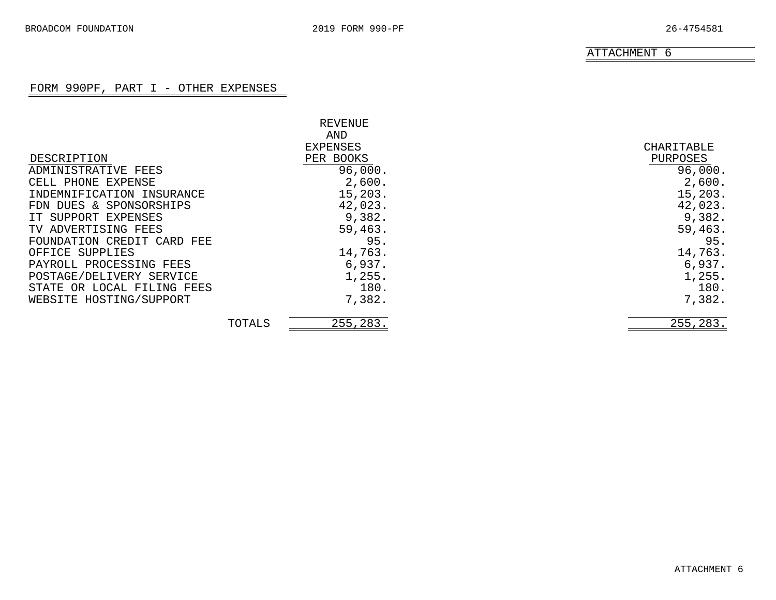# FORM 990PF, PART I - OTHER EXPENSES

<span id="page-21-0"></span>

|                            |        | REVENUE   |            |
|----------------------------|--------|-----------|------------|
|                            |        | AND       |            |
|                            |        | EXPENSES  | CHARITABLE |
| DESCRIPTION                |        | PER BOOKS | PURPOSES   |
| ADMINISTRATIVE FEES        |        | 96,000.   | 96,000.    |
| CELL PHONE EXPENSE         |        | 2,600.    | 2,600.     |
| INDEMNIFICATION INSURANCE  |        | 15, 203.  | 15,203.    |
| FDN DUES & SPONSORSHIPS    |        | 42,023.   | 42,023.    |
| IT SUPPORT EXPENSES        |        | 9,382.    | 9,382.     |
| TV ADVERTISING FEES        |        | 59,463.   | 59,463.    |
| FOUNDATION CREDIT CARD FEE |        | 95.       | 95.        |
| OFFICE SUPPLIES            |        | 14,763.   | 14,763.    |
| PAYROLL PROCESSING FEES    |        | 6,937.    | 6,937.     |
| POSTAGE/DELIVERY SERVICE   |        | 1,255.    | 1,255.     |
| STATE OR LOCAL FILING FEES |        | 180.      | 180.       |
| WEBSITE HOSTING/SUPPORT    |        | 7,382.    | 7,382.     |
|                            | TOTALS | 255,283.  | 255,283.   |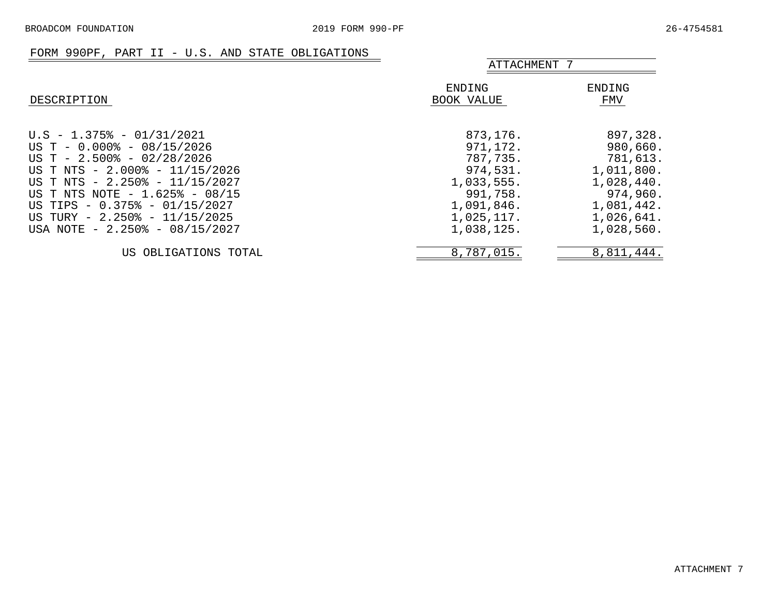### FORM 990PF, PART II - U.S. AND STATE OBLIGATIONS

<span id="page-22-0"></span>

| $\sim$ $\sim$ $\sim$ $\sim$ $\sim$ $\sim$ $\sim$                                                                                                                                                                                                                                                                        |                                                                                                                  | ATTACHMENT 7                                                                                                       |  |  |
|-------------------------------------------------------------------------------------------------------------------------------------------------------------------------------------------------------------------------------------------------------------------------------------------------------------------------|------------------------------------------------------------------------------------------------------------------|--------------------------------------------------------------------------------------------------------------------|--|--|
| DESCRIPTION                                                                                                                                                                                                                                                                                                             | ENDING<br>BOOK VALUE                                                                                             | ENDING<br>FMV                                                                                                      |  |  |
| $U.S - 1.375$ % - 01/31/2021<br>US T - $0.000$ <sup>2</sup> - $08/15/2026$<br>US T - $2.500\%$ - 02/28/2026<br>US T NTS - 2.000% - 11/15/2026<br>US T NTS - 2.250% - 11/15/2027<br>US T NTS NOTE - 1.625% - 08/15<br>US TIPS - 0.375% - 01/15/2027<br>US TURY - 2.250% - 11/15/2025<br>USA NOTE $-2.250\% - 08/15/2027$ | 873,176.<br>971,172.<br>787,735.<br>974,531.<br>1,033,555.<br>991,758.<br>1,091,846.<br>1,025,117.<br>1,038,125. | 897,328.<br>980,660.<br>781,613.<br>1,011,800.<br>1,028,440.<br>974,960.<br>1,081,442.<br>1,026,641.<br>1,028,560. |  |  |
| US OBLIGATIONS TOTAL                                                                                                                                                                                                                                                                                                    | 8,787,015.                                                                                                       | 8,811,444.                                                                                                         |  |  |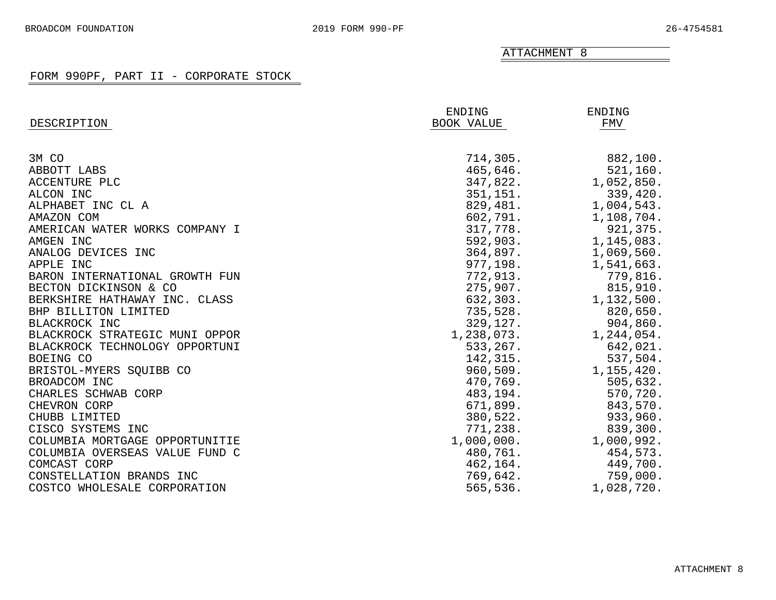<span id="page-23-0"></span>

|                                | ENDING     | ENDING     |
|--------------------------------|------------|------------|
| DESCRIPTION                    | BOOK VALUE | FMV        |
|                                |            |            |
| 3M CO                          | 714,305.   | 882,100.   |
| ABBOTT LABS                    | 465,646.   | 521, 160.  |
| ACCENTURE PLC                  | 347,822.   | 1,052,850. |
| ALCON INC                      | 351, 151.  | 339,420.   |
| ALPHABET INC CL A              | 829,481.   | 1,004,543. |
| AMAZON COM                     | 602,791.   | 1,108,704. |
| AMERICAN WATER WORKS COMPANY I | 317,778.   | 921,375.   |
| AMGEN INC                      | 592,903.   | 1,145,083. |
| ANALOG DEVICES INC             | 364,897.   | 1,069,560. |
| APPLE INC                      | 977,198.   | 1,541,663. |
| BARON INTERNATIONAL GROWTH FUN | 772,913.   | 779,816.   |
| BECTON DICKINSON & CO          | 275,907.   | 815,910.   |
| BERKSHIRE HATHAWAY INC. CLASS  | 632,303.   | 1,132,500. |
| BHP BILLITON LIMITED           | 735,528.   | 820,650.   |
| BLACKROCK INC                  | 329,127.   | 904,860.   |
| BLACKROCK STRATEGIC MUNI OPPOR | 1,238,073. | 1,244,054. |
| BLACKROCK TECHNOLOGY OPPORTUNI | 533,267.   | 642,021.   |
| BOEING CO                      | 142,315.   | 537,504.   |
| BRISTOL-MYERS SQUIBB CO        | 960,509.   | 1,155,420. |
| BROADCOM INC                   | 470,769.   | 505,632.   |
| CHARLES SCHWAB CORP            | 483,194.   | 570,720.   |
| CHEVRON CORP                   | 671,899.   | 843,570.   |
| CHUBB LIMITED                  | 380,522.   | 933,960.   |
| CISCO SYSTEMS INC              | 771,238.   | 839,300.   |
| COLUMBIA MORTGAGE OPPORTUNITIE | 1,000,000. | 1,000,992. |
| COLUMBIA OVERSEAS VALUE FUND C | 480,761.   | 454,573.   |
| COMCAST CORP                   | 462,164.   | 449,700.   |
| CONSTELLATION BRANDS INC       | 769,642.   | 759,000.   |
| COSTCO WHOLESALE CORPORATION   | 565,536.   | 1,028,720. |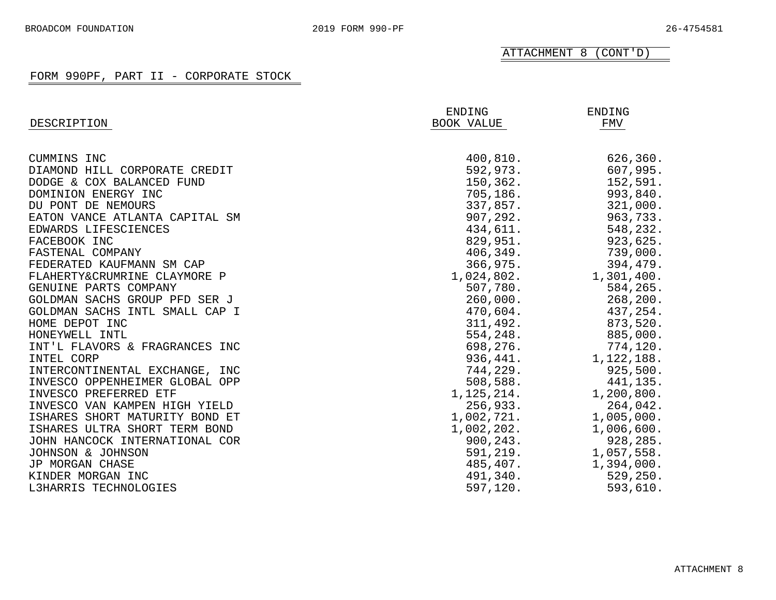ATTACHMENT 8 (CONT'D)

| DESCRIPTION                    | ENDING<br>BOOK VALUE | ENDING<br>FMV |
|--------------------------------|----------------------|---------------|
|                                |                      |               |
| CUMMINS INC                    | 400, 810.            | 626,360.      |
| DIAMOND HILL CORPORATE CREDIT  | 592,973.             | 607,995.      |
| DODGE & COX BALANCED FUND      | 150,362.             | 152,591.      |
| DOMINION ENERGY INC            | 705,186.             | 993,840.      |
| DU PONT DE NEMOURS             | 337,857.             | 321,000.      |
| EATON VANCE ATLANTA CAPITAL SM | 907, 292.            | 963,733.      |
| EDWARDS LIFESCIENCES           | 434,611.             | 548,232.      |
| FACEBOOK INC                   | 829,951.             | 923,625.      |
| FASTENAL COMPANY               | 406, 349.            | 739,000.      |
| FEDERATED KAUFMANN SM CAP      | 366,975.             | 394,479.      |
| FLAHERTY&CRUMRINE CLAYMORE P   | 1,024,802.           | 1,301,400.    |
| GENUINE PARTS COMPANY          | 507,780.             | 584,265.      |
| GOLDMAN SACHS GROUP PFD SER J  | 260,000.             | 268, 200.     |
| GOLDMAN SACHS INTL SMALL CAP I | 470,604.             | 437,254.      |
| HOME DEPOT INC                 | 311,492.             | 873,520.      |
| HONEYWELL INTL                 | 554,248.             | 885,000.      |
| INT'L FLAVORS & FRAGRANCES INC | 698,276.             | 774,120.      |
| INTEL CORP                     | 936,441.             | 1,122,188.    |
| INTERCONTINENTAL EXCHANGE, INC | 744,229.             | 925,500.      |
| INVESCO OPPENHEIMER GLOBAL OPP | 508,588.             | 441,135.      |
| INVESCO PREFERRED ETF          | 1,125,214.           | 1,200,800.    |
| INVESCO VAN KAMPEN HIGH YIELD  | 256,933.             | 264,042.      |
| ISHARES SHORT MATURITY BOND ET | 1,002,721.           | 1,005,000.    |
| ISHARES ULTRA SHORT TERM BOND  | 1,002,202.           | 1,006,600.    |
| JOHN HANCOCK INTERNATIONAL COR | 900, 243.            | 928,285.      |
| JOHNSON & JOHNSON              | 591, 219.            | 1,057,558.    |
| JP MORGAN CHASE                | 485,407.             | 1,394,000.    |
| KINDER MORGAN INC              | 491,340.             | 529, 250.     |
| L3HARRIS TECHNOLOGIES          | 597,120.             | 593,610.      |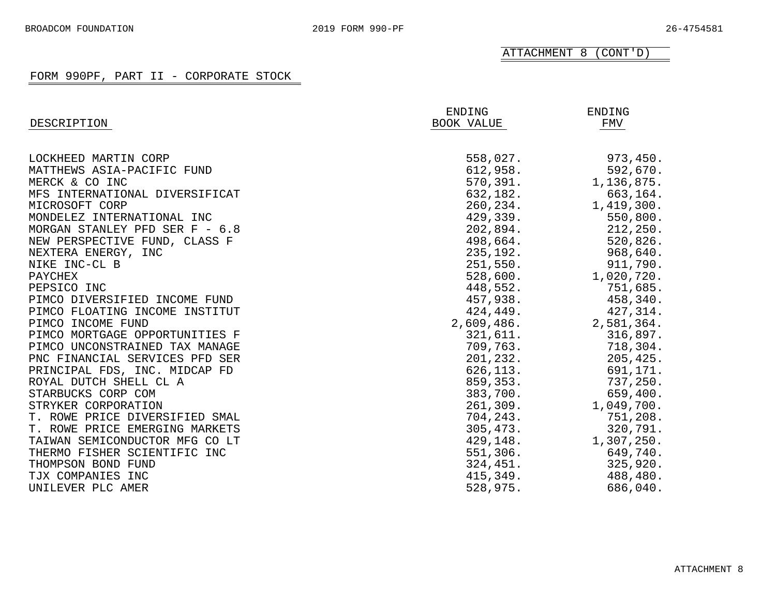ATTACHMENT 8 (CONT'D)

| DESCRIPTION                    | <b>ENDING</b><br>BOOK VALUE | <b>ENDING</b><br>FMV |
|--------------------------------|-----------------------------|----------------------|
|                                |                             |                      |
| LOCKHEED MARTIN CORP           | 558,027.                    | 973,450.             |
| MATTHEWS ASIA-PACIFIC FUND     | 612,958.                    | 592,670.             |
| MERCK & CO INC                 | 570, 391.                   | 1,136,875.           |
| MFS INTERNATIONAL DIVERSIFICAT | 632,182.                    | 663,164.             |
| MICROSOFT CORP                 | 260, 234.                   | 1,419,300.           |
| MONDELEZ INTERNATIONAL INC     | 429,339.                    | 550,800.             |
| MORGAN STANLEY PFD SER F - 6.8 | 202,894.                    | 212,250.             |
| NEW PERSPECTIVE FUND, CLASS F  | 498,664.                    | 520,826.             |
| NEXTERA ENERGY, INC            | 235,192.                    | 968,640.             |
| NIKE INC-CL B                  | 251,550.                    | 911,790.             |
| PAYCHEX                        | 528,600.                    | 1,020,720.           |
| PEPSICO INC                    | 448,552.                    | 751,685.             |
| PIMCO DIVERSIFIED INCOME FUND  | 457,938.                    | 458,340.             |
| PIMCO FLOATING INCOME INSTITUT | 424,449.                    | 427,314.             |
| PIMCO INCOME FUND              | 2,609,486.                  | 2,581,364.           |
| PIMCO MORTGAGE OPPORTUNITIES F | 321,611.                    | 316,897.             |
| PIMCO UNCONSTRAINED TAX MANAGE | 709,763.                    | 718,304.             |
| PNC FINANCIAL SERVICES PFD SER | 201,232.                    | 205,425.             |
| PRINCIPAL FDS, INC. MIDCAP FD  | 626,113.                    | 691,171.             |
| ROYAL DUTCH SHELL CL A         | 859,353.                    | 737,250.             |
| STARBUCKS CORP COM             | 383,700.                    | 659,400.             |
| STRYKER CORPORATION            | 261,309.                    | 1,049,700.           |
| T. ROWE PRICE DIVERSIFIED SMAL | 704,243.                    | 751,208.             |
| T. ROWE PRICE EMERGING MARKETS | 305, 473.                   | 320,791.             |
| TAIWAN SEMICONDUCTOR MFG CO LT | 429, 148.                   | 1,307,250.           |
| THERMO FISHER SCIENTIFIC INC   | 551,306.                    | 649,740.             |
| THOMPSON BOND FUND             | 324, 451.                   | 325,920.             |
| TJX COMPANIES INC              | 415,349.                    | 488,480.             |
| UNILEVER PLC AMER              | 528,975.                    | 686,040.             |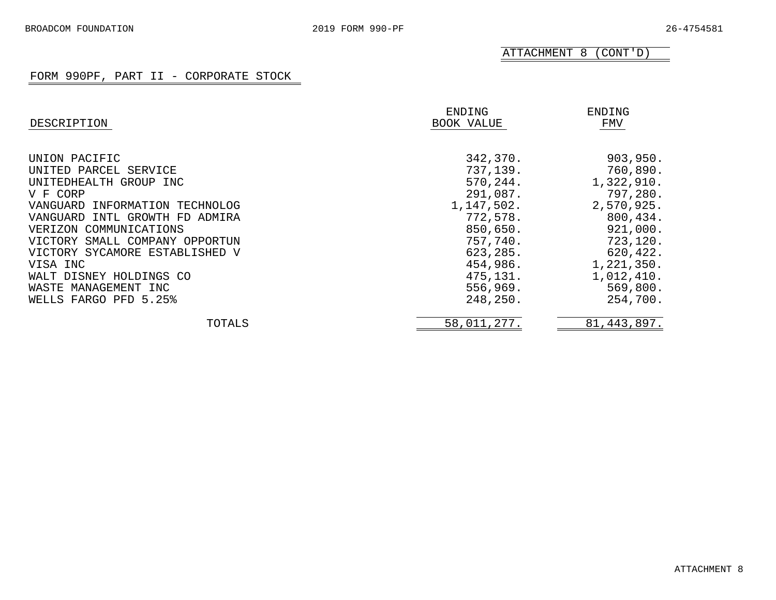ATTACHMENT 8 (CONT'D)

| DESCRIPTION                    | ENDING<br>BOOK VALUE | ENDING<br>FMV |
|--------------------------------|----------------------|---------------|
| UNION PACIFIC                  | 342,370.             | 903,950.      |
| UNITED PARCEL SERVICE          | 737,139.             | 760,890.      |
| UNITEDHEALTH GROUP INC         | 570,244.             | 1,322,910.    |
| V F CORP                       | 291,087.             | 797,280.      |
| VANGUARD INFORMATION TECHNOLOG | 1,147,502.           | 2,570,925.    |
| VANGUARD INTL GROWTH FD ADMIRA | 772,578.             | 800,434.      |
| VERIZON COMMUNICATIONS         | 850,650.             | 921,000.      |
| VICTORY SMALL COMPANY OPPORTUN | 757,740.             | 723,120.      |
| VICTORY SYCAMORE ESTABLISHED V | 623,285.             | 620,422.      |
| VISA INC                       | 454,986.             | 1,221,350.    |
| WALT DISNEY HOLDINGS CO        | 475,131.             | 1,012,410.    |
| WASTE MANAGEMENT INC           | 556,969.             | 569,800.      |
| WELLS FARGO PFD 5.25%          | 248,250.             | 254,700.      |
| TOTALS                         | 58,011,277.          | 81, 443, 897. |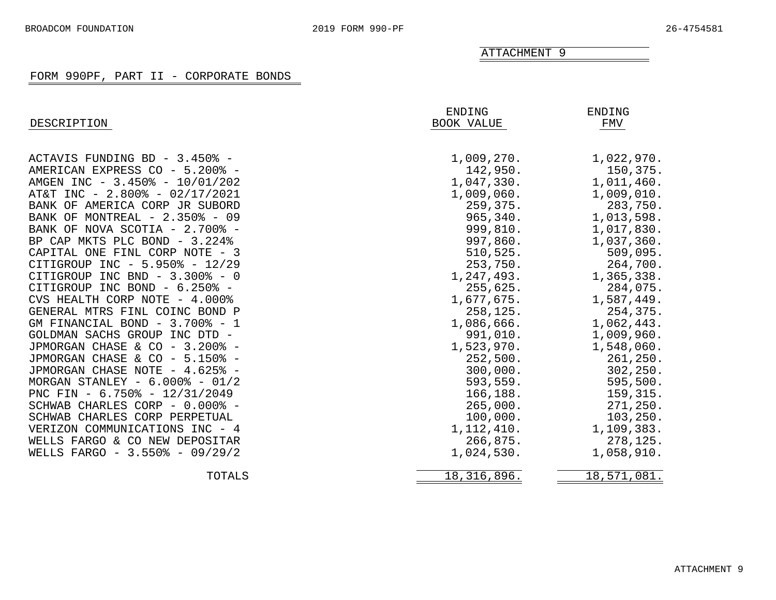# FORM 990PF, PART II - CORPORATE BONDS

<span id="page-27-0"></span>

| DESCRIPTION                       | ENDING<br>BOOK VALUE | <b>ENDING</b><br>FMV |
|-----------------------------------|----------------------|----------------------|
| ACTAVIS FUNDING BD - 3.450% -     | 1,009,270.           | 1,022,970.           |
| AMERICAN EXPRESS CO - 5.200% -    | 142,950.             | 150,375.             |
| AMGEN INC - 3.450% - 10/01/202    | 1,047,330.           | 1,011,460.           |
| AT&T INC - 2.800% - 02/17/2021    | 1,009,060.           | 1,009,010.           |
| BANK OF AMERICA CORP JR SUBORD    | 259,375.             | 283,750.             |
| MONTREAL - 2.350% - 09<br>BANK OF | 965,340.             | 1,013,598.           |
| BANK OF NOVA SCOTIA - 2.700% -    | 999,810.             | 1,017,830.           |
| BP CAP MKTS PLC BOND - 3.224%     | 997,860.             | 1,037,360.           |
| CAPITAL ONE FINL CORP NOTE - 3    | 510, 525.            | 509,095.             |
| CITIGROUP INC - 5.950% - 12/29    | 253,750.             | 264,700.             |
| CITIGROUP INC BND - 3.300% - 0    | 1,247,493.           | 1,365,338.           |
| CITIGROUP INC BOND - 6.250% -     | 255,625.             | 284,075.             |
| CVS HEALTH CORP NOTE - 4.000%     | 1,677,675.           | 1,587,449.           |
| GENERAL MTRS FINL COINC BOND P    | 258,125.             | 254,375.             |
| GM FINANCIAL BOND - 3.700% - 1    | 1,086,666.           | 1,062,443.           |
| GOLDMAN SACHS GROUP INC DTD -     | 991,010.             | 1,009,960.           |
| JPMORGAN CHASE & CO - 3.200% -    | 1,523,970.           | 1,548,060.           |
| JPMORGAN CHASE & CO - 5.150% -    | 252,500.             | 261,250.             |
| JPMORGAN CHASE NOTE - 4.625% -    | 300,000.             | 302, 250.            |
| MORGAN STANLEY - $6.000\%$ - 01/2 | 593,559.             | 595,500.             |
| PNC FIN - 6.750% - 12/31/2049     | 166,188.             | 159,315.             |
| SCHWAB CHARLES CORP - 0.000% -    | 265,000.             | 271,250.             |
| SCHWAB CHARLES CORP PERPETUAL     | 100,000.             | 103, 250.            |
| VERIZON COMMUNICATIONS INC - 4    | 1, 112, 410.         | 1,109,383.           |
| WELLS FARGO & CO NEW DEPOSITAR    | 266,875.             | 278,125.             |
| WELLS FARGO - 3.550% - 09/29/2    | 1,024,530.           | 1,058,910.           |
| TOTALS                            | 18, 316, 896.        | 18,571,081.          |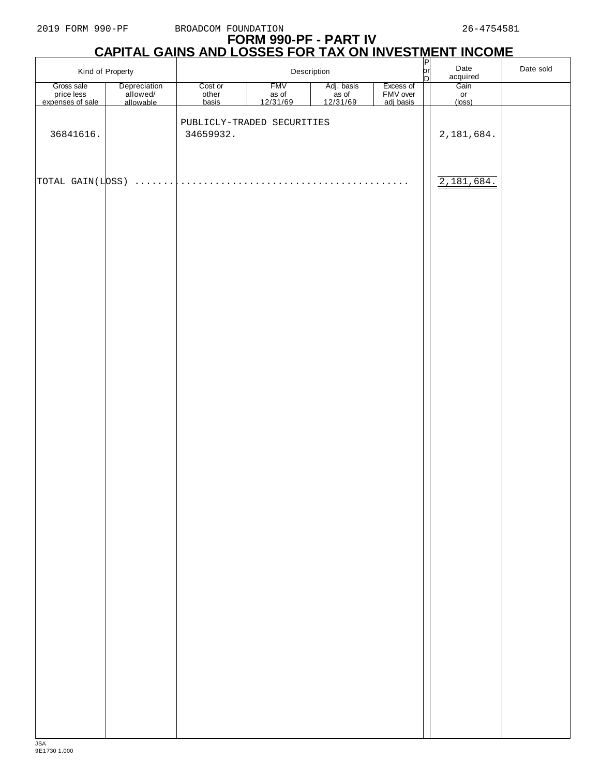# **FORM 990-PF - PART IV CAPITAL GAINS AND LOSSES FOR TAX ON INVESTMENT INCOME**

|                                              | Kind of Property                      |                            | Description                     |                                 |                                    | $\frac{P}{P}$ | Date<br>acquired     | Date sold |
|----------------------------------------------|---------------------------------------|----------------------------|---------------------------------|---------------------------------|------------------------------------|---------------|----------------------|-----------|
| Gross sale<br>price less<br>expenses of sale | Depreciation<br>allowed/<br>allowable | Cost or<br>other<br>basis  | <b>FMV</b><br>as of<br>12/31/69 | Adj. basis<br>as of<br>12/31/69 | Excess of<br>FMV over<br>adj basis |               | Gain<br>or<br>(loss) |           |
|                                              |                                       | PUBLICLY-TRADED SECURITIES |                                 |                                 |                                    |               |                      |           |
| 36841616.                                    |                                       | 34659932.                  |                                 |                                 |                                    |               | 2,181,684.           |           |
|                                              |                                       |                            |                                 |                                 |                                    |               |                      |           |
| TOTAL GAIN(LOSS)                             | .                                     |                            |                                 |                                 | $\cdot$ $\cdot$ $\cdot$            |               | 2,181,684.           |           |
|                                              |                                       |                            |                                 |                                 |                                    |               |                      |           |
|                                              |                                       |                            |                                 |                                 |                                    |               |                      |           |
|                                              |                                       |                            |                                 |                                 |                                    |               |                      |           |
|                                              |                                       |                            |                                 |                                 |                                    |               |                      |           |
|                                              |                                       |                            |                                 |                                 |                                    |               |                      |           |
|                                              |                                       |                            |                                 |                                 |                                    |               |                      |           |
|                                              |                                       |                            |                                 |                                 |                                    |               |                      |           |
|                                              |                                       |                            |                                 |                                 |                                    |               |                      |           |
|                                              |                                       |                            |                                 |                                 |                                    |               |                      |           |
|                                              |                                       |                            |                                 |                                 |                                    |               |                      |           |
|                                              |                                       |                            |                                 |                                 |                                    |               |                      |           |
|                                              |                                       |                            |                                 |                                 |                                    |               |                      |           |
|                                              |                                       |                            |                                 |                                 |                                    |               |                      |           |
|                                              |                                       |                            |                                 |                                 |                                    |               |                      |           |
|                                              |                                       |                            |                                 |                                 |                                    |               |                      |           |
|                                              |                                       |                            |                                 |                                 |                                    |               |                      |           |
|                                              |                                       |                            |                                 |                                 |                                    |               |                      |           |
|                                              |                                       |                            |                                 |                                 |                                    |               |                      |           |
|                                              |                                       |                            |                                 |                                 |                                    |               |                      |           |
|                                              |                                       |                            |                                 |                                 |                                    |               |                      |           |
|                                              |                                       |                            |                                 |                                 |                                    |               |                      |           |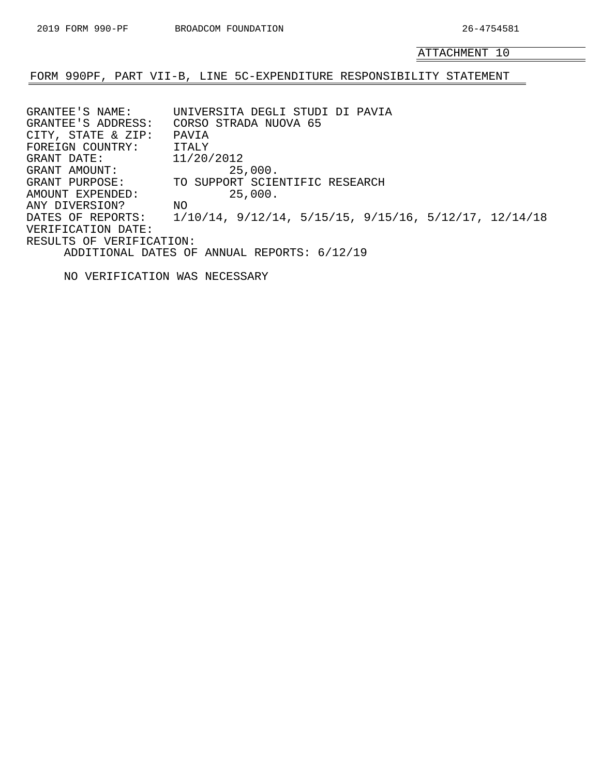### <span id="page-29-0"></span>FORM 990PF, PART VII-B, LINE 5C-EXPENDITURE RESPONSIBILITY STATEMENT

GRANTEE'S NAME: UNIVERSITA DEGLI STUDI DI PAVIA GRANTEE'S ADDRESS: CORSO STRADA NUOVA 65 CITY, STATE & ZIP: PAVIA FOREIGN COUNTRY: ITALY GRANT DATE: 11/20/2012<br>GRANT AMOUNT: 25 GRANT AMOUNT: 25,000. GRANT PURPOSE: TO SUPPORT SCIENTIFIC RESEARCH AMOUNT EXPENDED: 25,000. ANY DIVERSION? NO DATES OF REPORTS: 1/10/14, 9/12/14, 5/15/15, 9/15/16, 5/12/17, 12/14/18 VERIFICATION DATE: RESULTS OF VERIFICATION: ADDITIONAL DATES OF ANNUAL REPORTS: 6/12/19

NO VERIFICATION WAS NECESSARY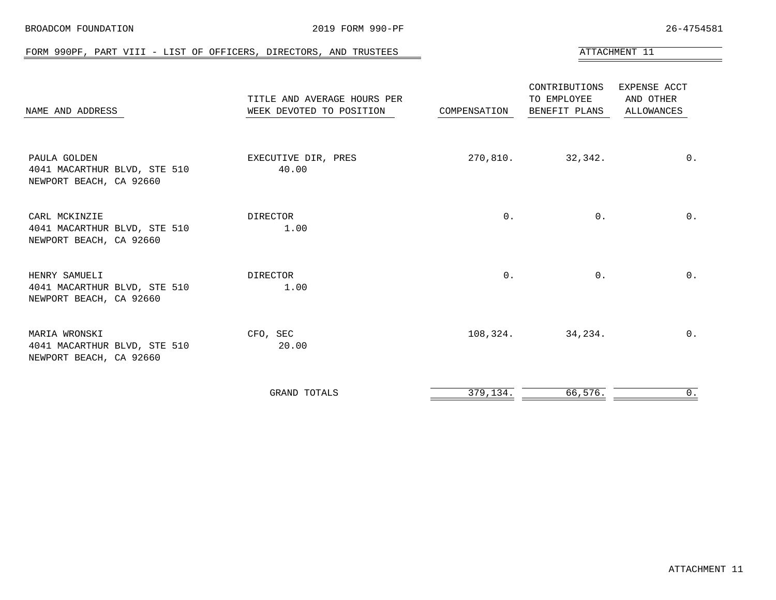<span id="page-30-0"></span>

| FORM 990PF, PART VIII - LIST OF OFFICERS, DIRECTORS, AND TRUSTEES        |                                                         |              |                                               | ATTACHMENT 11                                  |
|--------------------------------------------------------------------------|---------------------------------------------------------|--------------|-----------------------------------------------|------------------------------------------------|
| NAME AND ADDRESS                                                         | TITLE AND AVERAGE HOURS PER<br>WEEK DEVOTED TO POSITION | COMPENSATION | CONTRIBUTIONS<br>TO EMPLOYEE<br>BENEFIT PLANS | EXPENSE ACCT<br>AND OTHER<br><b>ALLOWANCES</b> |
| PAULA GOLDEN<br>4041 MACARTHUR BLVD, STE 510<br>NEWPORT BEACH, CA 92660  | EXECUTIVE DIR, PRES<br>40.00                            | 270,810.     | 32,342.                                       | $0$ .                                          |
| CARL MCKINZIE<br>4041 MACARTHUR BLVD, STE 510<br>NEWPORT BEACH, CA 92660 | DIRECTOR<br>1.00                                        | $0$ .        | $0$ .                                         | $0$ .                                          |
| HENRY SAMUELI<br>4041 MACARTHUR BLVD, STE 510<br>NEWPORT BEACH, CA 92660 | DIRECTOR<br>1.00                                        | $0$ .        | $0$ .                                         | $0$ .                                          |
| MARIA WRONSKI<br>4041 MACARTHUR BLVD, STE 510<br>NEWPORT BEACH, CA 92660 | CFO, SEC<br>20.00                                       | 108,324.     | 34,234.                                       | $0$ .                                          |
|                                                                          | GRAND TOTALS                                            | 379,134.     | 66,576.                                       | 0.                                             |

BROADCOM FOUNDATION **2019 FORM 990-PF** 26-4754581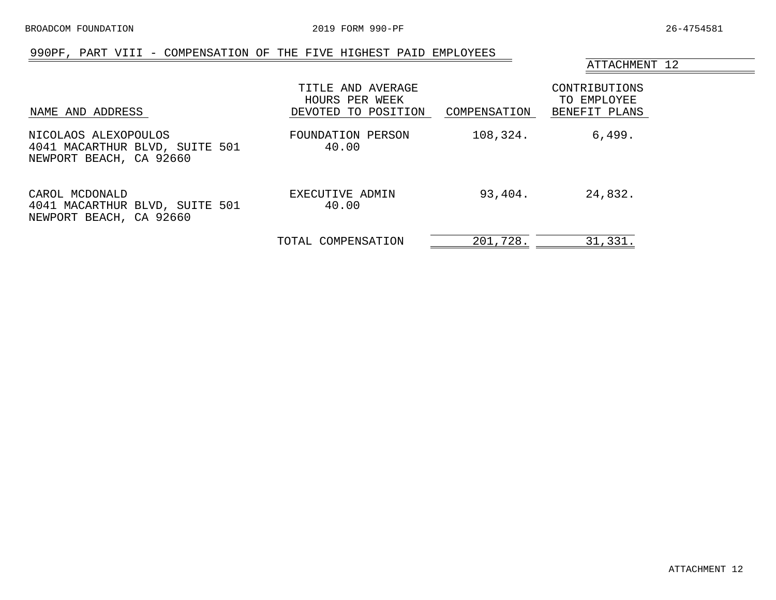### 990PF, PART VIII - COMPENSATION OF THE FIVE HIGHEST PAID EMPLOYEES

<span id="page-31-0"></span>

| NAME AND ADDRESS                                                                  | TITLE AND AVERAGE<br>HOURS PER WEEK<br>DEVOTED TO POSITION | COMPENSATION | CONTRIBUTIONS<br>TO EMPLOYEE<br>BENEFIT PLANS |
|-----------------------------------------------------------------------------------|------------------------------------------------------------|--------------|-----------------------------------------------|
| NICOLAOS ALEXOPOULOS<br>4041 MACARTHUR BLVD, SUITE 501<br>NEWPORT BEACH, CA 92660 | FOUNDATION PERSON<br>40.00                                 | 108,324.     | 6,499.                                        |
| CAROL MCDONALD<br>4041 MACARTHUR BLVD, SUITE 501<br>NEWPORT BEACH, CA 92660       | EXECUTIVE ADMIN<br>40.00                                   | 93,404.      | 24,832.                                       |
|                                                                                   | TOTAL COMPENSATION                                         | 201,728.     | 31,331.                                       |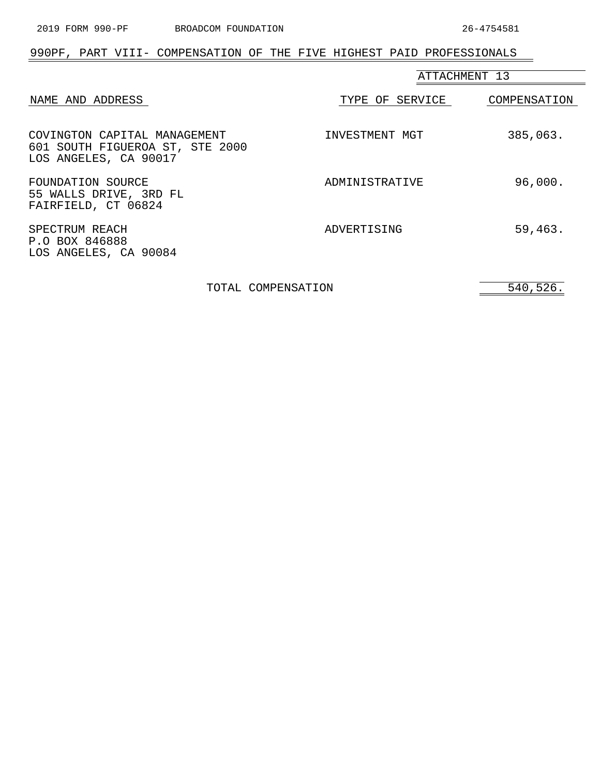$=$ 

# <span id="page-32-0"></span>990PF, PART VIII- COMPENSATION OF THE FIVE HIGHEST PAID PROFESSIONALS

|                                                                                          | ATTACHMENT 13   |              |  |
|------------------------------------------------------------------------------------------|-----------------|--------------|--|
| NAME AND ADDRESS                                                                         | TYPE OF SERVICE | COMPENSATION |  |
| COVINGTON CAPITAL MANAGEMENT<br>601 SOUTH FIGUEROA ST, STE 2000<br>LOS ANGELES, CA 90017 | INVESTMENT MGT  | 385,063.     |  |
| FOUNDATION SOURCE<br>55 WALLS DRIVE, 3RD FL<br>FAIRFIELD, CT 06824                       | ADMINISTRATIVE  | 96,000.      |  |
| SPECTRUM REACH<br>P.O BOX 846888<br>LOS ANGELES, CA 90084                                | ADVERTISING     | 59,463.      |  |

TOTAL COMPENSATION 540,526.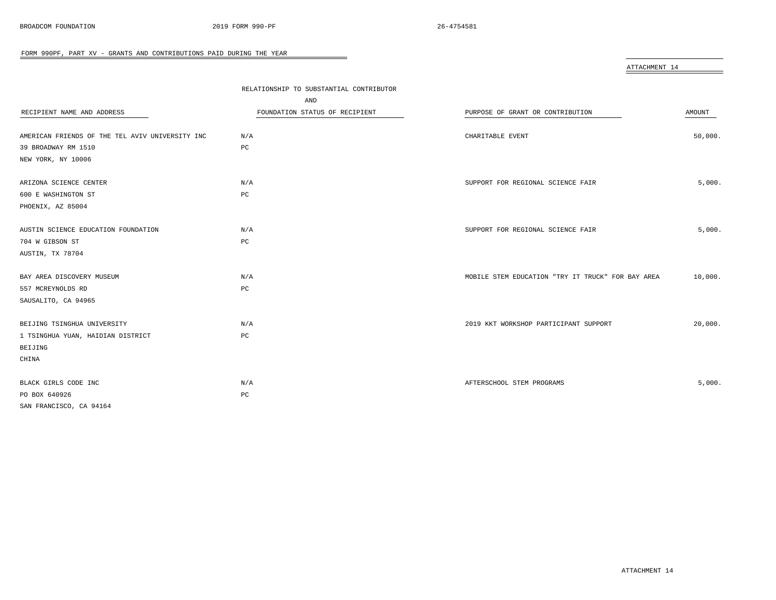<span id="page-33-0"></span>

|                                                 |                                         | ATTACHMENT 14                                     |         |
|-------------------------------------------------|-----------------------------------------|---------------------------------------------------|---------|
|                                                 |                                         |                                                   |         |
|                                                 | RELATIONSHIP TO SUBSTANTIAL CONTRIBUTOR |                                                   |         |
|                                                 | AND                                     |                                                   |         |
| RECIPIENT NAME AND ADDRESS                      | FOUNDATION STATUS OF RECIPIENT          | PURPOSE OF GRANT OR CONTRIBUTION                  | AMOUNT  |
|                                                 |                                         |                                                   |         |
| AMERICAN FRIENDS OF THE TEL AVIV UNIVERSITY INC | N/A                                     | CHARITABLE EVENT                                  | 50,000. |
| 39 BROADWAY RM 1510                             | PC                                      |                                                   |         |
| NEW YORK, NY 10006                              |                                         |                                                   |         |
| ARIZONA SCIENCE CENTER                          | N/A                                     | SUPPORT FOR REGIONAL SCIENCE FAIR                 | 5,000.  |
| 600 E WASHINGTON ST                             | PC                                      |                                                   |         |
| PHOENIX, AZ 85004                               |                                         |                                                   |         |
|                                                 |                                         |                                                   |         |
| AUSTIN SCIENCE EDUCATION FOUNDATION             | N/A                                     | SUPPORT FOR REGIONAL SCIENCE FAIR                 | 5,000.  |
| 704 W GIBSON ST                                 | PC                                      |                                                   |         |
| AUSTIN, TX 78704                                |                                         |                                                   |         |
|                                                 |                                         |                                                   |         |
| BAY AREA DISCOVERY MUSEUM                       | N/A                                     | MOBILE STEM EDUCATION "TRY IT TRUCK" FOR BAY AREA | 10,000. |
| 557 MCREYNOLDS RD                               | PC                                      |                                                   |         |
| SAUSALITO, CA 94965                             |                                         |                                                   |         |
|                                                 |                                         |                                                   |         |
| BEIJING TSINGHUA UNIVERSITY                     | N/A                                     | 2019 KKT WORKSHOP PARTICIPANT SUPPORT             | 20,000. |
| 1 TSINGHUA YUAN, HAIDIAN DISTRICT               | PC                                      |                                                   |         |
| BEIJING                                         |                                         |                                                   |         |
| CHINA                                           |                                         |                                                   |         |
|                                                 |                                         |                                                   |         |
| BLACK GIRLS CODE INC                            | N/A                                     | AFTERSCHOOL STEM PROGRAMS                         | 5,000.  |
| PO BOX 640926                                   | $_{\rm PC}$                             |                                                   |         |
| SAN FRANCISCO, CA 94164                         |                                         |                                                   |         |

÷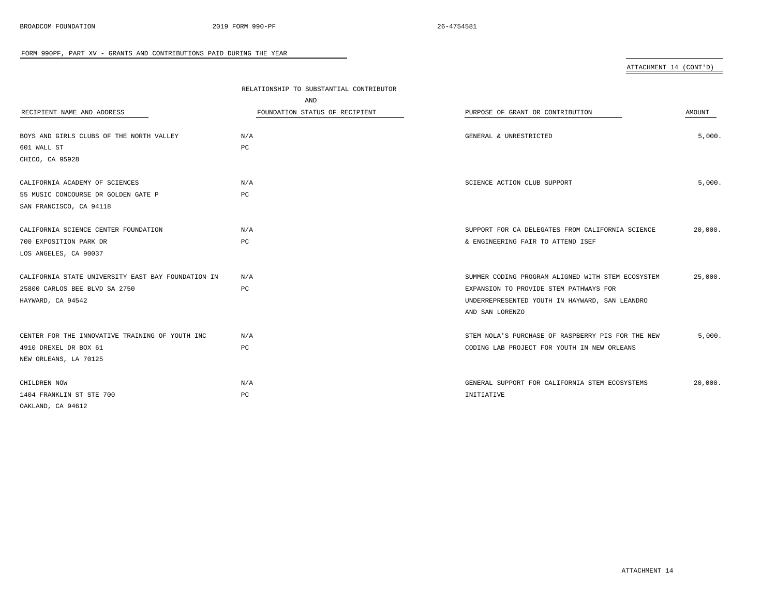ATTACHMENT 14 (CONT'D)

|                                                    | RELATIONSHIP TO SUBSTANTIAL CONTRIBUTOR |                                                   |         |
|----------------------------------------------------|-----------------------------------------|---------------------------------------------------|---------|
|                                                    | AND                                     |                                                   |         |
| RECIPIENT NAME AND ADDRESS                         | FOUNDATION STATUS OF RECIPIENT          | PURPOSE OF GRANT OR CONTRIBUTION                  | AMOUNT  |
|                                                    |                                         |                                                   |         |
| BOYS AND GIRLS CLUBS OF THE NORTH VALLEY           | N/A                                     | GENERAL & UNRESTRICTED                            | 5,000.  |
| 601 WALL ST                                        | PC                                      |                                                   |         |
| CHICO, CA 95928                                    |                                         |                                                   |         |
|                                                    |                                         |                                                   |         |
| CALIFORNIA ACADEMY OF SCIENCES                     | N/A                                     | SCIENCE ACTION CLUB SUPPORT                       | 5,000.  |
| 55 MUSIC CONCOURSE DR GOLDEN GATE P                | PC                                      |                                                   |         |
| SAN FRANCISCO, CA 94118                            |                                         |                                                   |         |
|                                                    |                                         |                                                   |         |
| CALIFORNIA SCIENCE CENTER FOUNDATION               | N/A                                     | SUPPORT FOR CA DELEGATES FROM CALIFORNIA SCIENCE  | 20,000. |
| 700 EXPOSITION PARK DR                             | PC                                      | & ENGINEERING FAIR TO ATTEND ISEF                 |         |
| LOS ANGELES, CA 90037                              |                                         |                                                   |         |
|                                                    |                                         |                                                   |         |
| CALIFORNIA STATE UNIVERSITY EAST BAY FOUNDATION IN | N/A                                     | SUMMER CODING PROGRAM ALIGNED WITH STEM ECOSYSTEM | 25,000. |
| 25800 CARLOS BEE BLVD SA 2750                      | PC                                      | EXPANSION TO PROVIDE STEM PATHWAYS FOR            |         |
| HAYWARD, CA 94542                                  |                                         | UNDERREPRESENTED YOUTH IN HAYWARD, SAN LEANDRO    |         |
|                                                    |                                         | AND SAN LORENZO                                   |         |
|                                                    |                                         |                                                   |         |
| CENTER FOR THE INNOVATIVE TRAINING OF YOUTH INC    | N/A                                     | STEM NOLA'S PURCHASE OF RASPBERRY PIS FOR THE NEW | 5,000.  |
| 4910 DREXEL DR BOX 61                              | PC                                      | CODING LAB PROJECT FOR YOUTH IN NEW ORLEANS       |         |
| NEW ORLEANS, LA 70125                              |                                         |                                                   |         |
|                                                    |                                         |                                                   |         |
| CHILDREN NOW                                       | N/A                                     | GENERAL SUPPORT FOR CALIFORNIA STEM ECOSYSTEMS    | 20,000. |
| 1404 FRANKLIN ST STE 700                           | PC                                      | INITIATIVE                                        |         |
| OAKLAND, CA 94612                                  |                                         |                                                   |         |

÷

ATTACHMENT 14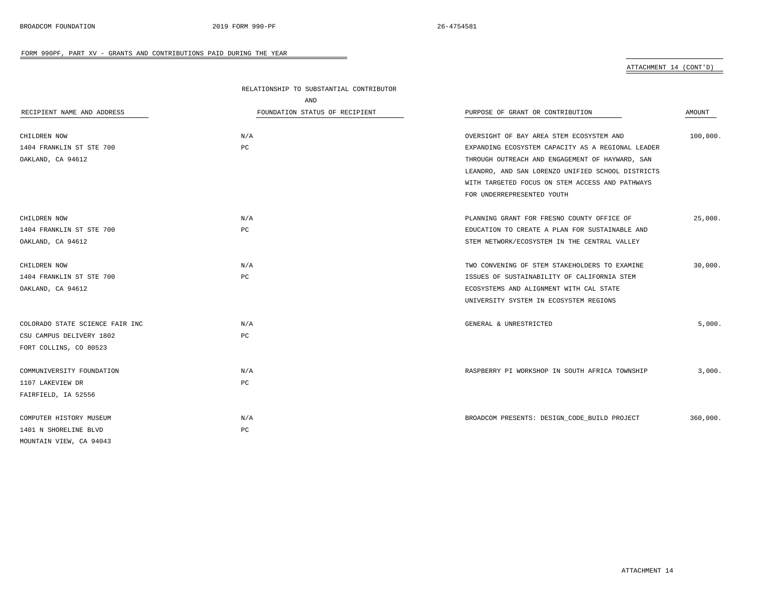ATTACHMENT 14 (CONT'D)

|                                 | RELATIONSHIP TO SUBSTANTIAL CONTRIBUTOR |                                                   |          |
|---------------------------------|-----------------------------------------|---------------------------------------------------|----------|
|                                 | AND                                     |                                                   |          |
| RECIPIENT NAME AND ADDRESS      | FOUNDATION STATUS OF RECIPIENT          | PURPOSE OF GRANT OR CONTRIBUTION                  | AMOUNT   |
| CHILDREN NOW                    | N/A                                     | OVERSIGHT OF BAY AREA STEM ECOSYSTEM AND          | 100,000. |
| 1404 FRANKLIN ST STE 700        | $_{\rm PC}$                             | EXPANDING ECOSYSTEM CAPACITY AS A REGIONAL LEADER |          |
| OAKLAND, CA 94612               |                                         | THROUGH OUTREACH AND ENGAGEMENT OF HAYWARD, SAN   |          |
|                                 |                                         | LEANDRO, AND SAN LORENZO UNIFIED SCHOOL DISTRICTS |          |
|                                 |                                         | WITH TARGETED FOCUS ON STEM ACCESS AND PATHWAYS   |          |
|                                 |                                         | FOR UNDERREPRESENTED YOUTH                        |          |
| CHILDREN NOW                    | N/A                                     | PLANNING GRANT FOR FRESNO COUNTY OFFICE OF        | 25,000.  |
| 1404 FRANKLIN ST STE 700        | $_{\rm PC}$                             | EDUCATION TO CREATE A PLAN FOR SUSTAINABLE AND    |          |
| OAKLAND, CA 94612               |                                         | STEM NETWORK/ECOSYSTEM IN THE CENTRAL VALLEY      |          |
| CHILDREN NOW                    | N/A                                     | TWO CONVENING OF STEM STAKEHOLDERS TO EXAMINE     | 30,000.  |
| 1404 FRANKLIN ST STE 700        | $_{\rm PC}$                             | ISSUES OF SUSTAINABILITY OF CALIFORNIA STEM       |          |
| OAKLAND, CA 94612               |                                         | ECOSYSTEMS AND ALIGNMENT WITH CAL STATE           |          |
|                                 |                                         | UNIVERSITY SYSTEM IN ECOSYSTEM REGIONS            |          |
| COLORADO STATE SCIENCE FAIR INC | N/A                                     | GENERAL & UNRESTRICTED                            | 5.000.   |
| CSU CAMPUS DELIVERY 1802        | PC                                      |                                                   |          |
| FORT COLLINS, CO 80523          |                                         |                                                   |          |
| COMMUNIVERSITY FOUNDATION       | N/A                                     | RASPBERRY PI WORKSHOP IN SOUTH AFRICA TOWNSHIP    | 3,000.   |
| 1107 LAKEVIEW DR                | PC                                      |                                                   |          |
| FAIRFIELD, IA 52556             |                                         |                                                   |          |
| COMPUTER HISTORY MUSEUM         | N/A                                     | BROADCOM PRESENTS: DESIGN_CODE_BUILD PROJECT      | 360,000. |
| 1401 N SHORELINE BLVD           | PC                                      |                                                   |          |
| MOUNTAIN VIEW, CA 94043         |                                         |                                                   |          |

÷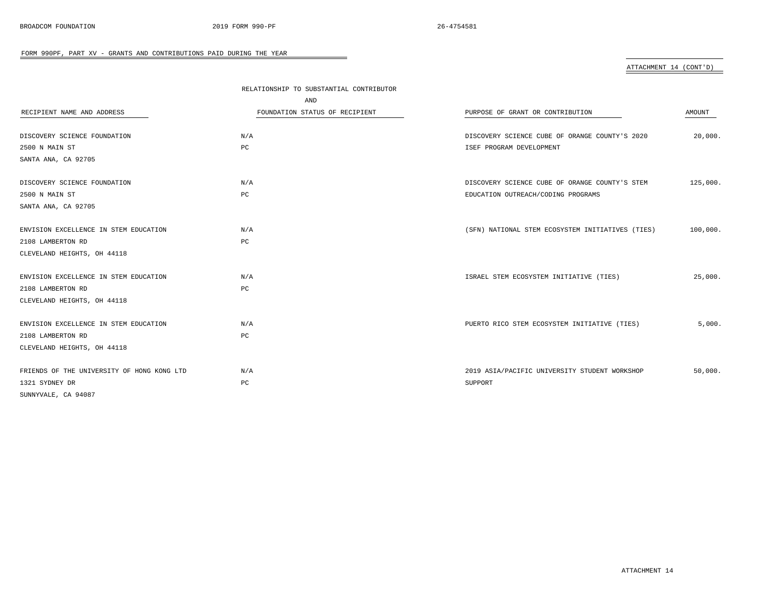### ATTACHMENT 14 (CONT'D)

|                                            | RELATIONSHIP TO SUBSTANTIAL CONTRIBUTOR |                                                  |          |
|--------------------------------------------|-----------------------------------------|--------------------------------------------------|----------|
|                                            | AND                                     |                                                  |          |
| RECIPIENT NAME AND ADDRESS                 | FOUNDATION STATUS OF RECIPIENT          | PURPOSE OF GRANT OR CONTRIBUTION                 | AMOUNT   |
| DISCOVERY SCIENCE FOUNDATION               | N/A                                     | DISCOVERY SCIENCE CUBE OF ORANGE COUNTY'S 2020   | 20,000.  |
| 2500 N MAIN ST                             | PC                                      | ISEF PROGRAM DEVELOPMENT                         |          |
| SANTA ANA, CA 92705                        |                                         |                                                  |          |
| DISCOVERY SCIENCE FOUNDATION               | N/A                                     | DISCOVERY SCIENCE CUBE OF ORANGE COUNTY'S STEM   | 125,000. |
| 2500 N MAIN ST                             | PC                                      | EDUCATION OUTREACH/CODING PROGRAMS               |          |
| SANTA ANA, CA 92705                        |                                         |                                                  |          |
| ENVISION EXCELLENCE IN STEM EDUCATION      | N/A                                     | (SFN) NATIONAL STEM ECOSYSTEM INITIATIVES (TIES) | 100,000. |
| 2108 LAMBERTON RD                          | PC                                      |                                                  |          |
| CLEVELAND HEIGHTS, OH 44118                |                                         |                                                  |          |
| ENVISION EXCELLENCE IN STEM EDUCATION      | N/A                                     | ISRAEL STEM ECOSYSTEM INITIATIVE (TIES)          | 25,000.  |
| 2108 LAMBERTON RD                          | PC                                      |                                                  |          |
| CLEVELAND HEIGHTS, OH 44118                |                                         |                                                  |          |
| ENVISION EXCELLENCE IN STEM EDUCATION      | N/A                                     | PUERTO RICO STEM ECOSYSTEM INITIATIVE (TIES)     | 5,000.   |
| 2108 LAMBERTON RD                          | PC                                      |                                                  |          |
| CLEVELAND HEIGHTS, OH 44118                |                                         |                                                  |          |
| FRIENDS OF THE UNIVERSITY OF HONG KONG LTD | N/A                                     | 2019 ASIA/PACIFIC UNIVERSITY STUDENT WORKSHOP    | 50,000.  |
| 1321 SYDNEY DR                             | PC                                      | SUPPORT                                          |          |
| SUNNYVALE, CA 94087                        |                                         |                                                  |          |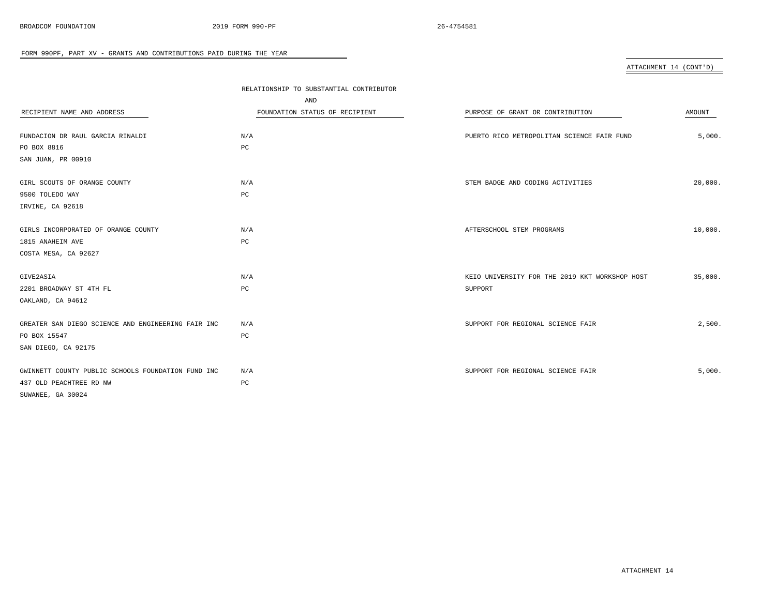| ATTACHMENT 14 (CONT'D) |  |
|------------------------|--|
|                        |  |

| RECIPIENT NAME AND ADDRESS<br>FUNDACION DR RAUL GARCIA RINALDI | RELATIONSHIP TO SUBSTANTIAL CONTRIBUTOR<br>AND<br>FOUNDATION STATUS OF RECIPIENT<br>N/A | PURPOSE OF GRANT OR CONTRIBUTION<br>PUERTO RICO METROPOLITAN SCIENCE FAIR FUND | AMOUNT<br>5,000. |
|----------------------------------------------------------------|-----------------------------------------------------------------------------------------|--------------------------------------------------------------------------------|------------------|
| PO BOX 8816                                                    | PC                                                                                      |                                                                                |                  |
| SAN JUAN, PR 00910                                             |                                                                                         |                                                                                |                  |
| GIRL SCOUTS OF ORANGE COUNTY                                   | N/A                                                                                     | STEM BADGE AND CODING ACTIVITIES                                               | 20,000.          |
| 9500 TOLEDO WAY                                                | PC                                                                                      |                                                                                |                  |
| IRVINE, CA 92618                                               |                                                                                         |                                                                                |                  |
| GIRLS INCORPORATED OF ORANGE COUNTY                            | N/A                                                                                     | AFTERSCHOOL STEM PROGRAMS                                                      | 10,000.          |
| 1815 ANAHEIM AVE<br>COSTA MESA, CA 92627                       | PC                                                                                      |                                                                                |                  |
| GIVE2ASIA                                                      | N/A                                                                                     | KEIO UNIVERSITY FOR THE 2019 KKT WORKSHOP HOST                                 | 35,000.          |
| 2201 BROADWAY ST 4TH FL                                        | PC                                                                                      | SUPPORT                                                                        |                  |
| OAKLAND, CA 94612                                              |                                                                                         |                                                                                |                  |
| GREATER SAN DIEGO SCIENCE AND ENGINEERING FAIR INC             | N/A                                                                                     | SUPPORT FOR REGIONAL SCIENCE FAIR                                              | 2,500.           |
| PO BOX 15547                                                   | $_{\rm PC}$                                                                             |                                                                                |                  |
| SAN DIEGO, CA 92175                                            |                                                                                         |                                                                                |                  |
| GWINNETT COUNTY PUBLIC SCHOOLS FOUNDATION FUND INC             | N/A                                                                                     | SUPPORT FOR REGIONAL SCIENCE FAIR                                              | 5,000.           |
| 437 OLD PEACHTREE RD NW                                        | PC                                                                                      |                                                                                |                  |
| SUWANEE, GA 30024                                              |                                                                                         |                                                                                |                  |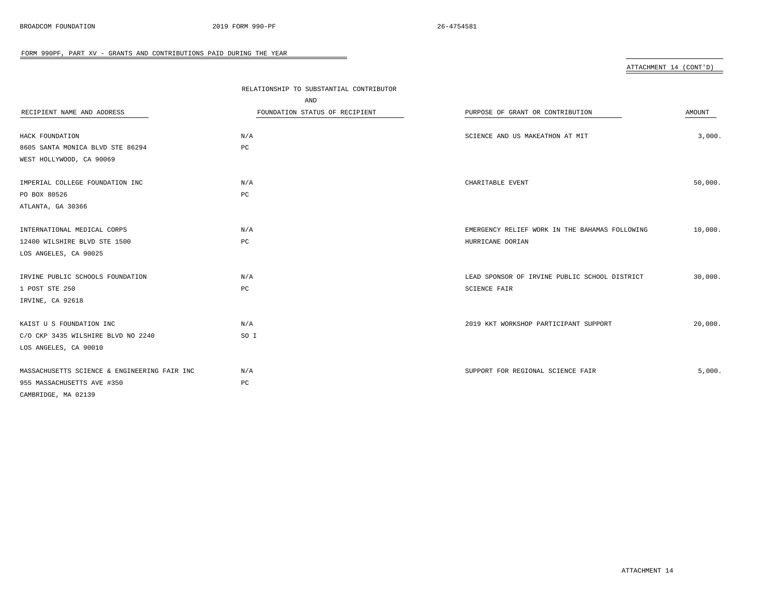ATTACHMENT 14 (CONT'D)

|                                              | RELATIONSHIP TO SUBSTANTIAL CONTRIBUTOR |                                                |         |
|----------------------------------------------|-----------------------------------------|------------------------------------------------|---------|
|                                              | AND                                     |                                                |         |
| RECIPIENT NAME AND ADDRESS                   | FOUNDATION STATUS OF RECIPIENT          | PURPOSE OF GRANT OR CONTRIBUTION               | AMOUNT  |
|                                              |                                         |                                                |         |
| HACK FOUNDATION                              | N/A                                     | SCIENCE AND US MAKEATHON AT MIT                | 3,000.  |
| 8605 SANTA MONICA BLVD STE 86294             | PC                                      |                                                |         |
| WEST HOLLYWOOD, CA 90069                     |                                         |                                                |         |
| IMPERIAL COLLEGE FOUNDATION INC              | N/A                                     | CHARITABLE EVENT                               | 50,000. |
| PO BOX 80526                                 | PC                                      |                                                |         |
| ATLANTA, GA 30366                            |                                         |                                                |         |
| INTERNATIONAL MEDICAL CORPS                  | N/A                                     | EMERGENCY RELIEF WORK IN THE BAHAMAS FOLLOWING | 10,000. |
| 12400 WILSHIRE BLVD STE 1500                 | PC                                      | HURRICANE DORIAN                               |         |
| LOS ANGELES, CA 90025                        |                                         |                                                |         |
| IRVINE PUBLIC SCHOOLS FOUNDATION             | N/A                                     | LEAD SPONSOR OF IRVINE PUBLIC SCHOOL DISTRICT  | 30,000. |
| 1 POST STE 250                               | РC                                      | SCIENCE FAIR                                   |         |
| IRVINE, CA 92618                             |                                         |                                                |         |
|                                              |                                         |                                                |         |
| KAIST U S FOUNDATION INC                     | N/A                                     | 2019 KKT WORKSHOP PARTICIPANT SUPPORT          | 20,000. |
| C/O CKP 3435 WILSHIRE BLVD NO 2240           | SO I                                    |                                                |         |
| LOS ANGELES, CA 90010                        |                                         |                                                |         |
| MASSACHUSETTS SCIENCE & ENGINEERING FAIR INC | N/A                                     | SUPPORT FOR REGIONAL SCIENCE FAIR              | 5,000.  |
| 955 MASSACHUSETTS AVE #350                   | PC                                      |                                                |         |
| CAMBRIDGE, MA 02139                          |                                         |                                                |         |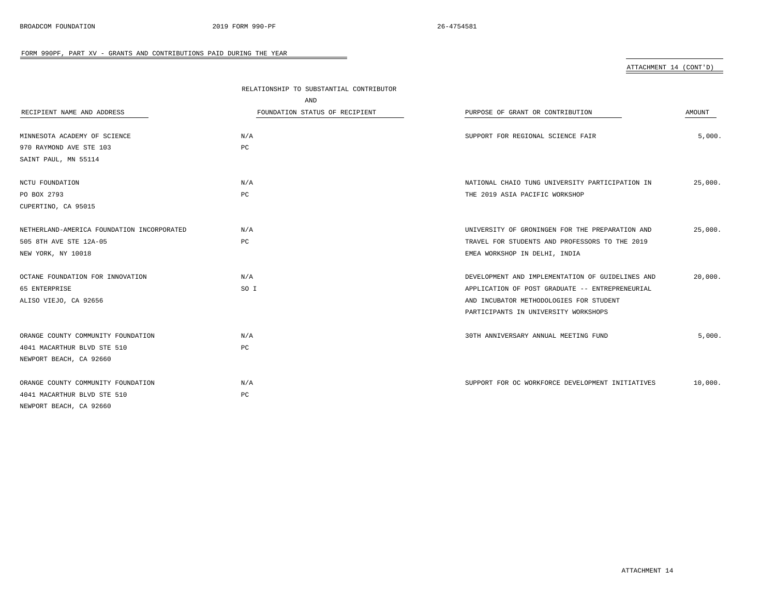### ATTACHMENT 14 (CONT'D)

|                                            | RELATIONSHIP TO SUBSTANTIAL CONTRIBUTOR |                                                  |         |
|--------------------------------------------|-----------------------------------------|--------------------------------------------------|---------|
|                                            | AND                                     |                                                  |         |
| RECIPIENT NAME AND ADDRESS                 | FOUNDATION STATUS OF RECIPIENT          | PURPOSE OF GRANT OR CONTRIBUTION                 | AMOUNT  |
|                                            |                                         |                                                  |         |
| MINNESOTA ACADEMY OF SCIENCE               | N/A                                     | SUPPORT FOR REGIONAL SCIENCE FAIR                | 5.000.  |
| 970 RAYMOND AVE STE 103                    | PC                                      |                                                  |         |
| SAINT PAUL, MN 55114                       |                                         |                                                  |         |
|                                            |                                         |                                                  |         |
| NCTU FOUNDATION                            | N/A                                     | NATIONAL CHAIO TUNG UNIVERSITY PARTICIPATION IN  | 25,000. |
| PO BOX 2793                                | PC                                      | THE 2019 ASIA PACIFIC WORKSHOP                   |         |
| CUPERTINO, CA 95015                        |                                         |                                                  |         |
|                                            |                                         |                                                  |         |
| NETHERLAND-AMERICA FOUNDATION INCORPORATED | N/A                                     | UNIVERSITY OF GRONINGEN FOR THE PREPARATION AND  | 25,000. |
| 505 8TH AVE STE 12A-05                     | PC                                      | TRAVEL FOR STUDENTS AND PROFESSORS TO THE 2019   |         |
| NEW YORK, NY 10018                         |                                         | EMEA WORKSHOP IN DELHI, INDIA                    |         |
|                                            |                                         |                                                  |         |
| OCTANE FOUNDATION FOR INNOVATION           | N/A                                     | DEVELOPMENT AND IMPLEMENTATION OF GUIDELINES AND | 20,000. |
| 65 ENTERPRISE                              | SO I                                    | APPLICATION OF POST GRADUATE -- ENTREPRENEURIAL  |         |
| ALISO VIEJO, CA 92656                      |                                         | AND INCUBATOR METHODOLOGIES FOR STUDENT          |         |
|                                            |                                         | PARTICIPANTS IN UNIVERSITY WORKSHOPS             |         |
|                                            |                                         |                                                  |         |
| ORANGE COUNTY COMMUNITY FOUNDATION         | N/A                                     | 30TH ANNIVERSARY ANNUAL MEETING FUND             | 5,000.  |
| 4041 MACARTHUR BLVD STE 510                | PC                                      |                                                  |         |
| NEWPORT BEACH, CA 92660                    |                                         |                                                  |         |
|                                            |                                         |                                                  |         |
| ORANGE COUNTY COMMUNITY FOUNDATION         | N/A                                     | SUPPORT FOR OC WORKFORCE DEVELOPMENT INITIATIVES | 10,000. |
| 4041 MACARTHUR BLVD STE 510                | PC                                      |                                                  |         |
| NEWPORT BEACH, CA 92660                    |                                         |                                                  |         |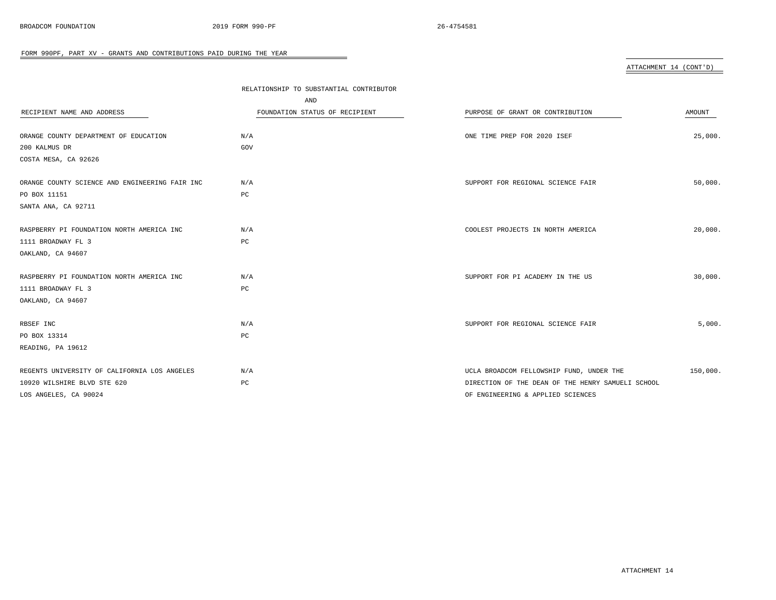ATTACHMENT 14 (CONT'D)

|                                                | RELATIONSHIP TO SUBSTANTIAL CONTRIBUTOR |                                                   |          |
|------------------------------------------------|-----------------------------------------|---------------------------------------------------|----------|
|                                                | AND                                     |                                                   |          |
| RECIPIENT NAME AND ADDRESS                     | FOUNDATION STATUS OF RECIPIENT          | PURPOSE OF GRANT OR CONTRIBUTION                  | AMOUNT   |
|                                                |                                         |                                                   |          |
| ORANGE COUNTY DEPARTMENT OF EDUCATION          | N/A                                     | ONE TIME PREP FOR 2020 ISEF                       | 25,000.  |
| 200 KALMUS DR                                  | GOV                                     |                                                   |          |
| COSTA MESA, CA 92626                           |                                         |                                                   |          |
| ORANGE COUNTY SCIENCE AND ENGINEERING FAIR INC | N/A                                     | SUPPORT FOR REGIONAL SCIENCE FAIR                 | 50,000.  |
| PO BOX 11151                                   | PC                                      |                                                   |          |
| SANTA ANA, CA 92711                            |                                         |                                                   |          |
| RASPBERRY PI FOUNDATION NORTH AMERICA INC      | N/A                                     | COOLEST PROJECTS IN NORTH AMERICA                 | 20,000.  |
| 1111 BROADWAY FL 3                             | PC                                      |                                                   |          |
| OAKLAND, CA 94607                              |                                         |                                                   |          |
| RASPBERRY PI FOUNDATION NORTH AMERICA INC      | N/A                                     | SUPPORT FOR PI ACADEMY IN THE US                  | 30,000.  |
| 1111 BROADWAY FL 3                             | PC                                      |                                                   |          |
| OAKLAND, CA 94607                              |                                         |                                                   |          |
|                                                |                                         |                                                   |          |
| RBSEF INC                                      | N/A                                     | SUPPORT FOR REGIONAL SCIENCE FAIR                 | 5,000.   |
| PO BOX 13314                                   | PC                                      |                                                   |          |
| READING, PA 19612                              |                                         |                                                   |          |
| REGENTS UNIVERSITY OF CALIFORNIA LOS ANGELES   | N/A                                     | UCLA BROADCOM FELLOWSHIP FUND, UNDER THE          | 150,000. |
| 10920 WILSHIRE BLVD STE 620                    | PC                                      | DIRECTION OF THE DEAN OF THE HENRY SAMUELI SCHOOL |          |
| LOS ANGELES, CA 90024                          |                                         | OF ENGINEERING & APPLIED SCIENCES                 |          |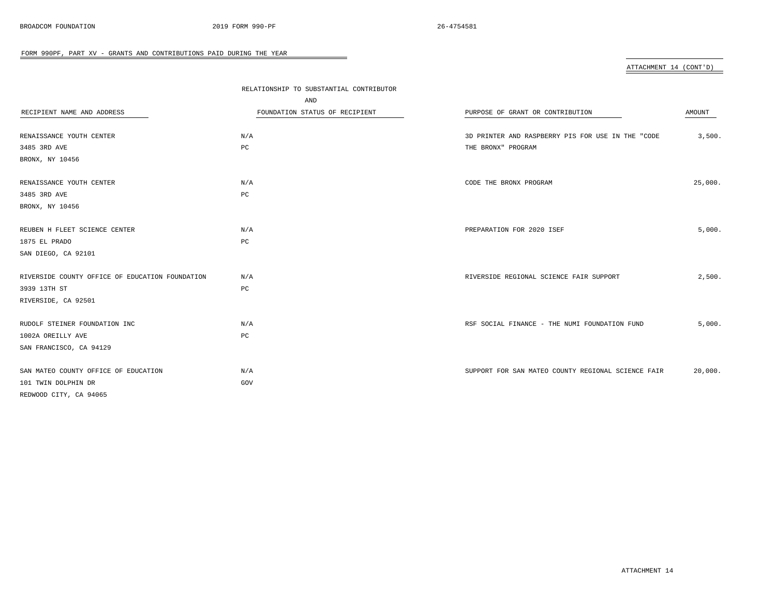ATTACHMENT 14 (CONT'D)

|                                                 | RELATIONSHIP TO SUBSTANTIAL CONTRIBUTOR |                                                    |         |
|-------------------------------------------------|-----------------------------------------|----------------------------------------------------|---------|
|                                                 | AND                                     |                                                    |         |
| RECIPIENT NAME AND ADDRESS                      | FOUNDATION STATUS OF RECIPIENT          | PURPOSE OF GRANT OR CONTRIBUTION                   | AMOUNT  |
|                                                 |                                         |                                                    |         |
| RENAISSANCE YOUTH CENTER                        | N/A                                     | 3D PRINTER AND RASPBERRY PIS FOR USE IN THE "CODE  | 3,500.  |
| 3485 3RD AVE                                    | PC                                      | THE BRONX" PROGRAM                                 |         |
| BRONX, NY 10456                                 |                                         |                                                    |         |
|                                                 |                                         |                                                    |         |
| RENAISSANCE YOUTH CENTER                        | N/A                                     | CODE THE BRONX PROGRAM                             | 25,000. |
| 3485 3RD AVE                                    | PC                                      |                                                    |         |
| BRONX, NY 10456                                 |                                         |                                                    |         |
|                                                 |                                         |                                                    |         |
| REUBEN H FLEET SCIENCE CENTER                   | N/A                                     | PREPARATION FOR 2020 ISEF                          | 5,000.  |
| 1875 EL PRADO                                   | PC                                      |                                                    |         |
| SAN DIEGO, CA 92101                             |                                         |                                                    |         |
| RIVERSIDE COUNTY OFFICE OF EDUCATION FOUNDATION | N/A                                     | RIVERSIDE REGIONAL SCIENCE FAIR SUPPORT            | 2,500.  |
| 3939 13TH ST                                    | $_{\rm PC}$                             |                                                    |         |
| RIVERSIDE, CA 92501                             |                                         |                                                    |         |
|                                                 |                                         |                                                    |         |
| RUDOLF STEINER FOUNDATION INC                   | N/A                                     | RSF SOCIAL FINANCE - THE NUMI FOUNDATION FUND      | 5,000.  |
| 1002A OREILLY AVE                               | PC                                      |                                                    |         |
| SAN FRANCISCO, CA 94129                         |                                         |                                                    |         |
|                                                 |                                         |                                                    |         |
| SAN MATEO COUNTY OFFICE OF EDUCATION            | N/A                                     | SUPPORT FOR SAN MATEO COUNTY REGIONAL SCIENCE FAIR | 20,000. |
| 101 TWIN DOLPHIN DR                             | GOV                                     |                                                    |         |
| REDWOOD CITY, CA 94065                          |                                         |                                                    |         |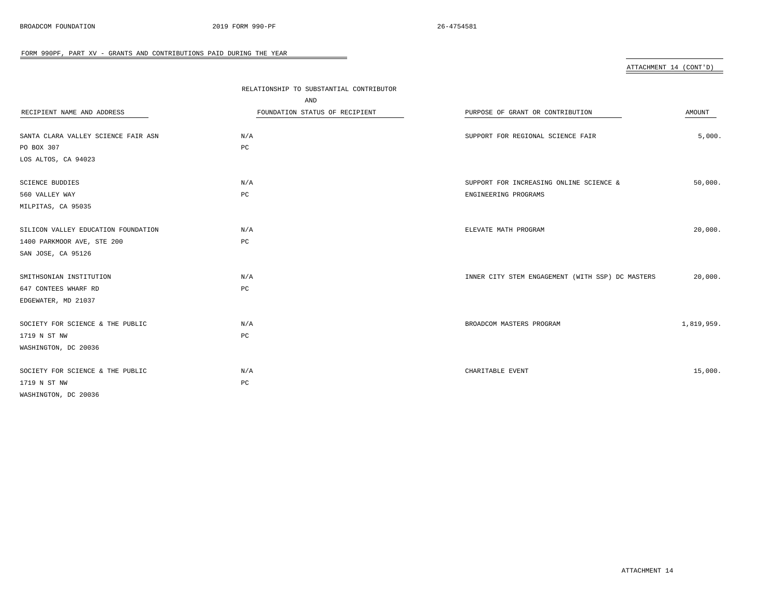ATTACHMENT 14 (CONT'D)

|                                     | RELATIONSHIP TO SUBSTANTIAL CONTRIBUTOR |                                                  |            |
|-------------------------------------|-----------------------------------------|--------------------------------------------------|------------|
|                                     | AND                                     |                                                  |            |
| RECIPIENT NAME AND ADDRESS          | FOUNDATION STATUS OF RECIPIENT          | PURPOSE OF GRANT OR CONTRIBUTION                 | AMOUNT     |
|                                     |                                         |                                                  |            |
| SANTA CLARA VALLEY SCIENCE FAIR ASN | N/A                                     | SUPPORT FOR REGIONAL SCIENCE FAIR                | 5,000.     |
| PO BOX 307                          | PC                                      |                                                  |            |
| LOS ALTOS, CA 94023                 |                                         |                                                  |            |
| SCIENCE BUDDIES                     | N/A                                     | SUPPORT FOR INCREASING ONLINE SCIENCE &          | 50,000.    |
| 560 VALLEY WAY                      | $_{\rm PC}$                             | ENGINEERING PROGRAMS                             |            |
| MILPITAS, CA 95035                  |                                         |                                                  |            |
|                                     |                                         |                                                  |            |
| SILICON VALLEY EDUCATION FOUNDATION | N/A                                     | ELEVATE MATH PROGRAM                             | 20,000.    |
| 1400 PARKMOOR AVE, STE 200          | PC                                      |                                                  |            |
| SAN JOSE, CA 95126                  |                                         |                                                  |            |
|                                     |                                         |                                                  |            |
| SMITHSONIAN INSTITUTION             | N/A                                     | INNER CITY STEM ENGAGEMENT (WITH SSP) DC MASTERS | 20,000.    |
| 647 CONTEES WHARF RD                | $_{\rm PC}$                             |                                                  |            |
| EDGEWATER, MD 21037                 |                                         |                                                  |            |
| SOCIETY FOR SCIENCE & THE PUBLIC    | N/A                                     | BROADCOM MASTERS PROGRAM                         | 1,819,959. |
| 1719 N ST NW                        | PC                                      |                                                  |            |
| WASHINGTON, DC 20036                |                                         |                                                  |            |
|                                     |                                         |                                                  |            |
| SOCIETY FOR SCIENCE & THE PUBLIC    | N/A                                     | CHARITABLE EVENT                                 | 15,000.    |
| 1719 N ST NW                        | PC                                      |                                                  |            |
| WASHINGTON, DC 20036                |                                         |                                                  |            |
|                                     |                                         |                                                  |            |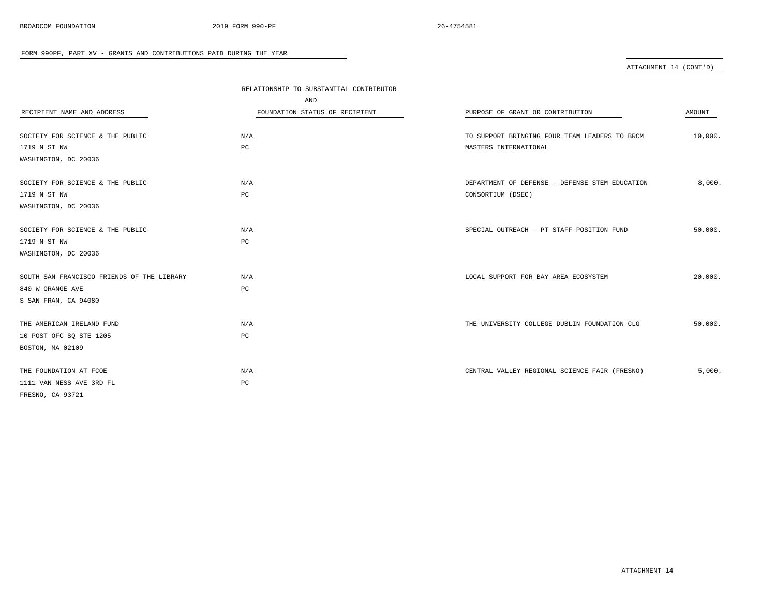ATTACHMENT 14 (CONT'D)

|                                            | RELATIONSHIP TO SUBSTANTIAL CONTRIBUTOR |                                                |         |
|--------------------------------------------|-----------------------------------------|------------------------------------------------|---------|
|                                            | AND                                     |                                                |         |
| RECIPIENT NAME AND ADDRESS                 | FOUNDATION STATUS OF RECIPIENT          | PURPOSE OF GRANT OR CONTRIBUTION               | AMOUNT  |
|                                            |                                         |                                                |         |
| SOCIETY FOR SCIENCE & THE PUBLIC           | N/A                                     | TO SUPPORT BRINGING FOUR TEAM LEADERS TO BRCM  | 10,000. |
| 1719 N ST NW                               | $_{\rm PC}$                             | MASTERS INTERNATIONAL                          |         |
| WASHINGTON, DC 20036                       |                                         |                                                |         |
|                                            |                                         |                                                |         |
| SOCIETY FOR SCIENCE & THE PUBLIC           | N/A                                     | DEPARTMENT OF DEFENSE - DEFENSE STEM EDUCATION | 8,000.  |
| 1719 N ST NW                               | $_{\rm PC}$                             | CONSORTIUM (DSEC)                              |         |
| WASHINGTON, DC 20036                       |                                         |                                                |         |
|                                            |                                         |                                                |         |
| SOCIETY FOR SCIENCE & THE PUBLIC           | N/A                                     | SPECIAL OUTREACH - PT STAFF POSITION FUND      | 50,000. |
| 1719 N ST NW                               | PC                                      |                                                |         |
| WASHINGTON, DC 20036                       |                                         |                                                |         |
|                                            |                                         |                                                |         |
| SOUTH SAN FRANCISCO FRIENDS OF THE LIBRARY | N/A                                     | LOCAL SUPPORT FOR BAY AREA ECOSYSTEM           | 20,000. |
| 840 W ORANGE AVE                           | $_{\rm PC}$                             |                                                |         |
| S SAN FRAN, CA 94080                       |                                         |                                                |         |
|                                            |                                         |                                                |         |
| THE AMERICAN IRELAND FUND                  | N/A                                     | THE UNIVERSITY COLLEGE DUBLIN FOUNDATION CLG   | 50,000. |
| 10 POST OFC SQ STE 1205                    | $_{\rm PC}$                             |                                                |         |
| BOSTON, MA 02109                           |                                         |                                                |         |
|                                            |                                         |                                                |         |
| THE FOUNDATION AT FCOE                     | N/A                                     | CENTRAL VALLEY REGIONAL SCIENCE FAIR (FRESNO)  | 5,000.  |
| 1111 VAN NESS AVE 3RD FL                   | PC                                      |                                                |         |
| FRESNO, CA 93721                           |                                         |                                                |         |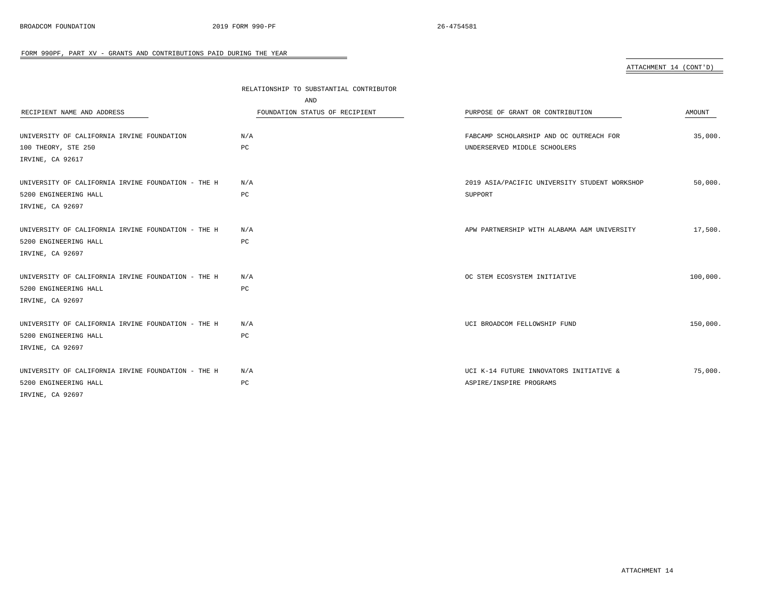### ATTACHMENT 14 (CONT'D)

|                                                    | RELATIONSHIP TO SUBSTANTIAL CONTRIBUTOR |                                               |          |
|----------------------------------------------------|-----------------------------------------|-----------------------------------------------|----------|
|                                                    | AND                                     |                                               |          |
| RECIPIENT NAME AND ADDRESS                         | FOUNDATION STATUS OF RECIPIENT          | PURPOSE OF GRANT OR CONTRIBUTION              | AMOUNT   |
|                                                    |                                         |                                               |          |
| UNIVERSITY OF CALIFORNIA IRVINE FOUNDATION         | N/A                                     | FABCAMP SCHOLARSHIP AND OC OUTREACH FOR       | 35,000.  |
| 100 THEORY, STE 250                                | РC                                      | UNDERSERVED MIDDLE SCHOOLERS                  |          |
| IRVINE, CA 92617                                   |                                         |                                               |          |
| UNIVERSITY OF CALIFORNIA IRVINE FOUNDATION - THE H | N/A                                     | 2019 ASIA/PACIFIC UNIVERSITY STUDENT WORKSHOP | 50,000.  |
| 5200 ENGINEERING HALL                              | PC                                      | SUPPORT                                       |          |
| IRVINE, CA 92697                                   |                                         |                                               |          |
| UNIVERSITY OF CALIFORNIA IRVINE FOUNDATION - THE H | N/A                                     | APW PARTNERSHIP WITH ALABAMA A&M UNIVERSITY   | 17,500.  |
| 5200 ENGINEERING HALL                              | PC                                      |                                               |          |
| IRVINE, CA 92697                                   |                                         |                                               |          |
| UNIVERSITY OF CALIFORNIA IRVINE FOUNDATION - THE H | N/A                                     | OC STEM ECOSYSTEM INITIATIVE                  | 100,000. |
| 5200 ENGINEERING HALL                              | PC                                      |                                               |          |
| IRVINE, CA 92697                                   |                                         |                                               |          |
| UNIVERSITY OF CALIFORNIA IRVINE FOUNDATION - THE H | N/A                                     | UCI BROADCOM FELLOWSHIP FUND                  | 150,000. |
| 5200 ENGINEERING HALL                              | PC                                      |                                               |          |
| IRVINE, CA 92697                                   |                                         |                                               |          |
| UNIVERSITY OF CALIFORNIA IRVINE FOUNDATION - THE H | N/A                                     | UCI K-14 FUTURE INNOVATORS INITIATIVE &       | 75,000.  |
| 5200 ENGINEERING HALL                              | PC                                      | ASPIRE/INSPIRE PROGRAMS                       |          |
| IRVINE, CA 92697                                   |                                         |                                               |          |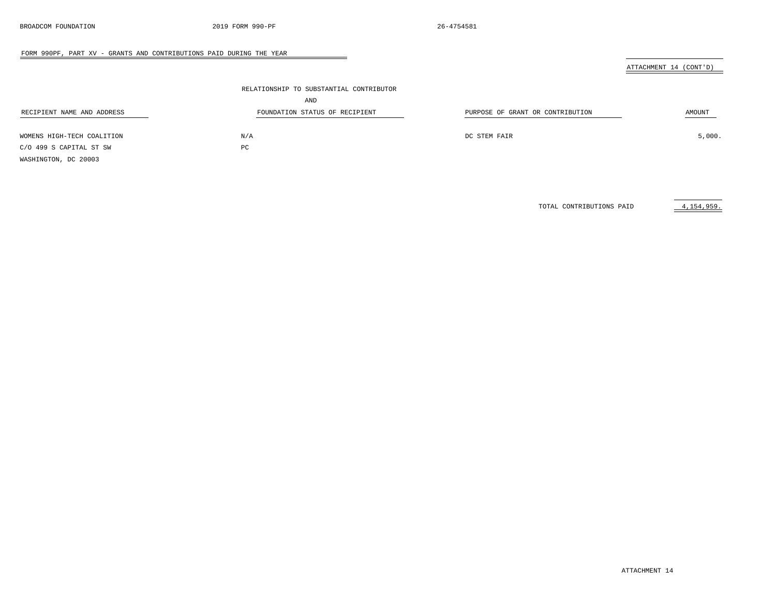### ATTACHMENT 14 (CONT'D)

|                                                       | RELATIONSHIP TO SUBSTANTIAL CONTRIBUTOR |                                  |        |
|-------------------------------------------------------|-----------------------------------------|----------------------------------|--------|
|                                                       | AND                                     |                                  |        |
| RECIPIENT NAME AND ADDRESS                            | FOUNDATION STATUS OF RECIPIENT          | PURPOSE OF GRANT OR CONTRIBUTION | AMOUNT |
|                                                       |                                         |                                  | 5,000. |
| WOMENS HIGH-TECH COALITION<br>C/O 499 S CAPITAL ST SW | N/A<br>PC                               | DC STEM FAIR                     |        |
| WASHINGTON, DC 20003                                  |                                         |                                  |        |

 $\overline{\phantom{a}}$ 

TOTAL CONTRIBUTIONS PAID  $4,154,959$ .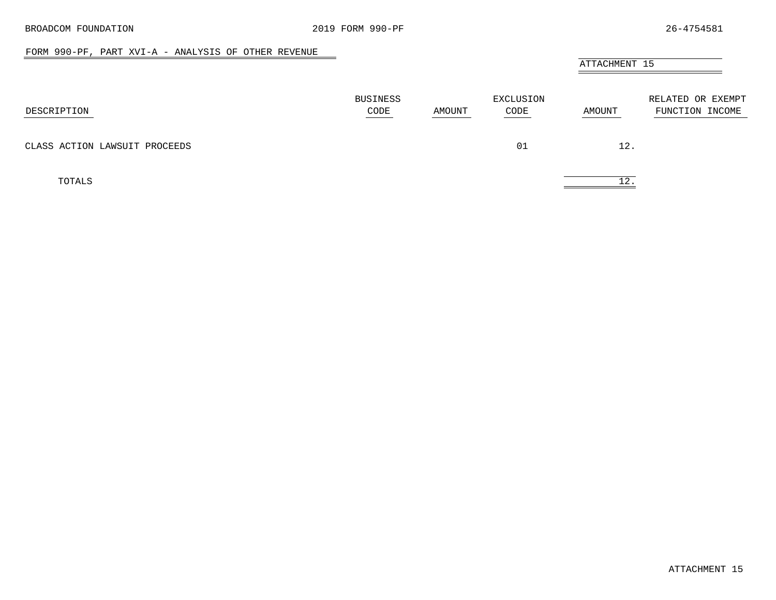$\overline{\phantom{a}}$ 

### FORM 990-PF, PART XVI-A - ANALYSIS OF OTHER REVENUE

# ATTACHMENT 15

<span id="page-46-0"></span>

| DESCRIPTION                   | BUSINESS<br>CODE<br>and the control of the control of the | AMOUNT | EXCLUSION<br>CODE | AMOUNT | RELATED OR EXEMPT<br>FUNCTION INCOME |
|-------------------------------|-----------------------------------------------------------|--------|-------------------|--------|--------------------------------------|
| CLASS ACTION LAWSUIT PROCEEDS |                                                           |        | 01                | 12.    |                                      |
| TOTALS                        |                                                           |        |                   | 12     |                                      |